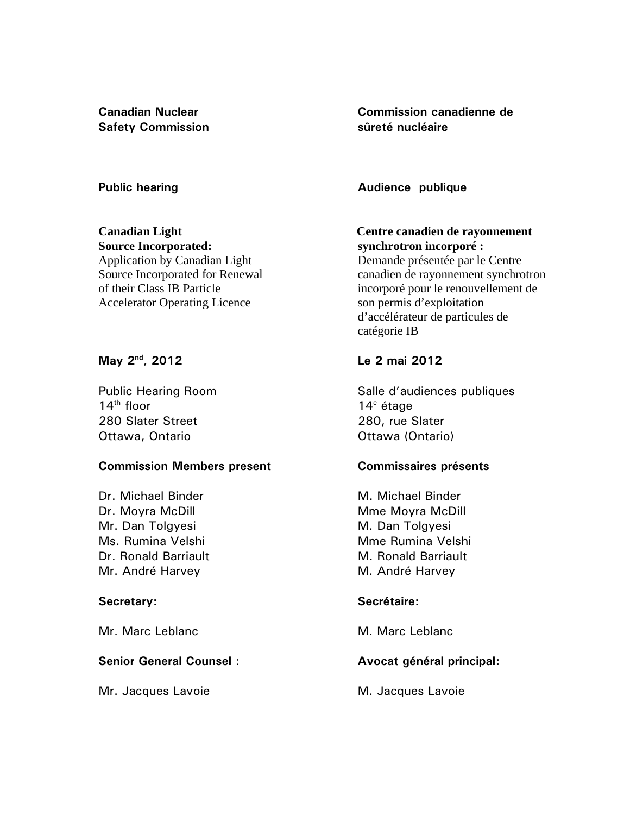**Canadian Nuclear Safety Commission** 

### **Public hearing**

#### **Canadian Light Source Incorporated:**

Application by Canadian Light Source Incorporated for Renewal of their Class IB Particle Accelerator Operating Licence

# **May 2nd, 2012**

Public Hearing Room  $14^{\text{th}}$  floor 280 Slater Street Ottawa, Ontario

### **Commission Members present**

Dr. Michael Binder Dr. Moyra McDill Mr. Dan Tolgyesi Ms. Rumina Velshi Dr. Ronald Barriault Mr. André Harvey

### **Secretary:**

Mr. Marc Leblanc

## **Senior General Counsel** :

Mr. Jacques Lavoie

**Commission canadienne de sûreté nucléaire** 

**Audience publique**

#### **Centre canadien de rayonnement synchrotron incorporé :**

Demande présentée par le Centre canadien de rayonnement synchrotron incorporé pour le renouvellement de son permis d'exploitation d'accélérateur de particules de catégorie IB

# **Le 2 mai 2012**

Salle d'audiences publiques 14<sup>e</sup> étage 280, rue Slater Ottawa (Ontario)

## **Commissaires présents**

M. Michael Binder Mme Moyra McDill M. Dan Tolgyesi Mme Rumina Velshi M. Ronald Barriault M. André Harvey

## **Secrétaire:**

M. Marc Leblanc

## **Avocat général principal:**

M. Jacques Lavoie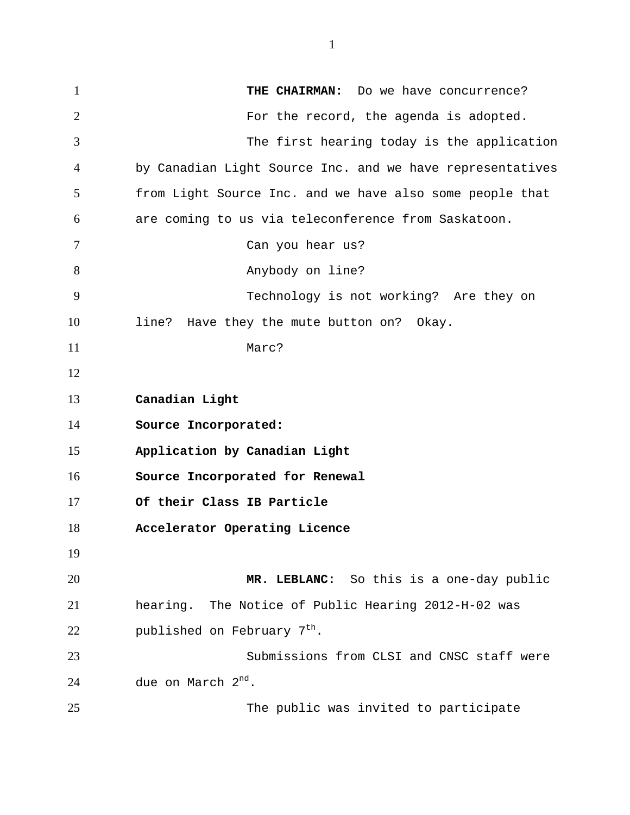**THE CHAIRMAN:** Do we have concurrence? For the record, the agenda is adopted. The first hearing today is the application by Canadian Light Source Inc. and we have representatives from Light Source Inc. and we have also some people that are coming to us via teleconference from Saskatoon. Can you hear us? Anybody on line? Technology is not working? Are they on line? Have they the mute button on? Okay. Marc? **Canadian Light Source Incorporated: Application by Canadian Light Source Incorporated for Renewal Of their Class IB Particle Accelerator Operating Licence MR. LEBLANC:** So this is a one-day public hearing. The Notice of Public Hearing 2012-H-02 was published on February  $7<sup>th</sup>$ . Submissions from CLSI and CNSC staff were due on March 2<sup>nd</sup>. The public was invited to participate 1 2 3 4 5 6 7 8 9 10 11 12 13 14 15 16 17 18 19 20 21 22 23 24 25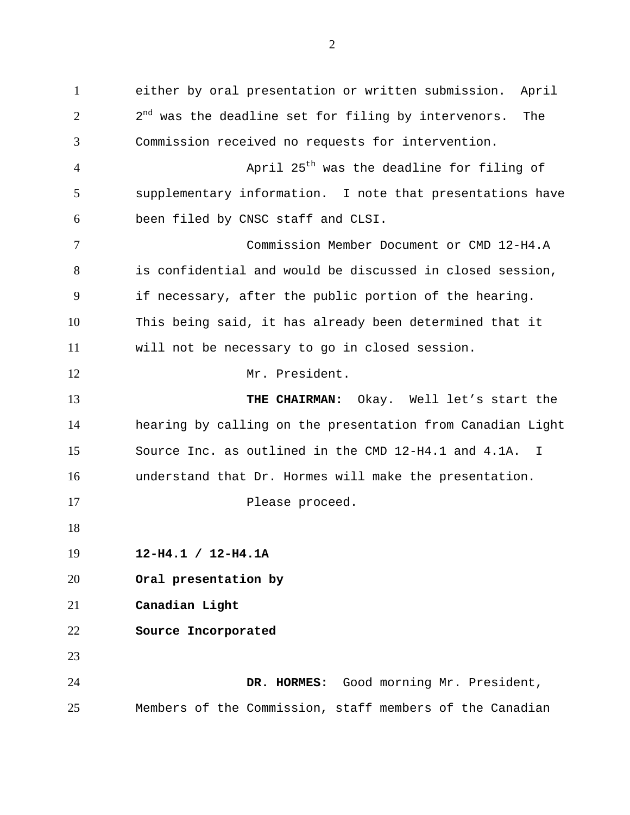either by oral presentation or written submission. April  $2^{nd}$  was the deadline set for filing by intervenors. The Commission received no requests for intervention. April 25<sup>th</sup> was the deadline for filing of supplementary information. I note that presentations have been filed by CNSC staff and CLSI. Commission Member Document or CMD 12-H4.A is confidential and would be discussed in closed session, if necessary, after the public portion of the hearing. This being said, it has already been determined that it will not be necessary to go in closed session. Mr. President. **THE CHAIRMAN:** Okay. Well let's start the hearing by calling on the presentation from Canadian Light Source Inc. as outlined in the CMD 12-H4.1 and 4.1A. I understand that Dr. Hormes will make the presentation. Please proceed. **12-H4.1 / 12-H4.1A Oral presentation by Canadian Light Source Incorporated DR. HORMES:** Good morning Mr. President, Members of the Commission, staff members of the Canadian 1 2 3 4 5 6 7 8 9 10 11 12 13 14 15 16 17 18 19 20 21 22 23 24 25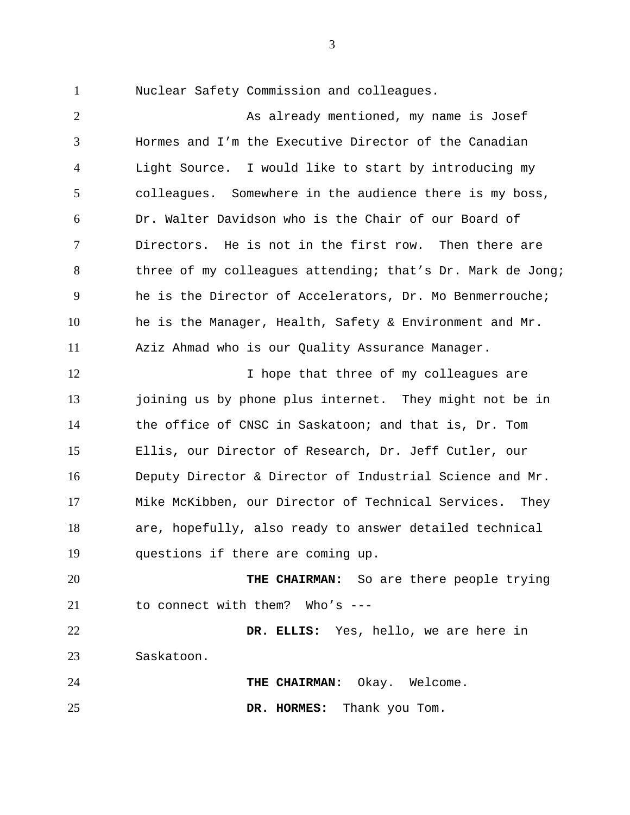1

Nuclear Safety Commission and colleagues.

As already mentioned, my name is Josef Hormes and I'm the Executive Director of the Canadian Light Source. I would like to start by introducing my colleagues. Somewhere in the audience there is my boss, Dr. Walter Davidson who is the Chair of our Board of Directors. He is not in the first row. Then there are three of my colleagues attending; that's Dr. Mark de Jong; he is the Director of Accelerators, Dr. Mo Benmerrouche; he is the Manager, Health, Safety & Environment and Mr. Aziz Ahmad who is our Quality Assurance Manager. 2 3 4 5 6 7 8 9 10 11

I hope that three of my colleagues are joining us by phone plus internet. They might not be in the office of CNSC in Saskatoon; and that is, Dr. Tom Ellis, our Director of Research, Dr. Jeff Cutler, our Deputy Director & Director of Industrial Science and Mr. Mike McKibben, our Director of Technical Services. They are, hopefully, also ready to answer detailed technical questions if there are coming up. 12 13 14 15 16 17 18 19

**THE CHAIRMAN:** So are there people trying to connect with them? Who's --- 20 21

**DR. ELLIS:** Yes, hello, we are here in Saskatoon. 22 23

**THE CHAIRMAN:** Okay. Welcome. 24

**DR. HORMES:** Thank you Tom. 25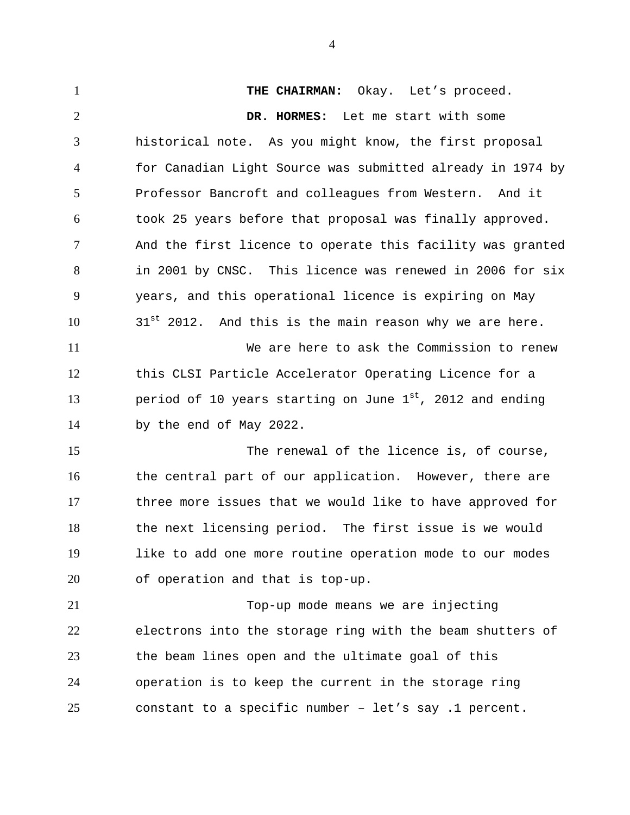THE CHAIRMAN: Okay. Let's proceed. **DR. HORMES:** Let me start with some historical note. As you might know, the first proposal for Canadian Light Source was submitted already in 1974 by Professor Bancroft and colleagues from Western. And it took 25 years before that proposal was finally approved. And the first licence to operate this facility was granted in 2001 by CNSC. This licence was renewed in 2006 for six years, and this operational licence is expiring on May  $31^{st}$  2012. And this is the main reason why we are here. We are here to ask the Commission to renew this CLSI Particle Accelerator Operating Licence for a period of 10 years starting on June 1st, 2012 and ending by the end of May 2022. The renewal of the licence is, of course, the central part of our application. However, there are three more issues that we would like to have approved for the next licensing period. The first issue is we would like to add one more routine operation mode to our modes of operation and that is top-up. Top-up mode means we are injecting electrons into the storage ring with the beam shutters of the beam lines open and the ultimate goal of this operation is to keep the current in the storage ring constant to a specific number – let's say .1 percent. 1 2 3 4 5 6 7 8 9 10 11 12 13 14 15 16 17 18 19 20 21 22 23 24 25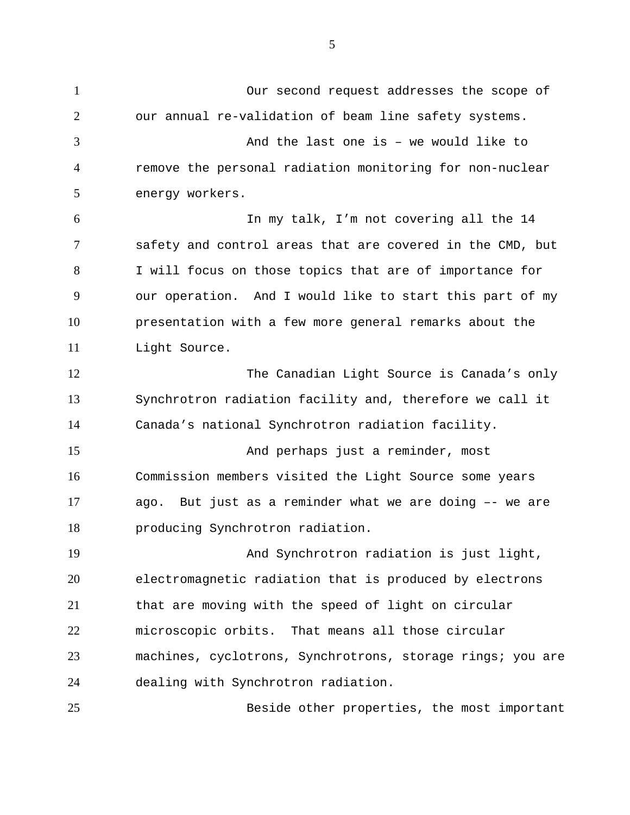Our second request addresses the scope of our annual re-validation of beam line safety systems. And the last one is – we would like to remove the personal radiation monitoring for non-nuclear energy workers. In my talk, I'm not covering all the 14 safety and control areas that are covered in the CMD, but I will focus on those topics that are of importance for our operation. And I would like to start this part of my presentation with a few more general remarks about the Light Source. The Canadian Light Source is Canada's only Synchrotron radiation facility and, therefore we call it Canada's national Synchrotron radiation facility. And perhaps just a reminder, most Commission members visited the Light Source some years ago. But just as a reminder what we are doing –- we are producing Synchrotron radiation. And Synchrotron radiation is just light, electromagnetic radiation that is produced by electrons that are moving with the speed of light on circular microscopic orbits. That means all those circular machines, cyclotrons, Synchrotrons, storage rings; you are dealing with Synchrotron radiation. Beside other properties, the most important 1 2 3 4 5 6 7 8 9 10 11 12 13 14 15 16 17 18 19 20 21 22 23 24 25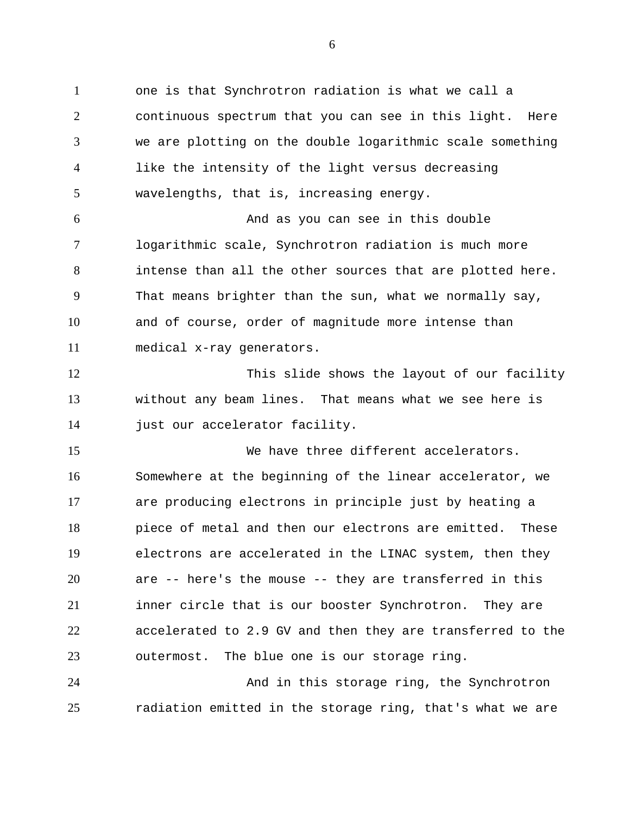one is that Synchrotron radiation is what we call a continuous spectrum that you can see in this light. Here we are plotting on the double logarithmic scale something like the intensity of the light versus decreasing wavelengths, that is, increasing energy. And as you can see in this double logarithmic scale, Synchrotron radiation is much more intense than all the other sources that are plotted here. That means brighter than the sun, what we normally say, and of course, order of magnitude more intense than medical x-ray generators. This slide shows the layout of our facility without any beam lines. That means what we see here is just our accelerator facility. We have three different accelerators. Somewhere at the beginning of the linear accelerator, we are producing electrons in principle just by heating a piece of metal and then our electrons are emitted. These electrons are accelerated in the LINAC system, then they are -- here's the mouse -- they are transferred in this inner circle that is our booster Synchrotron. They are accelerated to 2.9 GV and then they are transferred to the outermost. The blue one is our storage ring. And in this storage ring, the Synchrotron 1 2 3 4 5 6 7 8 9 10 11 12 13 14 15 16 17 18 19 20 21 22 23 24

radiation emitted in the storage ring, that's what we are

25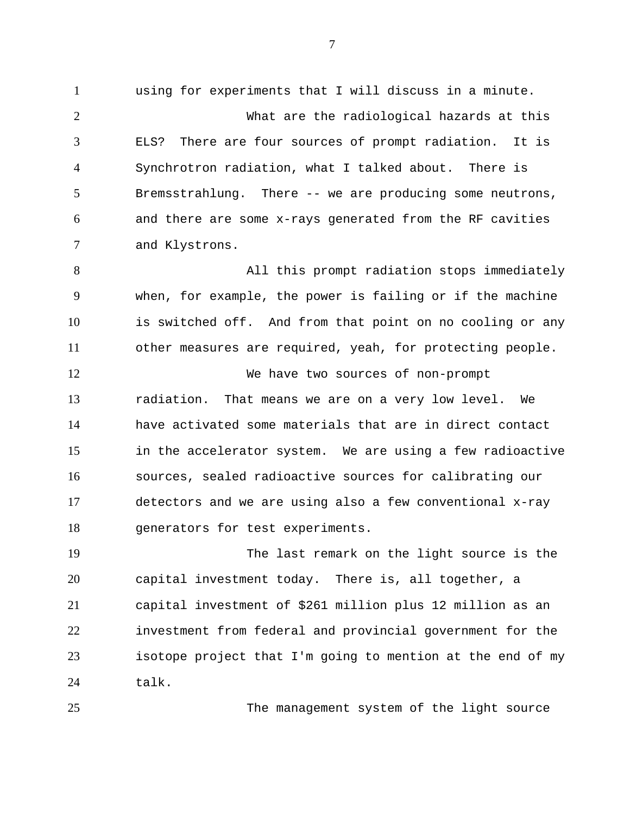7

using for experiments that I will discuss in a minute. What are the radiological hazards at this ELS? There are four sources of prompt radiation. It is Synchrotron radiation, what I talked about. There is Bremsstrahlung. There -- we are producing some neutrons, and there are some x-rays generated from the RF cavities and Klystrons. All this prompt radiation stops immediately 1 2 3 4 5 6 7 8

when, for example, the power is failing or if the machine is switched off. And from that point on no cooling or any other measures are required, yeah, for protecting people. 9 10 11

We have two sources of non-prompt radiation. That means we are on a very low level. We have activated some materials that are in direct contact in the accelerator system. We are using a few radioactive sources, sealed radioactive sources for calibrating our detectors and we are using also a few conventional x-ray generators for test experiments. 12 13 14 15 16 17 18

The last remark on the light source is the capital investment today. There is, all together, a capital investment of \$261 million plus 12 million as an investment from federal and provincial government for the isotope project that I'm going to mention at the end of my talk. 19 20 21 22 23 24

25

The management system of the light source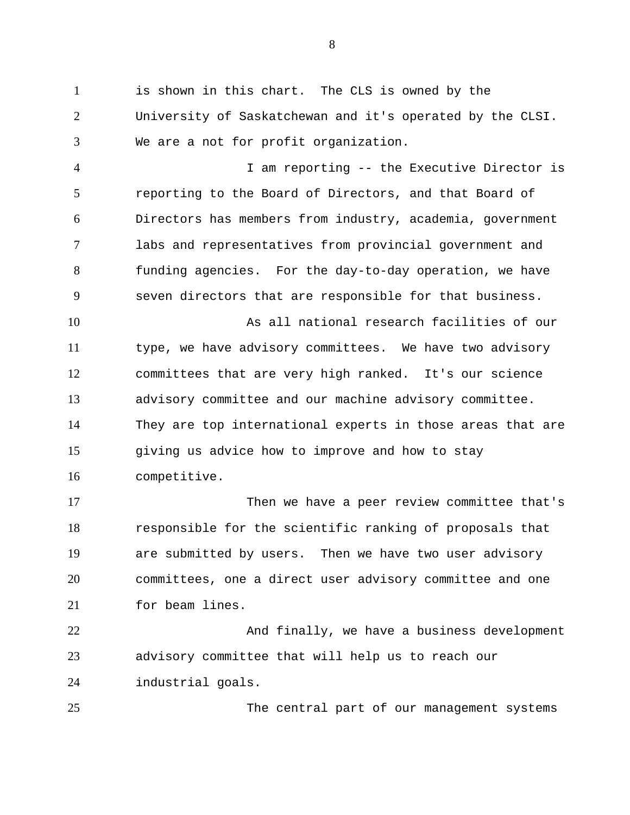is shown in this chart. The CLS is owned by the University of Saskatchewan and it's operated by the CLSI. We are a not for profit organization. 1 2 3

I am reporting -- the Executive Director is reporting to the Board of Directors, and that Board of Directors has members from industry, academia, government labs and representatives from provincial government and funding agencies. For the day-to-day operation, we have seven directors that are responsible for that business. 4 5 6 7 8 9

As all national research facilities of our type, we have advisory committees. We have two advisory committees that are very high ranked. It's our science advisory committee and our machine advisory committee. They are top international experts in those areas that are giving us advice how to improve and how to stay competitive. 10 11 12 13 14 15 16

Then we have a peer review committee that's responsible for the scientific ranking of proposals that are submitted by users. Then we have two user advisory committees, one a direct user advisory committee and one for beam lines. 17 18 19 20 21

And finally, we have a business development advisory committee that will help us to reach our industrial goals. 22 23 24

25

The central part of our management systems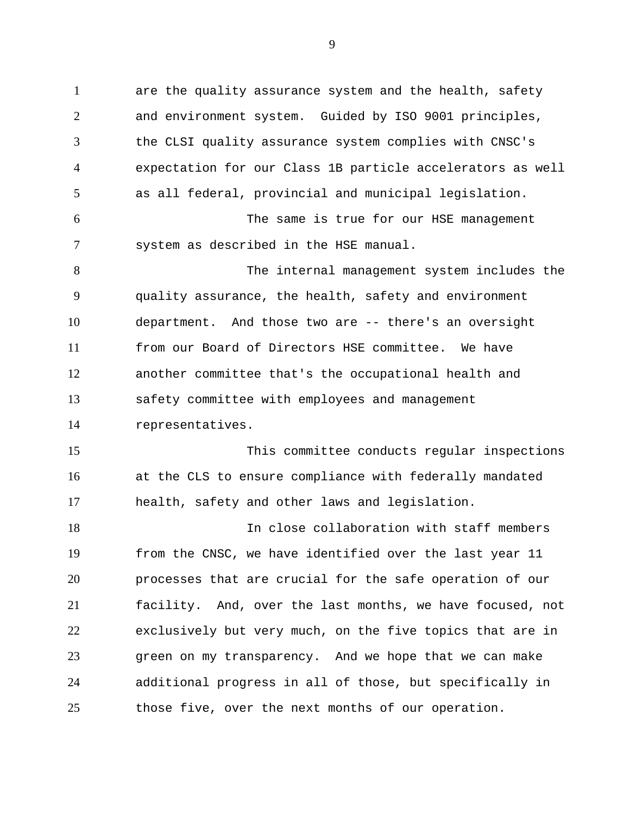are the quality assurance system and the health, safety and environment system. Guided by ISO 9001 principles, the CLSI quality assurance system complies with CNSC's expectation for our Class 1B particle accelerators as well as all federal, provincial and municipal legislation. The same is true for our HSE management system as described in the HSE manual. The internal management system includes the quality assurance, the health, safety and environment department. And those two are -- there's an oversight from our Board of Directors HSE committee. We have another committee that's the occupational health and safety committee with employees and management representatives. This committee conducts regular inspections at the CLS to ensure compliance with federally mandated health, safety and other laws and legislation. In close collaboration with staff members from the CNSC, we have identified over the last year 11 processes that are crucial for the safe operation of our facility. And, over the last months, we have focused, not exclusively but very much, on the five topics that are in green on my transparency. And we hope that we can make additional progress in all of those, but specifically in those five, over the next months of our operation. 1 2 3 4 5 6 7 8 9 10 11 12 13 14 15 16 17 18 19 20 21 22 23 24 25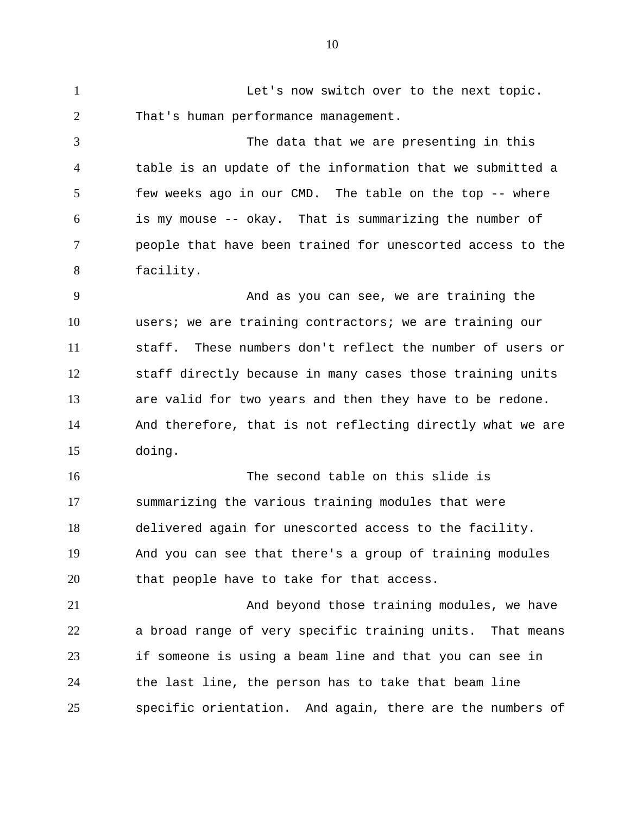Let's now switch over to the next topic. That's human performance management. 1 2

The data that we are presenting in this table is an update of the information that we submitted a few weeks ago in our CMD. The table on the top -- where is my mouse -- okay. That is summarizing the number of people that have been trained for unescorted access to the facility. 3 4 5 6 7 8

And as you can see, we are training the users; we are training contractors; we are training our staff. These numbers don't reflect the number of users or staff directly because in many cases those training units are valid for two years and then they have to be redone. And therefore, that is not reflecting directly what we are doing. 9 10 11 12 13 14 15

The second table on this slide is summarizing the various training modules that were delivered again for unescorted access to the facility. And you can see that there's a group of training modules that people have to take for that access. 16 17 18 19 20

And beyond those training modules, we have a broad range of very specific training units. That means if someone is using a beam line and that you can see in the last line, the person has to take that beam line specific orientation. And again, there are the numbers of 21 22 23 24 25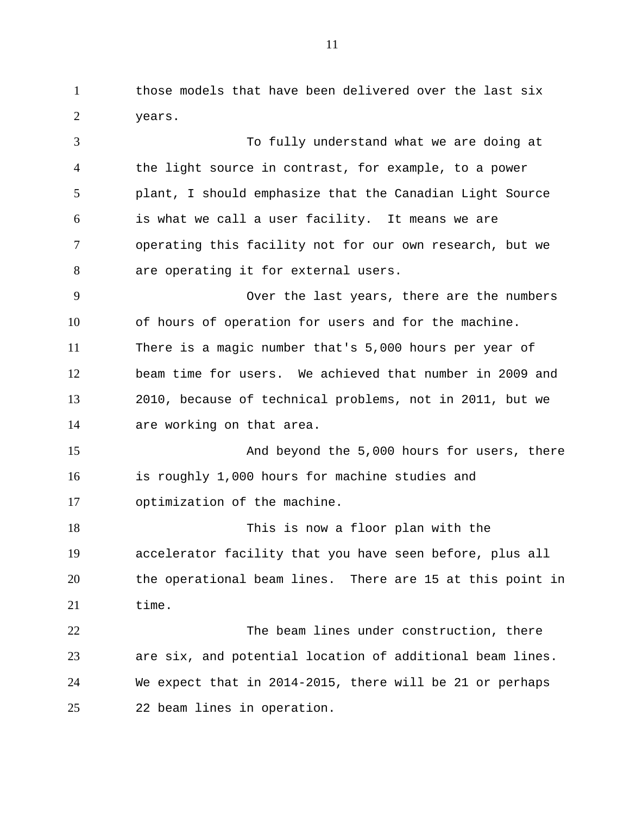those models that have been delivered over the last six years. 1 2

To fully understand what we are doing at the light source in contrast, for example, to a power plant, I should emphasize that the Canadian Light Source is what we call a user facility. It means we are operating this facility not for our own research, but we are operating it for external users. Over the last years, there are the numbers of hours of operation for users and for the machine. There is a magic number that's 5,000 hours per year of beam time for users. We achieved that number in 2009 and 2010, because of technical problems, not in 2011, but we are working on that area. And beyond the 5,000 hours for users, there is roughly 1,000 hours for machine studies and optimization of the machine. This is now a floor plan with the accelerator facility that you have seen before, plus all the operational beam lines. There are 15 at this point in time. The beam lines under construction, there are six, and potential location of additional beam lines. We expect that in 2014-2015, there will be 21 or perhaps 22 beam lines in operation. 3 4 5 6 7 8 9 10 11 12 13 14 15 16 17 18 19 20 21 22 23 24 25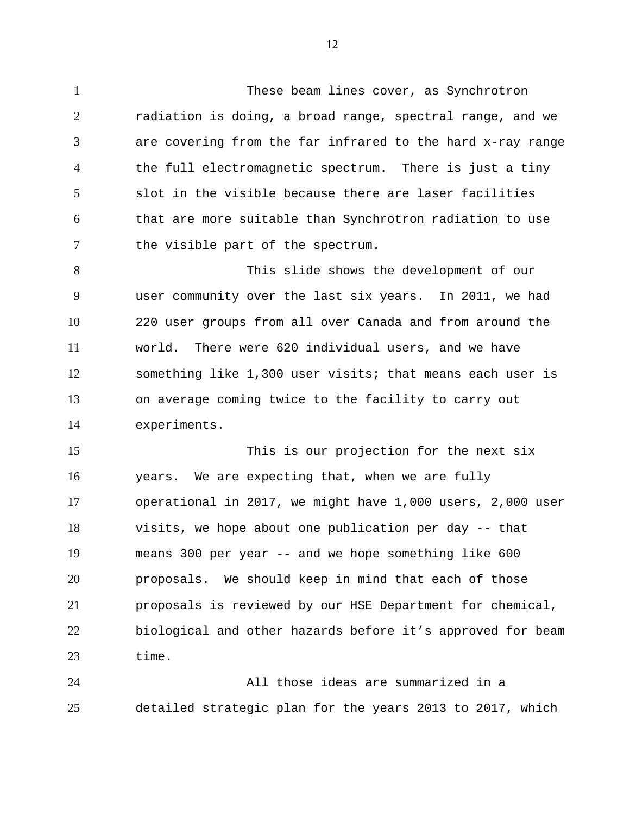These beam lines cover, as Synchrotron radiation is doing, a broad range, spectral range, and we are covering from the far infrared to the hard x-ray range the full electromagnetic spectrum. There is just a tiny slot in the visible because there are laser facilities that are more suitable than Synchrotron radiation to use the visible part of the spectrum. 1 2 3 4 5 6 7

This slide shows the development of our user community over the last six years. In 2011, we had 220 user groups from all over Canada and from around the world. There were 620 individual users, and we have something like 1,300 user visits; that means each user is on average coming twice to the facility to carry out experiments. 8 9 10 11 12 13 14

This is our projection for the next six years. We are expecting that, when we are fully operational in 2017, we might have 1,000 users, 2,000 user visits, we hope about one publication per day -- that means 300 per year -- and we hope something like 600 proposals. We should keep in mind that each of those proposals is reviewed by our HSE Department for chemical, biological and other hazards before it's approved for beam time. 15 16 17 18 19 20 21 22 23

All those ideas are summarized in a detailed strategic plan for the years 2013 to 2017, which 24 25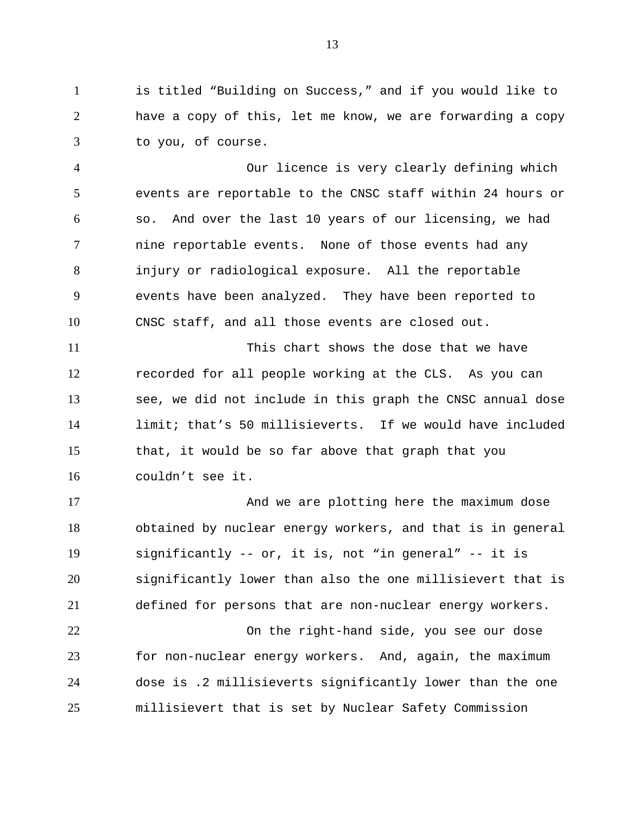is titled "Building on Success," and if you would like to have a copy of this, let me know, we are forwarding a copy to you, of course. 1 2 3

Our licence is very clearly defining which events are reportable to the CNSC staff within 24 hours or so. And over the last 10 years of our licensing, we had nine reportable events. None of those events had any injury or radiological exposure. All the reportable events have been analyzed. They have been reported to CNSC staff, and all those events are closed out. 4 5 6 7 8 9 10

This chart shows the dose that we have recorded for all people working at the CLS. As you can see, we did not include in this graph the CNSC annual dose limit; that's 50 millisieverts. If we would have included that, it would be so far above that graph that you couldn't see it. 11 12 13 14 15 16

And we are plotting here the maximum dose obtained by nuclear energy workers, and that is in general significantly -- or, it is, not "in general" -- it is significantly lower than also the one millisievert that is defined for persons that are non-nuclear energy workers. 17 18 19 20 21

On the right-hand side, you see our dose for non-nuclear energy workers. And, again, the maximum dose is .2 millisieverts significantly lower than the one millisievert that is set by Nuclear Safety Commission 22 23 24 25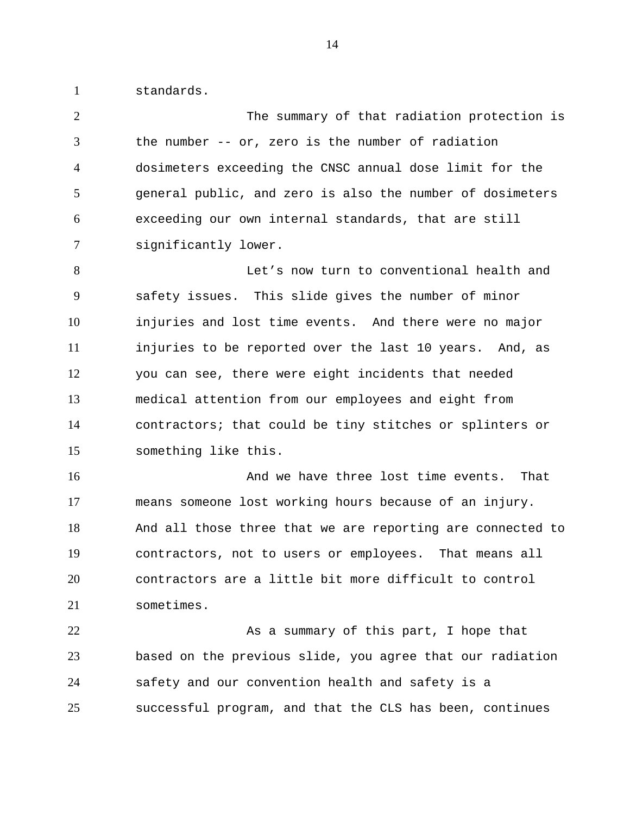standards.

1

The summary of that radiation protection is the number -- or, zero is the number of radiation dosimeters exceeding the CNSC annual dose limit for the general public, and zero is also the number of dosimeters exceeding our own internal standards, that are still significantly lower. 2 3 4 5 6 7

Let's now turn to conventional health and safety issues. This slide gives the number of minor injuries and lost time events. And there were no major injuries to be reported over the last 10 years. And, as you can see, there were eight incidents that needed medical attention from our employees and eight from contractors; that could be tiny stitches or splinters or something like this. 8 9 10 11 12 13 14 15

And we have three lost time events. That means someone lost working hours because of an injury. And all those three that we are reporting are connected to contractors, not to users or employees. That means all contractors are a little bit more difficult to control sometimes. 16 17 18 19 20 21

As a summary of this part, I hope that based on the previous slide, you agree that our radiation safety and our convention health and safety is a successful program, and that the CLS has been, continues 22 23 24 25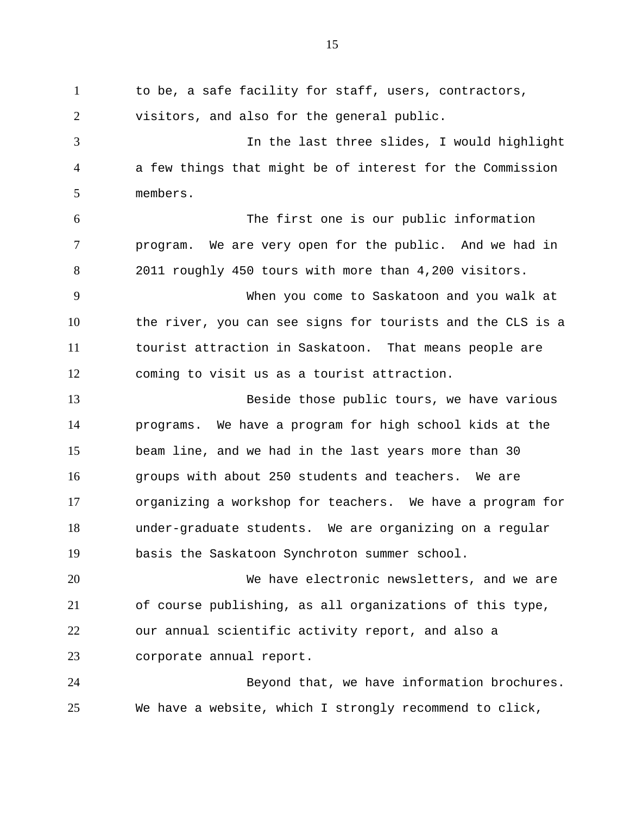to be, a safe facility for staff, users, contractors, visitors, and also for the general public. In the last three slides, I would highlight a few things that might be of interest for the Commission members. The first one is our public information program. We are very open for the public. And we had in 2011 roughly 450 tours with more than 4,200 visitors. When you come to Saskatoon and you walk at the river, you can see signs for tourists and the CLS is a tourist attraction in Saskatoon. That means people are coming to visit us as a tourist attraction. Beside those public tours, we have various programs. We have a program for high school kids at the beam line, and we had in the last years more than 30 groups with about 250 students and teachers. We are organizing a workshop for teachers. We have a program for under-graduate students. We are organizing on a regular basis the Saskatoon Synchroton summer school. We have electronic newsletters, and we are of course publishing, as all organizations of this type, our annual scientific activity report, and also a corporate annual report. Beyond that, we have information brochures. We have a website, which I strongly recommend to click, 1 2 3 4 5 6 7 8 9 10 11 12 13 14 15 16 17 18 19 20 21 22 23 24 25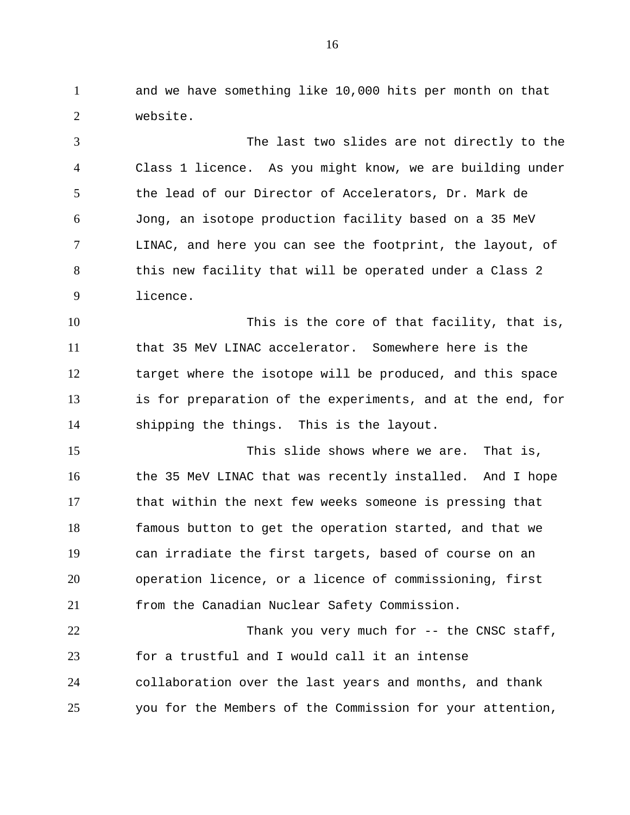and we have something like 10,000 hits per month on that website. 1 2

The last two slides are not directly to the Class 1 licence. As you might know, we are building under the lead of our Director of Accelerators, Dr. Mark de Jong, an isotope production facility based on a 35 MeV LINAC, and here you can see the footprint, the layout, of this new facility that will be operated under a Class 2 licence. 3 4 5 6 7 8 9

This is the core of that facility, that is, that 35 MeV LINAC accelerator. Somewhere here is the target where the isotope will be produced, and this space is for preparation of the experiments, and at the end, for shipping the things. This is the layout. 10 11 12 13 14

This slide shows where we are. That is, the 35 MeV LINAC that was recently installed. And I hope that within the next few weeks someone is pressing that famous button to get the operation started, and that we can irradiate the first targets, based of course on an operation licence, or a licence of commissioning, first from the Canadian Nuclear Safety Commission. 15 16 17 18 19 20 21

Thank you very much for -- the CNSC staff, for a trustful and I would call it an intense collaboration over the last years and months, and thank you for the Members of the Commission for your attention, 22 23 24 25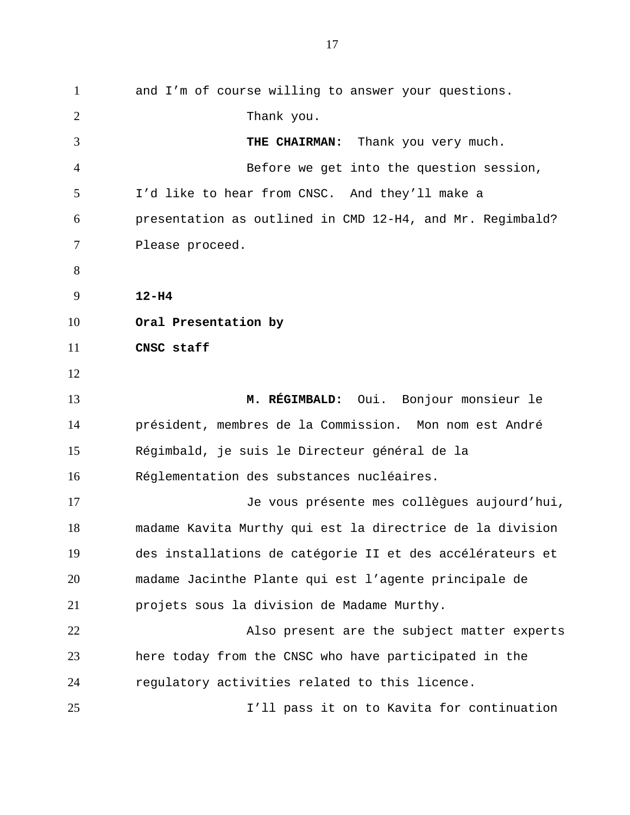and I'm of course willing to answer your questions. Thank you. **THE CHAIRMAN:** Thank you very much. Before we get into the question session, I'd like to hear from CNSC. And they'll make a presentation as outlined in CMD 12-H4, and Mr. Regimbald? Please proceed. **12-H4 Oral Presentation by CNSC staff M. RÉGIMBALD:** Oui. Bonjour monsieur le président, membres de la Commission. Mon nom est André Régimbald, je suis le Directeur général de la Réglementation des substances nucléaires. Je vous présente mes collègues aujourd'hui, madame Kavita Murthy qui est la directrice de la division des installations de catégorie II et des accélérateurs et madame Jacinthe Plante qui est l'agente principale de projets sous la division de Madame Murthy. Also present are the subject matter experts here today from the CNSC who have participated in the regulatory activities related to this licence. I'll pass it on to Kavita for continuation 1 2 3 4 5 6 7 8 9 10 11 12 13 14 15 16 17 18 19 20 21 22 23 24 25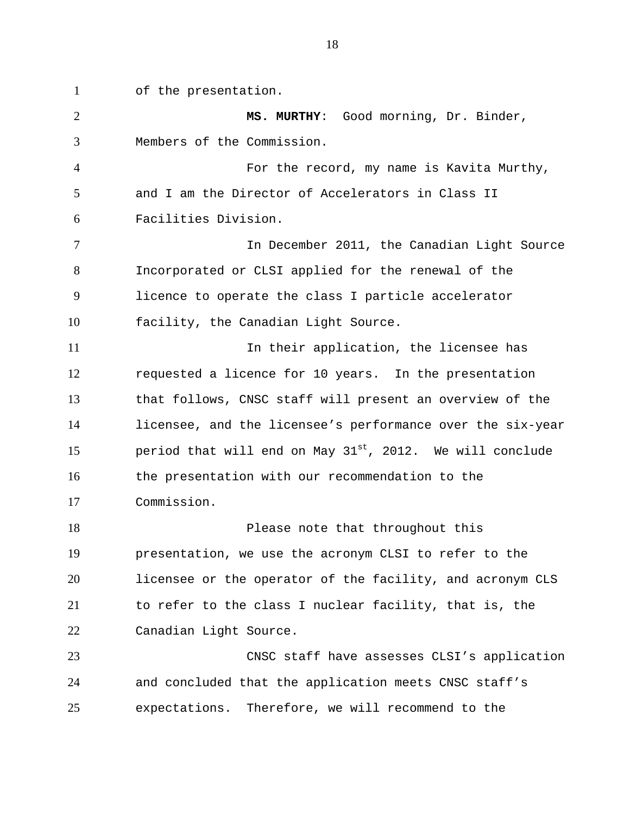of the presentation. **MS. MURTHY**: Good morning, Dr. Binder, Members of the Commission. For the record, my name is Kavita Murthy, and I am the Director of Accelerators in Class II Facilities Division. In December 2011, the Canadian Light Source Incorporated or CLSI applied for the renewal of the licence to operate the class I particle accelerator facility, the Canadian Light Source. In their application, the licensee has requested a licence for 10 years. In the presentation that follows, CNSC staff will present an overview of the licensee, and the licensee's performance over the six-year period that will end on May  $31^{st}$ , 2012. We will conclude the presentation with our recommendation to the Commission. Please note that throughout this presentation, we use the acronym CLSI to refer to the licensee or the operator of the facility, and acronym CLS to refer to the class I nuclear facility, that is, the Canadian Light Source. CNSC staff have assesses CLSI's application and concluded that the application meets CNSC staff's expectations. Therefore, we will recommend to the 1 2 3 4 5 6 7 8 9 10 11 12 13 14 15 16 17 18 19 20 21 22 23 24 25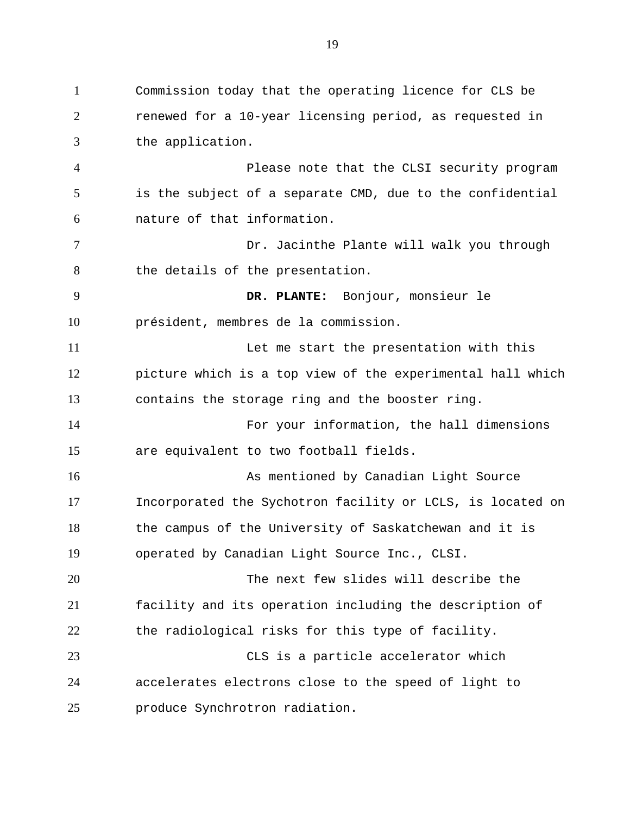Commission today that the operating licence for CLS be renewed for a 10-year licensing period, as requested in the application. Please note that the CLSI security program is the subject of a separate CMD, due to the confidential nature of that information. Dr. Jacinthe Plante will walk you through the details of the presentation. **DR. PLANTE:** Bonjour, monsieur le président, membres de la commission. Let me start the presentation with this picture which is a top view of the experimental hall which contains the storage ring and the booster ring. For your information, the hall dimensions are equivalent to two football fields. As mentioned by Canadian Light Source Incorporated the Sychotron facility or LCLS, is located on the campus of the University of Saskatchewan and it is operated by Canadian Light Source Inc., CLSI. The next few slides will describe the facility and its operation including the description of the radiological risks for this type of facility. CLS is a particle accelerator which accelerates electrons close to the speed of light to produce Synchrotron radiation. 1 2 3 4 5 6 7 8 9 10 11 12 13 14 15 16 17 18 19 20 21 22 23 24 25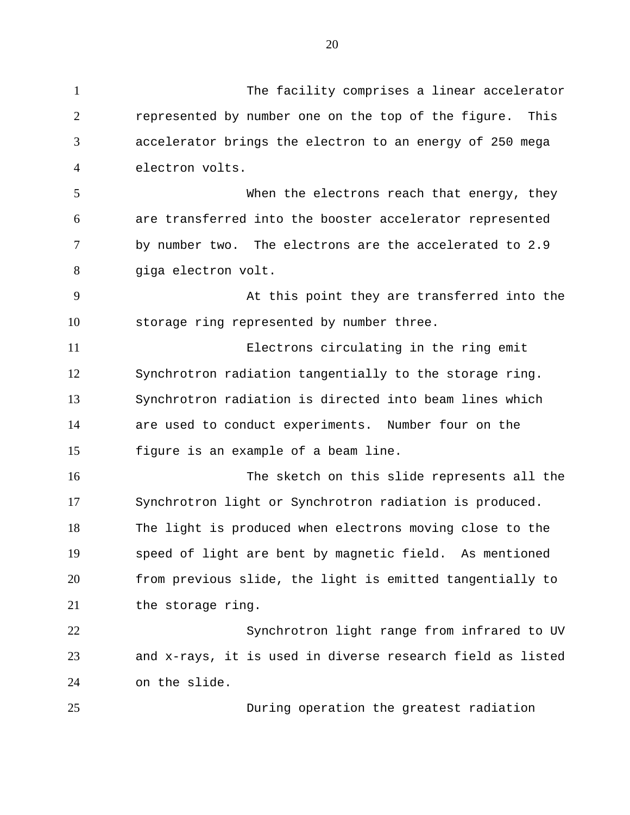The facility comprises a linear accelerator represented by number one on the top of the figure. This accelerator brings the electron to an energy of 250 mega electron volts. When the electrons reach that energy, they are transferred into the booster accelerator represented by number two. The electrons are the accelerated to 2.9 giga electron volt. At this point they are transferred into the storage ring represented by number three. Electrons circulating in the ring emit Synchrotron radiation tangentially to the storage ring. Synchrotron radiation is directed into beam lines which are used to conduct experiments. Number four on the figure is an example of a beam line. The sketch on this slide represents all the Synchrotron light or Synchrotron radiation is produced. The light is produced when electrons moving close to the speed of light are bent by magnetic field. As mentioned from previous slide, the light is emitted tangentially to the storage ring. Synchrotron light range from infrared to UV and x-rays, it is used in diverse research field as listed on the slide. During operation the greatest radiation 1 2 3 4 5 6 7 8 9 10 11 12 13 14 15 16 17 18 19 20 21 22 23 24 25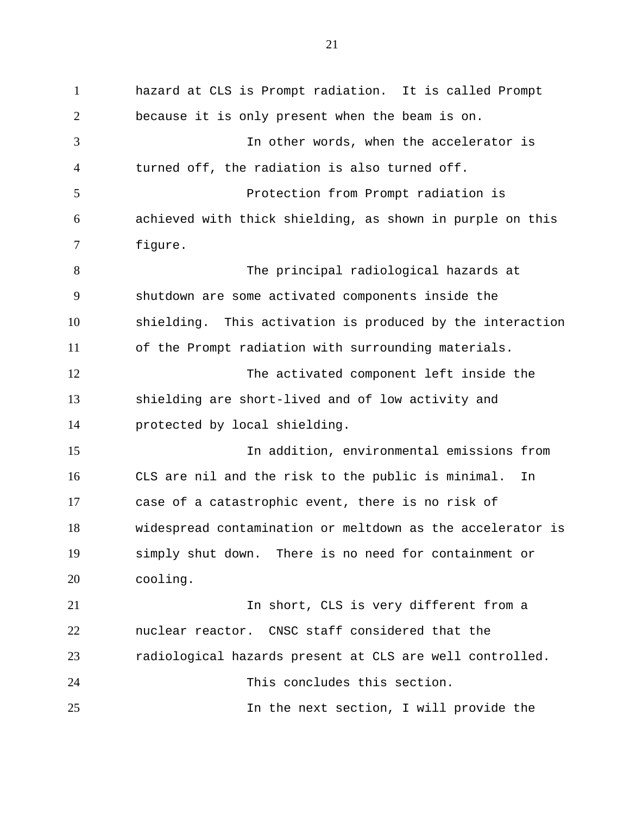hazard at CLS is Prompt radiation. It is called Prompt because it is only present when the beam is on. In other words, when the accelerator is turned off, the radiation is also turned off. Protection from Prompt radiation is achieved with thick shielding, as shown in purple on this figure. The principal radiological hazards at shutdown are some activated components inside the shielding. This activation is produced by the interaction of the Prompt radiation with surrounding materials. The activated component left inside the shielding are short-lived and of low activity and protected by local shielding. In addition, environmental emissions from CLS are nil and the risk to the public is minimal. In case of a catastrophic event, there is no risk of widespread contamination or meltdown as the accelerator is simply shut down. There is no need for containment or cooling. In short, CLS is very different from a nuclear reactor. CNSC staff considered that the radiological hazards present at CLS are well controlled. This concludes this section. In the next section, I will provide the 1 2 3 4 5 6 7 8 9 10 11 12 13 14 15 16 17 18 19 20 21 22 23 24 25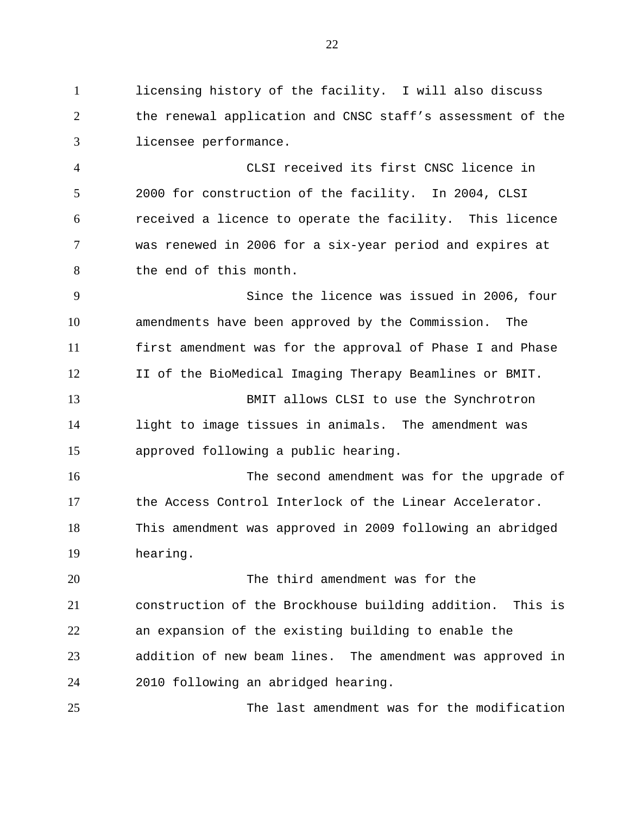licensing history of the facility. I will also discuss the renewal application and CNSC staff's assessment of the licensee performance. 1 2 3

CLSI received its first CNSC licence in 2000 for construction of the facility. In 2004, CLSI received a licence to operate the facility. This licence was renewed in 2006 for a six-year period and expires at the end of this month. 4 5 6 7 8

Since the licence was issued in 2006, four amendments have been approved by the Commission. The first amendment was for the approval of Phase I and Phase II of the BioMedical Imaging Therapy Beamlines or BMIT. BMIT allows CLSI to use the Synchrotron light to image tissues in animals. The amendment was approved following a public hearing. 9 10 11 12 13 14 15

The second amendment was for the upgrade of the Access Control Interlock of the Linear Accelerator. This amendment was approved in 2009 following an abridged hearing. 16 17 18 19

The third amendment was for the construction of the Brockhouse building addition. This is an expansion of the existing building to enable the addition of new beam lines. The amendment was approved in 2010 following an abridged hearing. 20 21 22 23 24

The last amendment was for the modification 25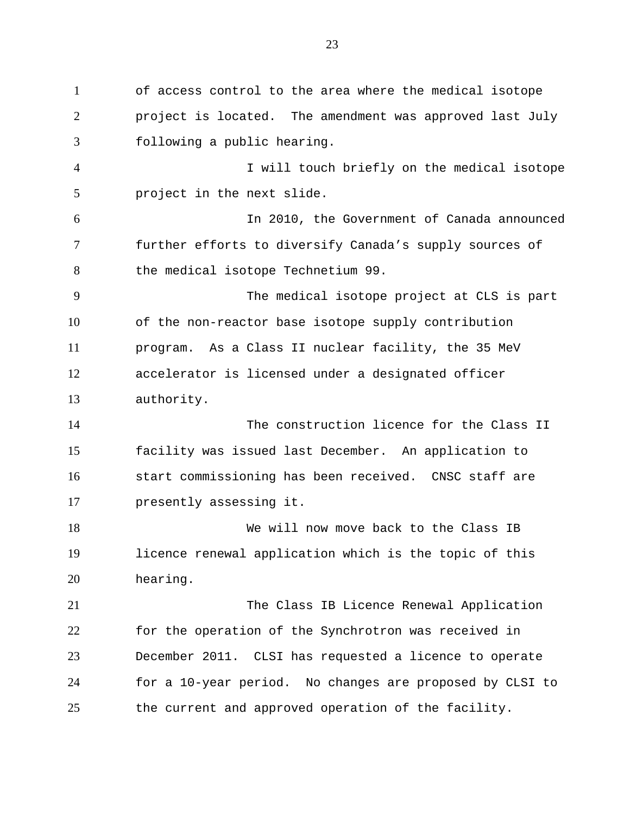of access control to the area where the medical isotope project is located. The amendment was approved last July following a public hearing. I will touch briefly on the medical isotope project in the next slide. In 2010, the Government of Canada announced further efforts to diversify Canada's supply sources of the medical isotope Technetium 99. The medical isotope project at CLS is part of the non-reactor base isotope supply contribution program. As a Class II nuclear facility, the 35 MeV accelerator is licensed under a designated officer authority. The construction licence for the Class II facility was issued last December. An application to start commissioning has been received. CNSC staff are presently assessing it. We will now move back to the Class IB licence renewal application which is the topic of this hearing. The Class IB Licence Renewal Application for the operation of the Synchrotron was received in December 2011. CLSI has requested a licence to operate for a 10-year period. No changes are proposed by CLSI to the current and approved operation of the facility. 1 2 3 4 5 6 7 8 9 10 11 12 13 14 15 16 17 18 19 20 21 22 23 24 25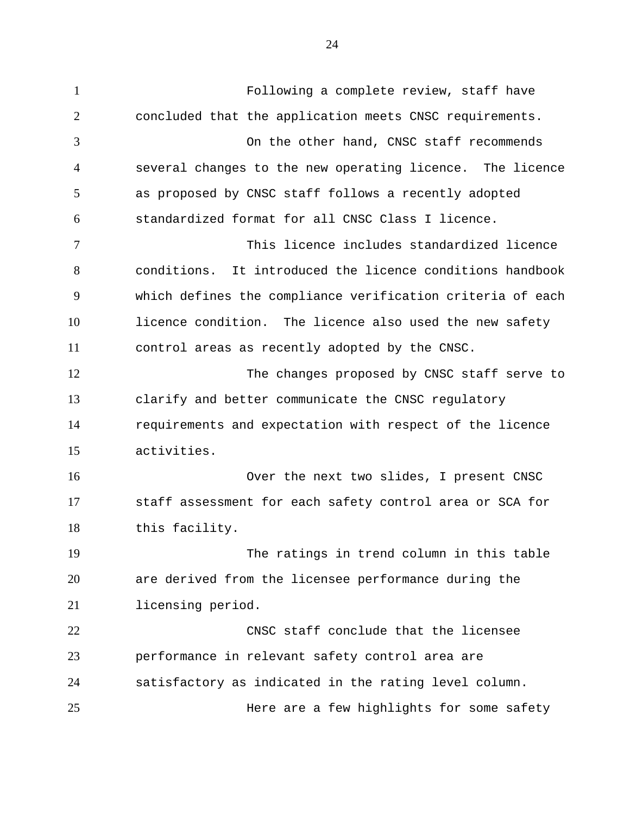Following a complete review, staff have concluded that the application meets CNSC requirements. On the other hand, CNSC staff recommends several changes to the new operating licence. The licence as proposed by CNSC staff follows a recently adopted standardized format for all CNSC Class I licence. This licence includes standardized licence conditions. It introduced the licence conditions handbook which defines the compliance verification criteria of each licence condition. The licence also used the new safety control areas as recently adopted by the CNSC. The changes proposed by CNSC staff serve to clarify and better communicate the CNSC regulatory requirements and expectation with respect of the licence activities. Over the next two slides, I present CNSC staff assessment for each safety control area or SCA for this facility. The ratings in trend column in this table are derived from the licensee performance during the licensing period. CNSC staff conclude that the licensee performance in relevant safety control area are satisfactory as indicated in the rating level column. Here are a few highlights for some safety 1 2 3 4 5 6 7 8 9 10 11 12 13 14 15 16 17 18 19 20 21 22 23 24 25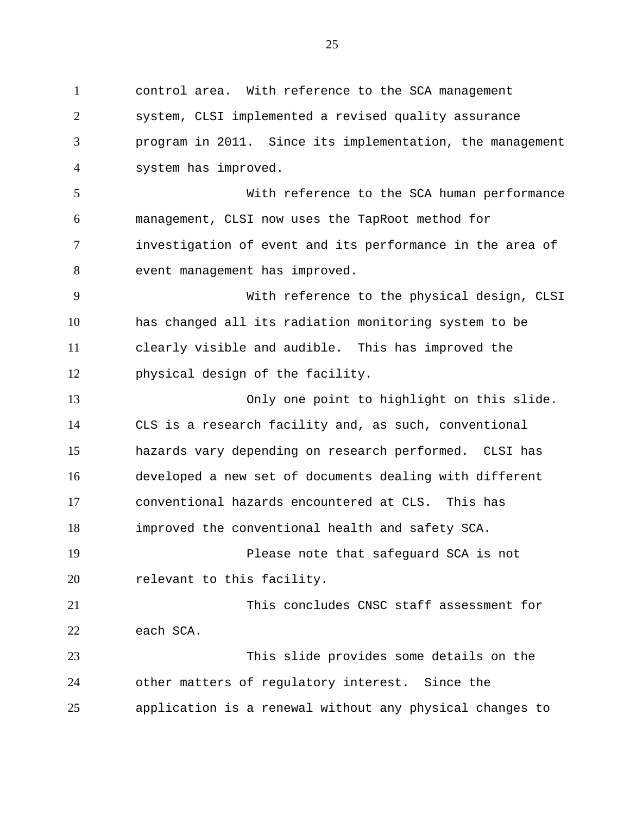control area. With reference to the SCA management system, CLSI implemented a revised quality assurance program in 2011. Since its implementation, the management system has improved. With reference to the SCA human performance management, CLSI now uses the TapRoot method for investigation of event and its performance in the area of event management has improved. With reference to the physical design, CLSI has changed all its radiation monitoring system to be clearly visible and audible. This has improved the physical design of the facility. Only one point to highlight on this slide. CLS is a research facility and, as such, conventional hazards vary depending on research performed. CLSI has developed a new set of documents dealing with different conventional hazards encountered at CLS. This has improved the conventional health and safety SCA. Please note that safeguard SCA is not relevant to this facility. This concludes CNSC staff assessment for each SCA. This slide provides some details on the other matters of regulatory interest. Since the application is a renewal without any physical changes to 1 2 3 4 5 6 7 8 9 10 11 12 13 14 15 16 17 18 19 20 21 22 23 24 25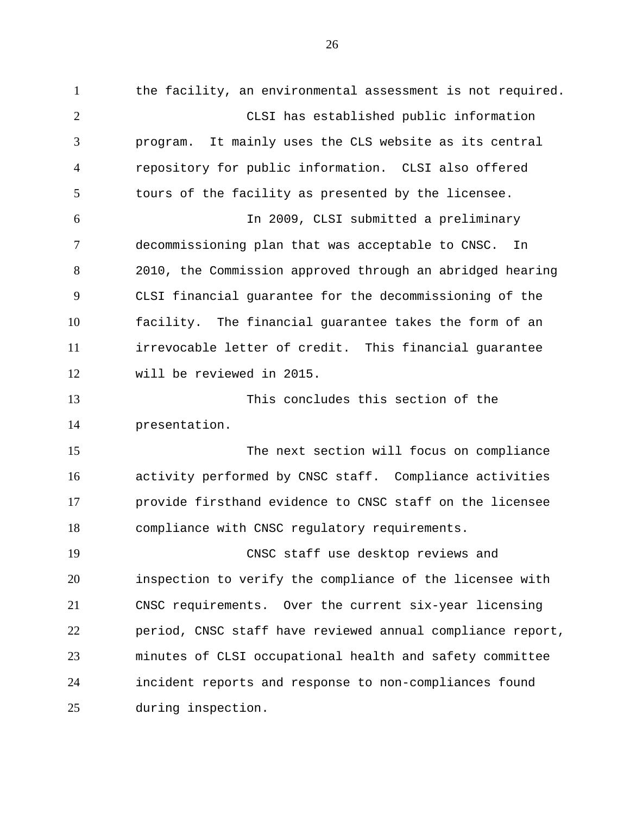the facility, an environmental assessment is not required. CLSI has established public information program. It mainly uses the CLS website as its central repository for public information. CLSI also offered tours of the facility as presented by the licensee. In 2009, CLSI submitted a preliminary decommissioning plan that was acceptable to CNSC. In 2010, the Commission approved through an abridged hearing CLSI financial guarantee for the decommissioning of the facility. The financial guarantee takes the form of an irrevocable letter of credit. This financial guarantee will be reviewed in 2015. This concludes this section of the presentation. The next section will focus on compliance activity performed by CNSC staff. Compliance activities provide firsthand evidence to CNSC staff on the licensee compliance with CNSC regulatory requirements. CNSC staff use desktop reviews and inspection to verify the compliance of the licensee with CNSC requirements. Over the current six-year licensing period, CNSC staff have reviewed annual compliance report, minutes of CLSI occupational health and safety committee incident reports and response to non-compliances found during inspection. 1 2 3 4 5 6 7 8 9 10 11 12 13 14 15 16 17 18 19 20 21 22 23 24 25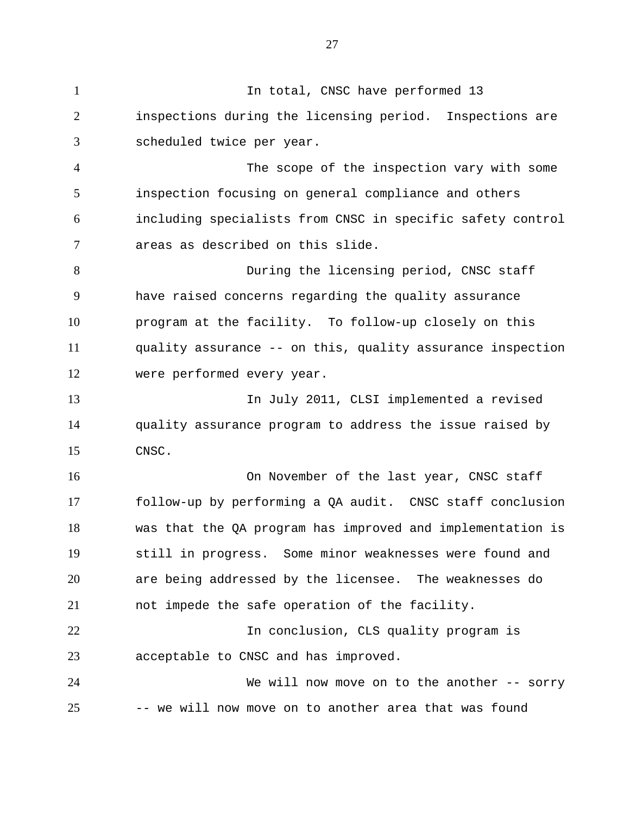In total, CNSC have performed 13 inspections during the licensing period. Inspections are scheduled twice per year. The scope of the inspection vary with some inspection focusing on general compliance and others including specialists from CNSC in specific safety control areas as described on this slide. During the licensing period, CNSC staff have raised concerns regarding the quality assurance program at the facility. To follow-up closely on this quality assurance -- on this, quality assurance inspection were performed every year. In July 2011, CLSI implemented a revised quality assurance program to address the issue raised by CNSC. On November of the last year, CNSC staff follow-up by performing a QA audit. CNSC staff conclusion was that the QA program has improved and implementation is still in progress. Some minor weaknesses were found and are being addressed by the licensee. The weaknesses do not impede the safe operation of the facility. In conclusion, CLS quality program is acceptable to CNSC and has improved. We will now move on to the another -- sorry -- we will now move on to another area that was found 1 2 3 4 5 6 7 8 9 10 11 12 13 14 15 16 17 18 19 20 21 22 23 24 25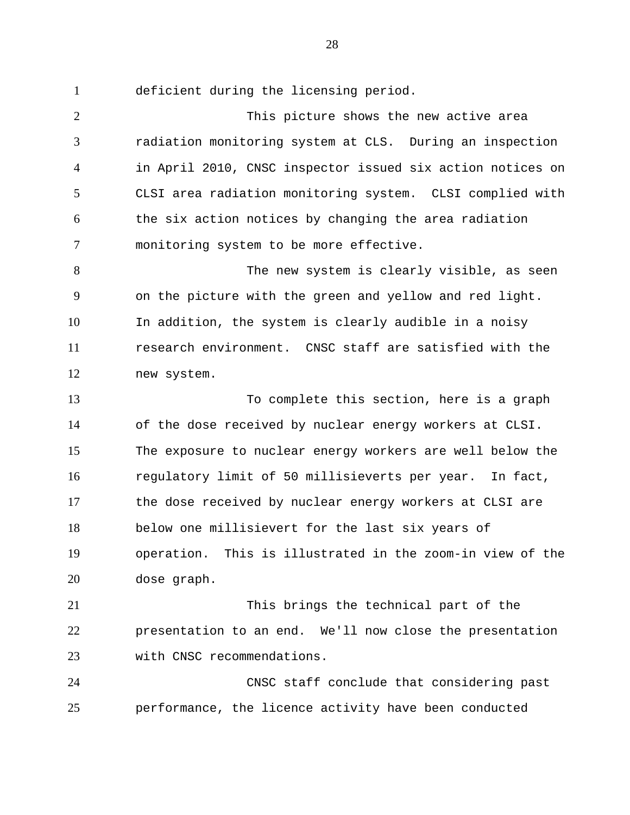deficient during the licensing period. 1

This picture shows the new active area radiation monitoring system at CLS. During an inspection in April 2010, CNSC inspector issued six action notices on CLSI area radiation monitoring system. CLSI complied with the six action notices by changing the area radiation monitoring system to be more effective. 2 3 4 5 6 7

The new system is clearly visible, as seen on the picture with the green and yellow and red light. In addition, the system is clearly audible in a noisy research environment. CNSC staff are satisfied with the new system. 8 9 10 11 12

To complete this section, here is a graph of the dose received by nuclear energy workers at CLSI. The exposure to nuclear energy workers are well below the regulatory limit of 50 millisieverts per year. In fact, the dose received by nuclear energy workers at CLSI are below one millisievert for the last six years of operation. This is illustrated in the zoom-in view of the dose graph. 13 14 15 16 17 18 19 20

This brings the technical part of the presentation to an end. We'll now close the presentation with CNSC recommendations. 21 22 23

CNSC staff conclude that considering past performance, the licence activity have been conducted 24 25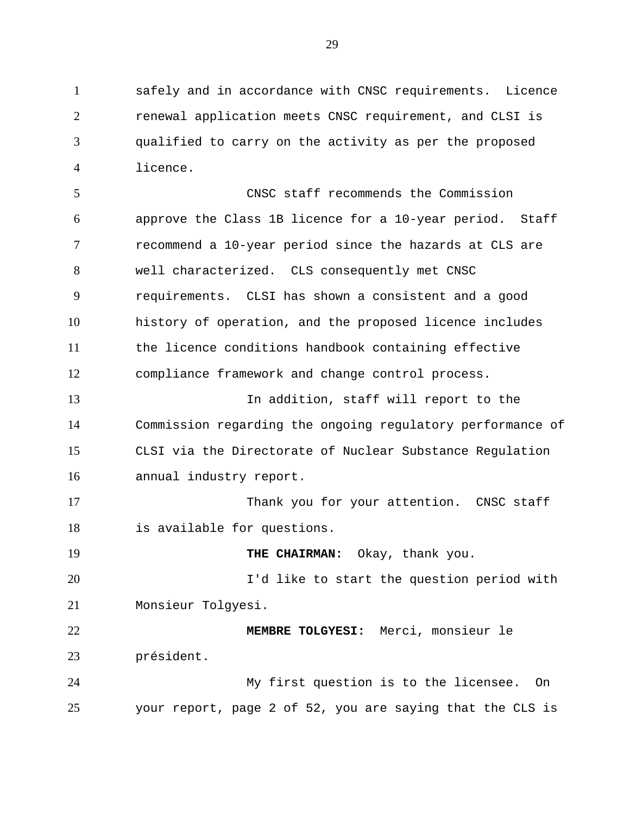safely and in accordance with CNSC requirements. Licence renewal application meets CNSC requirement, and CLSI is qualified to carry on the activity as per the proposed licence. 1 2 3 4

CNSC staff recommends the Commission approve the Class 1B licence for a 10-year period. Staff recommend a 10-year period since the hazards at CLS are well characterized. CLS consequently met CNSC requirements. CLSI has shown a consistent and a good history of operation, and the proposed licence includes the licence conditions handbook containing effective compliance framework and change control process. 5 6 7 8 9 10 11 12

In addition, staff will report to the Commission regarding the ongoing regulatory performance of CLSI via the Directorate of Nuclear Substance Regulation annual industry report. 13 14 15 16

Thank you for your attention. CNSC staff is available for questions. 17 18

**THE CHAIRMAN:** Okay, thank you. 19

I'd like to start the question period with Monsieur Tolgyesi. 20 21

**MEMBRE TOLGYESI:** Merci, monsieur le président. 22 23

My first question is to the licensee. On your report, page 2 of 52, you are saying that the CLS is 24 25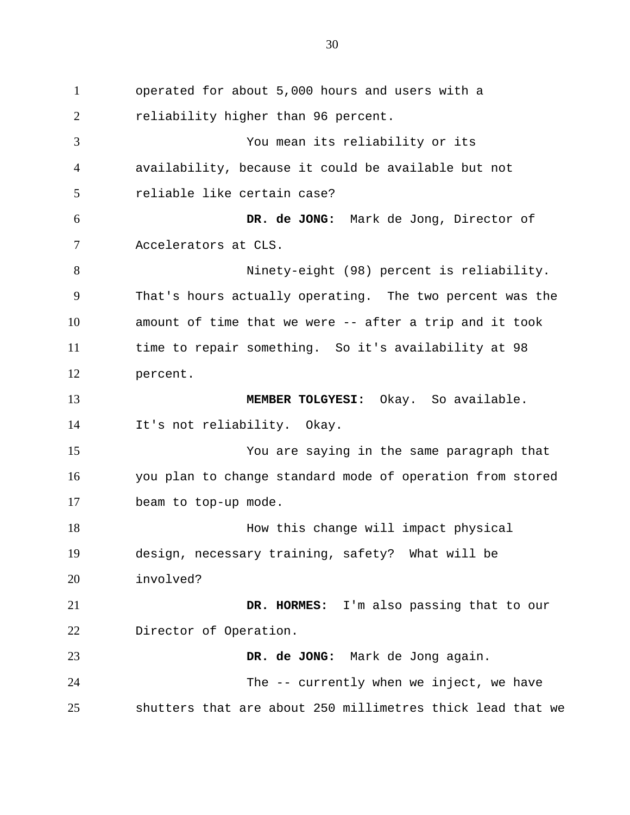operated for about 5,000 hours and users with a reliability higher than 96 percent. You mean its reliability or its availability, because it could be available but not reliable like certain case? **DR. de JONG:** Mark de Jong, Director of Accelerators at CLS. Ninety-eight (98) percent is reliability. That's hours actually operating. The two percent was the amount of time that we were -- after a trip and it took time to repair something. So it's availability at 98 percent. **MEMBER TOLGYESI:** Okay. So available. It's not reliability. Okay. You are saying in the same paragraph that you plan to change standard mode of operation from stored beam to top-up mode. How this change will impact physical design, necessary training, safety? What will be involved? **DR. HORMES:** I'm also passing that to our Director of Operation. **DR. de JONG:** Mark de Jong again. The -- currently when we inject, we have shutters that are about 250 millimetres thick lead that we 1 2 3 4 5 6 7 8 9 10 11 12 13 14 15 16 17 18 19 20 21 22 23 24 25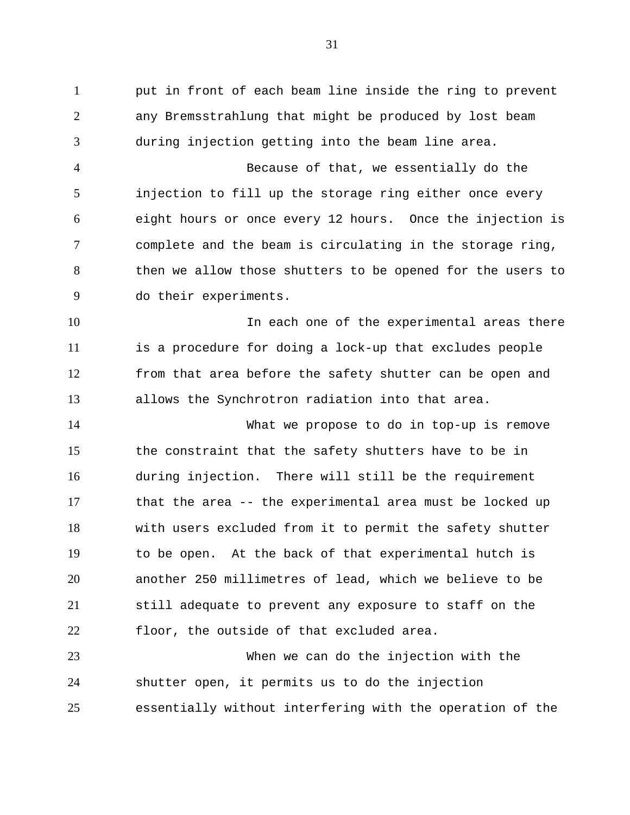put in front of each beam line inside the ring to prevent any Bremsstrahlung that might be produced by lost beam during injection getting into the beam line area. 1 2 3

Because of that, we essentially do the injection to fill up the storage ring either once every eight hours or once every 12 hours. Once the injection is complete and the beam is circulating in the storage ring, then we allow those shutters to be opened for the users to do their experiments. 4 5 6 7 8 9

In each one of the experimental areas there is a procedure for doing a lock-up that excludes people from that area before the safety shutter can be open and allows the Synchrotron radiation into that area. 10 11 12 13

What we propose to do in top-up is remove the constraint that the safety shutters have to be in during injection. There will still be the requirement that the area -- the experimental area must be locked up with users excluded from it to permit the safety shutter to be open. At the back of that experimental hutch is another 250 millimetres of lead, which we believe to be still adequate to prevent any exposure to staff on the floor, the outside of that excluded area. 14 15 16 17 18 19 20 21 22

When we can do the injection with the shutter open, it permits us to do the injection essentially without interfering with the operation of the 23 24 25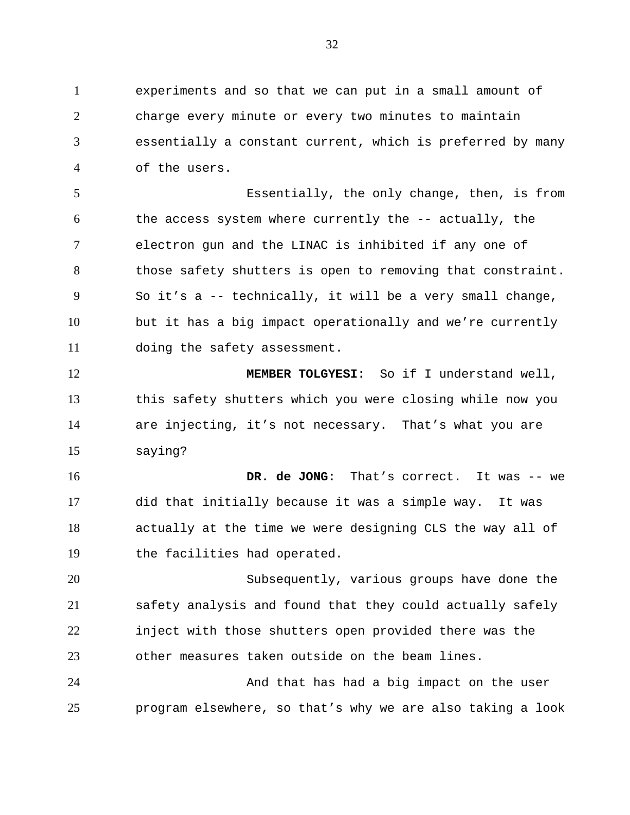experiments and so that we can put in a small amount of charge every minute or every two minutes to maintain essentially a constant current, which is preferred by many of the users. 1 2 3 4

Essentially, the only change, then, is from the access system where currently the -- actually, the electron gun and the LINAC is inhibited if any one of those safety shutters is open to removing that constraint. So it's a -- technically, it will be a very small change, but it has a big impact operationally and we're currently doing the safety assessment. 5 6 7 8 9 10 11

**MEMBER TOLGYESI:** So if I understand well, this safety shutters which you were closing while now you are injecting, it's not necessary. That's what you are saying? 12 13 14 15

**DR. de JONG:** That's correct. It was -- we did that initially because it was a simple way. It was actually at the time we were designing CLS the way all of the facilities had operated. 16 17 18 19

Subsequently, various groups have done the safety analysis and found that they could actually safely inject with those shutters open provided there was the other measures taken outside on the beam lines. 20 21 22 23

And that has had a big impact on the user program elsewhere, so that's why we are also taking a look 24 25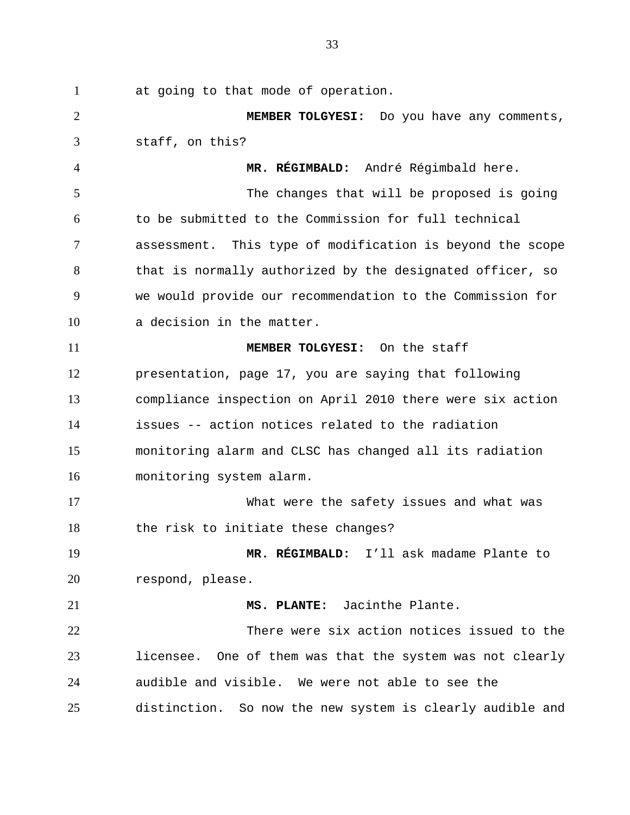at going to that mode of operation. 1

**MEMBER TOLGYESI:** Do you have any comments, staff, on this? 2 3

 **MR. RÉGIMBALD:** André Régimbald here. The changes that will be proposed is going to be submitted to the Commission for full technical assessment. This type of modification is beyond the scope that is normally authorized by the designated officer, so we would provide our recommendation to the Commission for a decision in the matter. 4 5 6 7 8 9 10

11

21

**MEMBER TOLGYESI:** On the staff

presentation, page 17, you are saying that following compliance inspection on April 2010 there were six action issues -- action notices related to the radiation monitoring alarm and CLSC has changed all its radiation monitoring system alarm. 12 13 14 15 16

What were the safety issues and what was the risk to initiate these changes? 17 18

**MR. RÉGIMBALD:** I'll ask madame Plante to respond, please. 19 20

 **MS. PLANTE:** Jacinthe Plante.

There were six action notices issued to the licensee. One of them was that the system was not clearly audible and visible. We were not able to see the distinction. So now the new system is clearly audible and 22 23 24 25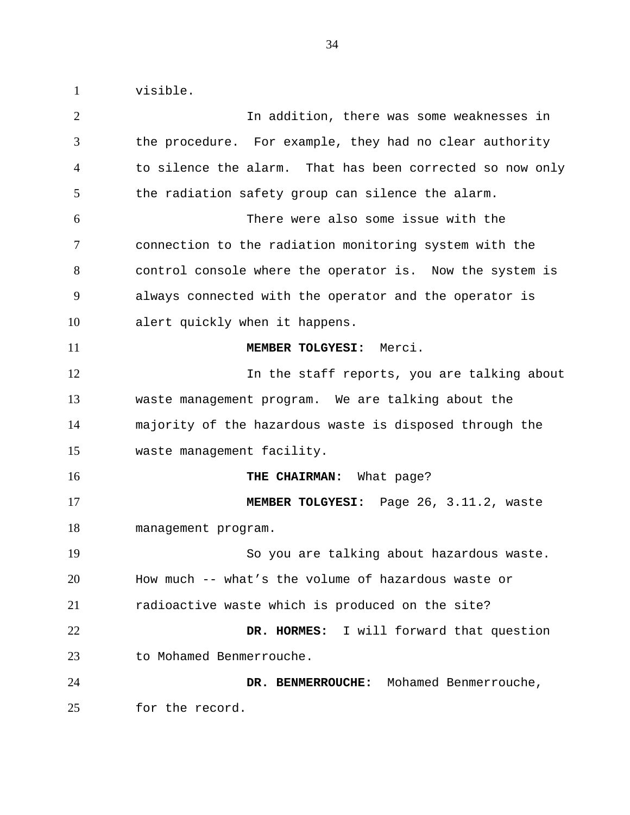visible.

1

In addition, there was some weaknesses in the procedure. For example, they had no clear authority to silence the alarm. That has been corrected so now only the radiation safety group can silence the alarm. There were also some issue with the connection to the radiation monitoring system with the control console where the operator is. Now the system is always connected with the operator and the operator is alert quickly when it happens. **MEMBER TOLGYESI:** Merci. In the staff reports, you are talking about waste management program. We are talking about the majority of the hazardous waste is disposed through the waste management facility. **THE CHAIRMAN:** What page? **MEMBER TOLGYESI:** Page 26, 3.11.2, waste management program. So you are talking about hazardous waste. How much -- what's the volume of hazardous waste or radioactive waste which is produced on the site? **DR. HORMES:** I will forward that question to Mohamed Benmerrouche. **DR. BENMERROUCHE:** Mohamed Benmerrouche, for the record. 2 3 4 5 6 7 8 9 10 11 12 13 14 15 16 17 18 19 20 21 22 23 24 25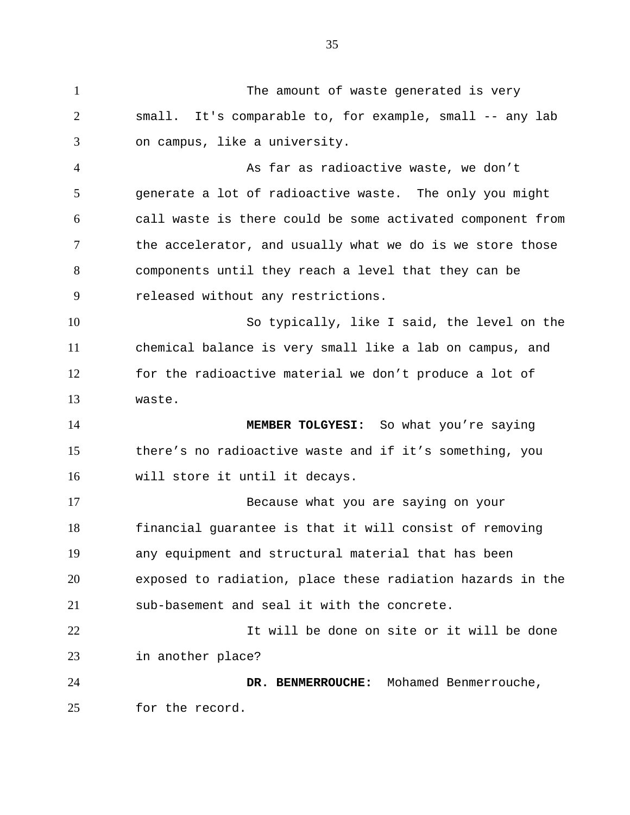The amount of waste generated is very small. It's comparable to, for example, small -- any lab on campus, like a university. As far as radioactive waste, we don't generate a lot of radioactive waste. The only you might call waste is there could be some activated component from the accelerator, and usually what we do is we store those components until they reach a level that they can be released without any restrictions. So typically, like I said, the level on the chemical balance is very small like a lab on campus, and for the radioactive material we don't produce a lot of waste. **MEMBER TOLGYESI:** So what you're saying there's no radioactive waste and if it's something, you will store it until it decays. Because what you are saying on your financial guarantee is that it will consist of removing any equipment and structural material that has been exposed to radiation, place these radiation hazards in the sub-basement and seal it with the concrete. It will be done on site or it will be done in another place? **DR. BENMERROUCHE:** Mohamed Benmerrouche, for the record. 1 2 3 4 5 6 7 8 9 10 11 12 13 14 15 16 17 18 19 20 21 22 23 24 25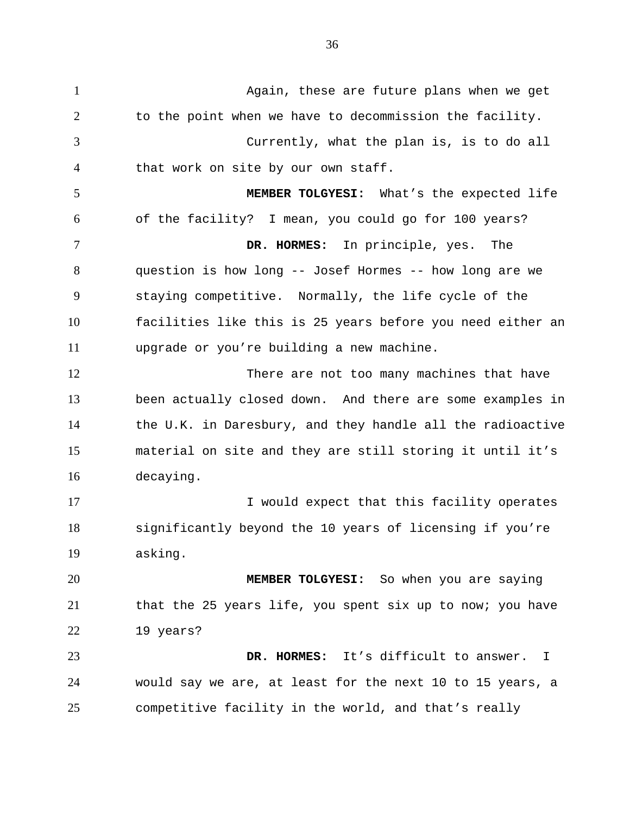Again, these are future plans when we get to the point when we have to decommission the facility. Currently, what the plan is, is to do all that work on site by our own staff. **MEMBER TOLGYESI:** What's the expected life of the facility? I mean, you could go for 100 years? **DR. HORMES:** In principle, yes. The question is how long -- Josef Hormes -- how long are we staying competitive. Normally, the life cycle of the facilities like this is 25 years before you need either an upgrade or you're building a new machine. There are not too many machines that have been actually closed down. And there are some examples in the U.K. in Daresbury, and they handle all the radioactive material on site and they are still storing it until it's decaying. I would expect that this facility operates significantly beyond the 10 years of licensing if you're asking. **MEMBER TOLGYESI:** So when you are saying that the 25 years life, you spent six up to now; you have 19 years?  **DR. HORMES:** It's difficult to answer. I would say we are, at least for the next 10 to 15 years, a competitive facility in the world, and that's really 1 2 3 4 5 6 7 8 9 10 11 12 13 14 15 16 17 18 19 20 21 22 23 24 25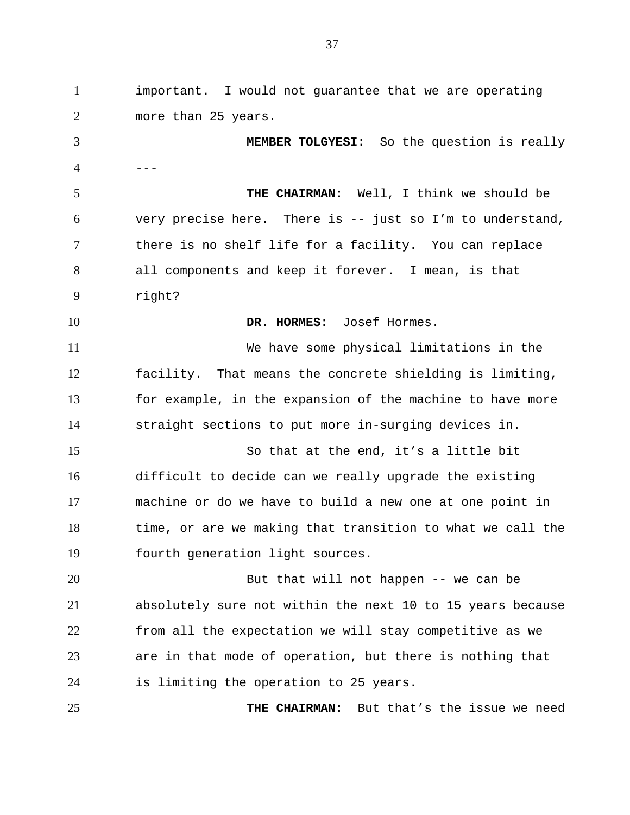important. I would not guarantee that we are operating more than 25 years. **MEMBER TOLGYESI:** So the question is really --- **THE CHAIRMAN:** Well, I think we should be very precise here. There is -- just so I'm to understand, there is no shelf life for a facility. You can replace all components and keep it forever. I mean, is that right? **DR. HORMES:** Josef Hormes. We have some physical limitations in the facility. That means the concrete shielding is limiting, for example, in the expansion of the machine to have more straight sections to put more in-surging devices in. So that at the end, it's a little bit difficult to decide can we really upgrade the existing machine or do we have to build a new one at one point in time, or are we making that transition to what we call the fourth generation light sources. But that will not happen -- we can be absolutely sure not within the next 10 to 15 years because from all the expectation we will stay competitive as we are in that mode of operation, but there is nothing that is limiting the operation to 25 years. **THE CHAIRMAN:** But that's the issue we need 1 2 3 4 5 6 7 8 9 10 11 12 13 14 15 16 17 18 19 20 21 22 23 24 25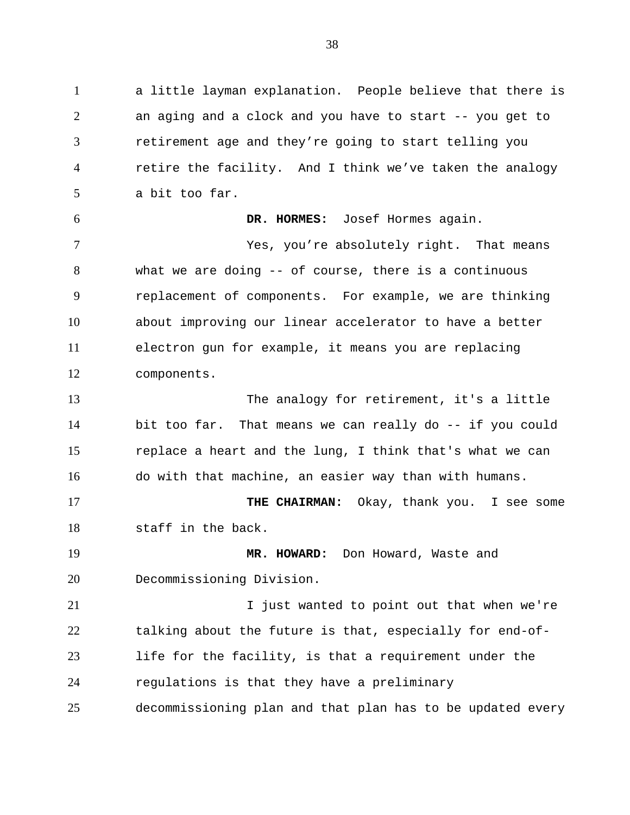a little layman explanation. People believe that there is an aging and a clock and you have to start -- you get to retirement age and they're going to start telling you retire the facility. And I think we've taken the analogy a bit too far. **DR. HORMES:** Josef Hormes again. Yes, you're absolutely right. That means what we are doing -- of course, there is a continuous replacement of components. For example, we are thinking about improving our linear accelerator to have a better electron gun for example, it means you are replacing components. The analogy for retirement, it's a little bit too far. That means we can really do -- if you could replace a heart and the lung, I think that's what we can do with that machine, an easier way than with humans. **THE CHAIRMAN:** Okay, thank you. I see some staff in the back. **MR. HOWARD:** Don Howard, Waste and Decommissioning Division. I just wanted to point out that when we're talking about the future is that, especially for end-oflife for the facility, is that a requirement under the regulations is that they have a preliminary 1 2 3 4 5 6 7 8 9 10 11 12 13 14 15 16 17 18 19 20 21 22 23 24

decommissioning plan and that plan has to be updated every

25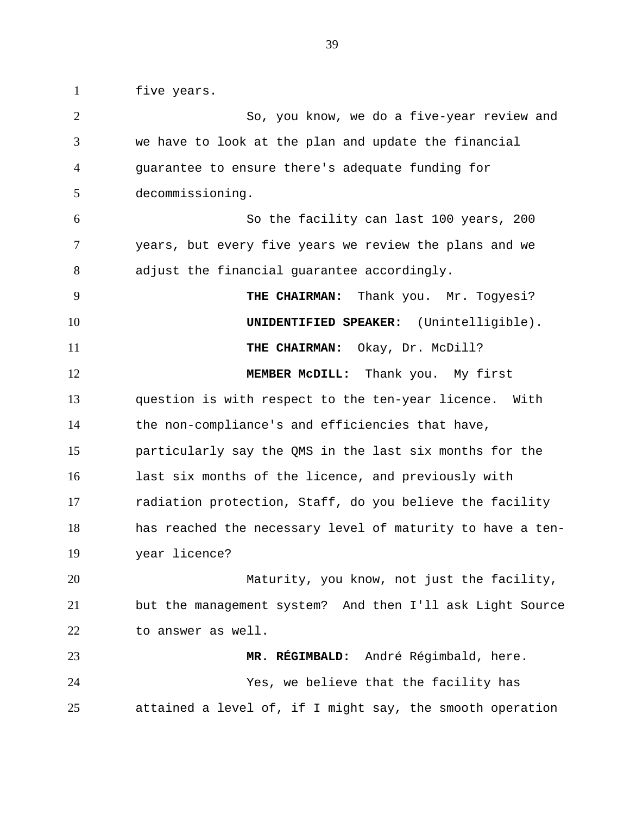five years.

1

So, you know, we do a five-year review and we have to look at the plan and update the financial guarantee to ensure there's adequate funding for decommissioning. So the facility can last 100 years, 200 years, but every five years we review the plans and we adjust the financial guarantee accordingly. **THE CHAIRMAN:** Thank you. Mr. Togyesi? **UNIDENTIFIED SPEAKER:** (Unintelligible). **THE CHAIRMAN:** Okay, Dr. McDill? **MEMBER McDILL:** Thank you. My first question is with respect to the ten-year licence. With the non-compliance's and efficiencies that have, particularly say the QMS in the last six months for the last six months of the licence, and previously with radiation protection, Staff, do you believe the facility has reached the necessary level of maturity to have a tenyear licence? Maturity, you know, not just the facility, but the management system? And then I'll ask Light Source to answer as well. **MR. RÉGIMBALD:** André Régimbald, here. Yes, we believe that the facility has attained a level of, if I might say, the smooth operation 2 3 4 5 6 7 8 9 10 11 12 13 14 15 16 17 18 19 20 21 22 23 24 25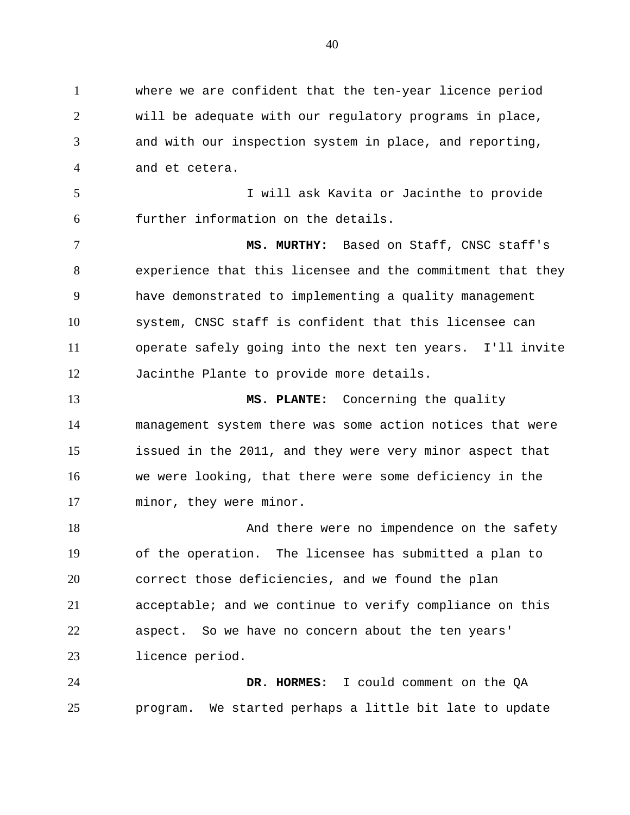where we are confident that the ten-year licence period will be adequate with our regulatory programs in place, and with our inspection system in place, and reporting, and et cetera. 1 2 3 4

I will ask Kavita or Jacinthe to provide further information on the details. 5 6

**MS. MURTHY:** Based on Staff, CNSC staff's experience that this licensee and the commitment that they have demonstrated to implementing a quality management system, CNSC staff is confident that this licensee can operate safely going into the next ten years. I'll invite Jacinthe Plante to provide more details. 7 8 9 10 11 12

**MS. PLANTE:** Concerning the quality management system there was some action notices that were issued in the 2011, and they were very minor aspect that we were looking, that there were some deficiency in the minor, they were minor. 13 14 15 16 17

And there were no impendence on the safety of the operation. The licensee has submitted a plan to correct those deficiencies, and we found the plan acceptable; and we continue to verify compliance on this aspect. So we have no concern about the ten years' licence period. 18 19 20 21 22 23

**DR. HORMES:** I could comment on the QA program. We started perhaps a little bit late to update 24 25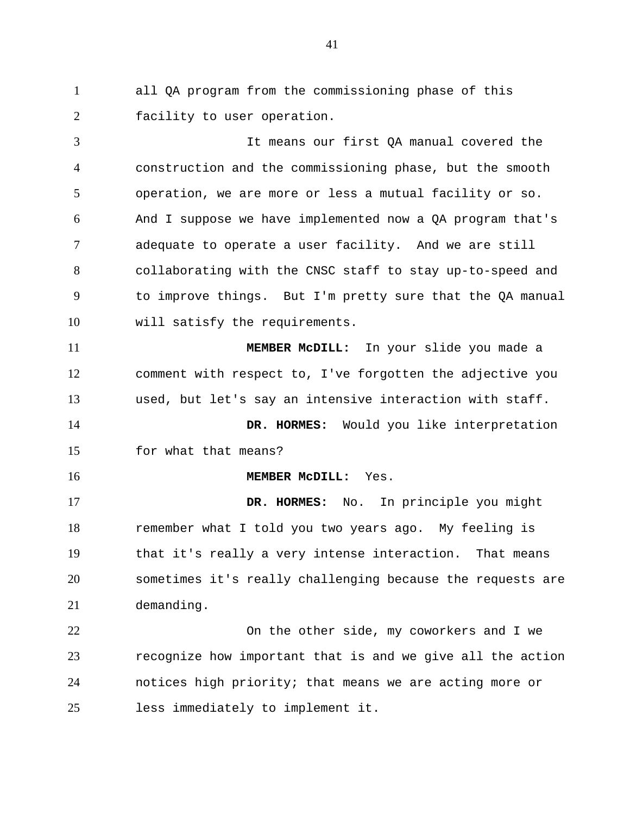all QA program from the commissioning phase of this facility to user operation. 1 2

It means our first QA manual covered the construction and the commissioning phase, but the smooth operation, we are more or less a mutual facility or so. And I suppose we have implemented now a QA program that's adequate to operate a user facility. And we are still collaborating with the CNSC staff to stay up-to-speed and to improve things. But I'm pretty sure that the QA manual will satisfy the requirements. 3 4 5 6 7 8 9 10

**MEMBER McDILL:** In your slide you made a comment with respect to, I've forgotten the adjective you used, but let's say an intensive interaction with staff. 11 12 13

**DR. HORMES:** Would you like interpretation for what that means? 14 15

**MEMBER McDILL:** Yes.

16

**DR. HORMES:** No. In principle you might remember what I told you two years ago. My feeling is that it's really a very intense interaction. That means sometimes it's really challenging because the requests are demanding. 17 18 19 20 21

On the other side, my coworkers and I we recognize how important that is and we give all the action notices high priority; that means we are acting more or less immediately to implement it. 22 23 24 25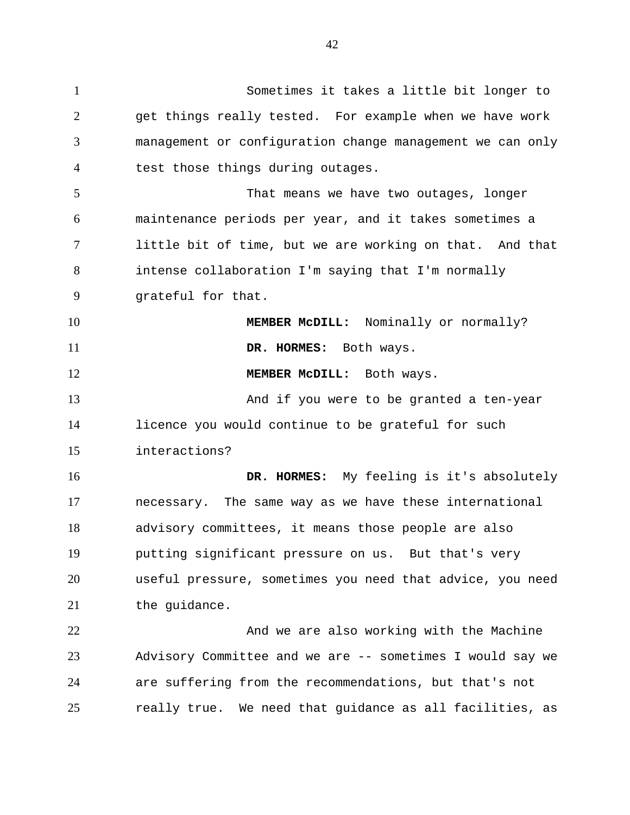Sometimes it takes a little bit longer to get things really tested. For example when we have work management or configuration change management we can only test those things during outages. That means we have two outages, longer maintenance periods per year, and it takes sometimes a little bit of time, but we are working on that. And that intense collaboration I'm saying that I'm normally grateful for that. **MEMBER McDILL:** Nominally or normally? **DR. HORMES:** Both ways. **MEMBER McDILL:** Both ways. And if you were to be granted a ten-year licence you would continue to be grateful for such interactions? **DR. HORMES:** My feeling is it's absolutely necessary. The same way as we have these international advisory committees, it means those people are also putting significant pressure on us. But that's very useful pressure, sometimes you need that advice, you need the guidance. And we are also working with the Machine Advisory Committee and we are -- sometimes I would say we are suffering from the recommendations, but that's not 1 2 3 4 5 6 7 8 9 10 11 12 13 14 15 16 17 18 19 20 21 22 23 24

really true. We need that guidance as all facilities, as

25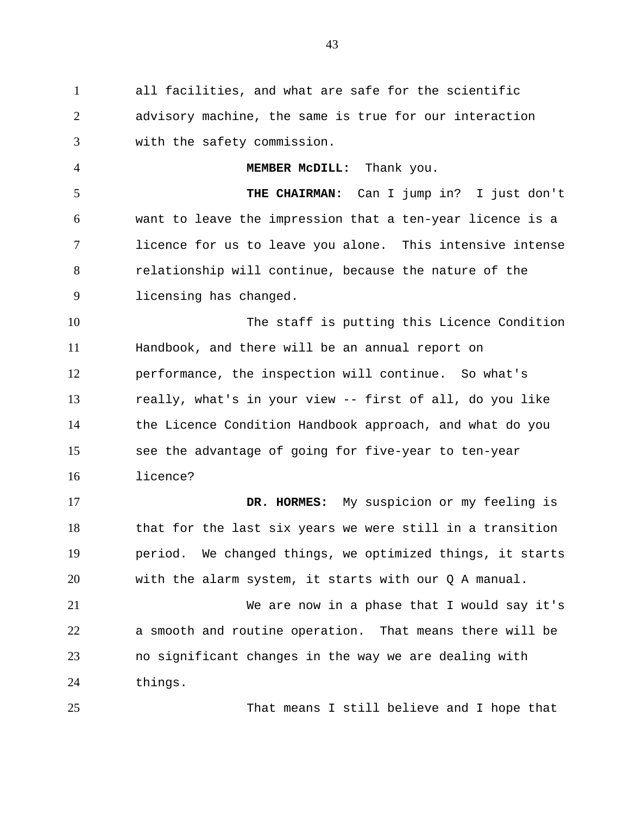all facilities, and what are safe for the scientific advisory machine, the same is true for our interaction with the safety commission. 1 2 3

4

25

**THE CHAIRMAN:** Can I jump in? I just don't want to leave the impression that a ten-year licence is a licence for us to leave you alone. This intensive intense relationship will continue, because the nature of the licensing has changed. 5 6 7 8 9

The staff is putting this Licence Condition Handbook, and there will be an annual report on performance, the inspection will continue. So what's really, what's in your view -- first of all, do you like the Licence Condition Handbook approach, and what do you see the advantage of going for five-year to ten-year licence? 10 11 12 13 14 15 16

**DR. HORMES:** My suspicion or my feeling is that for the last six years we were still in a transition period. We changed things, we optimized things, it starts with the alarm system, it starts with our Q A manual. 17 18 19 20

We are now in a phase that I would say it's a smooth and routine operation. That means there will be no significant changes in the way we are dealing with things. 21 22 23 24

That means I still believe and I hope that

43

**MEMBER McDILL:** Thank you.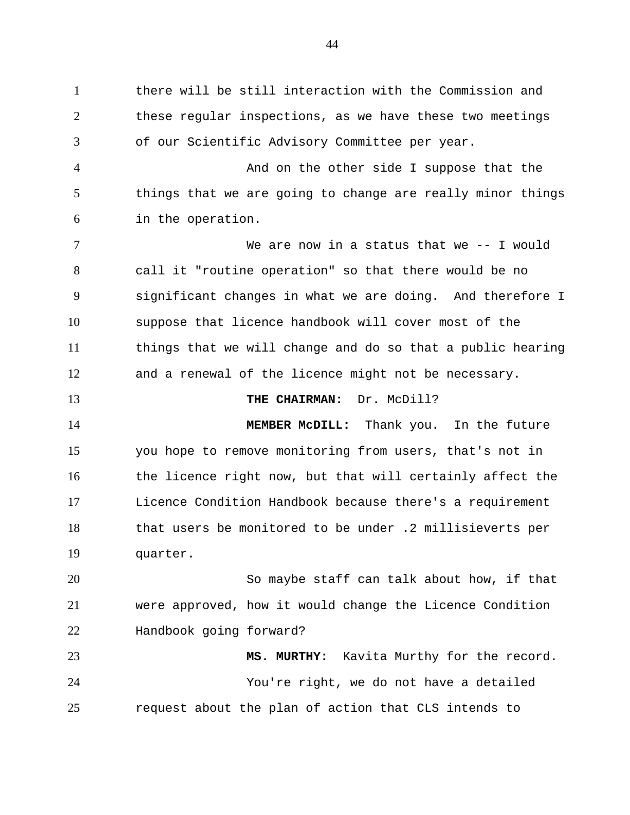there will be still interaction with the Commission and these regular inspections, as we have these two meetings of our Scientific Advisory Committee per year. And on the other side I suppose that the things that we are going to change are really minor things in the operation. We are now in a status that we -- I would call it "routine operation" so that there would be no significant changes in what we are doing. And therefore I suppose that licence handbook will cover most of the things that we will change and do so that a public hearing and a renewal of the licence might not be necessary. **THE CHAIRMAN:** Dr. McDill? **MEMBER McDILL:** Thank you. In the future you hope to remove monitoring from users, that's not in the licence right now, but that will certainly affect the Licence Condition Handbook because there's a requirement that users be monitored to be under .2 millisieverts per quarter. So maybe staff can talk about how, if that were approved, how it would change the Licence Condition Handbook going forward? **MS. MURTHY:** Kavita Murthy for the record. You're right, we do not have a detailed request about the plan of action that CLS intends to 1 2 3 4 5 6 7 8 9 10 11 12 13 14 15 16 17 18 19 20 21 22 23 24 25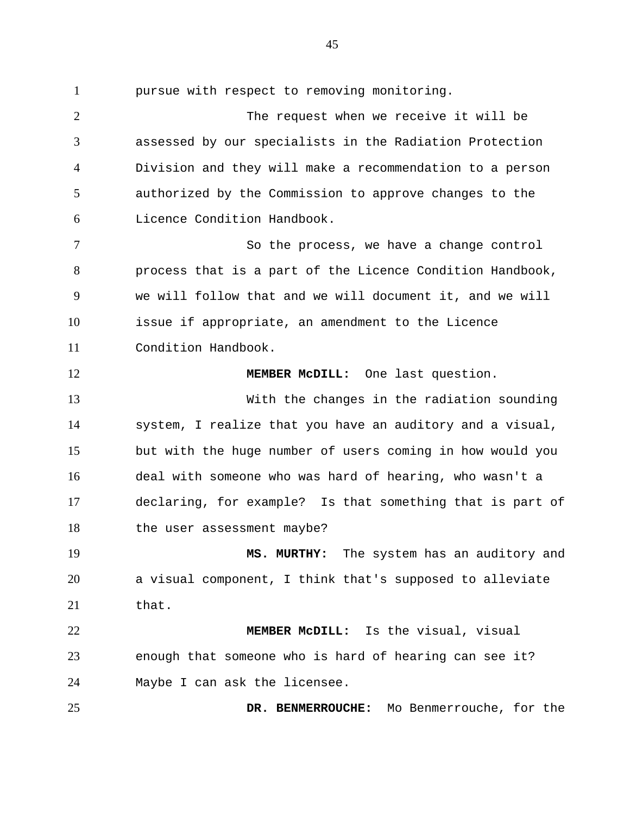1

12

25

pursue with respect to removing monitoring.

The request when we receive it will be assessed by our specialists in the Radiation Protection Division and they will make a recommendation to a person authorized by the Commission to approve changes to the Licence Condition Handbook. 2 3 4 5 6

So the process, we have a change control process that is a part of the Licence Condition Handbook, we will follow that and we will document it, and we will issue if appropriate, an amendment to the Licence Condition Handbook. 7 8 9 10 11

**MEMBER McDILL:** One last question.

With the changes in the radiation sounding system, I realize that you have an auditory and a visual, but with the huge number of users coming in how would you deal with someone who was hard of hearing, who wasn't a declaring, for example? Is that something that is part of the user assessment maybe? 13 14 15 16 17 18

**MS. MURTHY:** The system has an auditory and a visual component, I think that's supposed to alleviate that. 19 20 21

**MEMBER McDILL:** Is the visual, visual enough that someone who is hard of hearing can see it? Maybe I can ask the licensee. 22 23 24

**DR. BENMERROUCHE:** Mo Benmerrouche, for the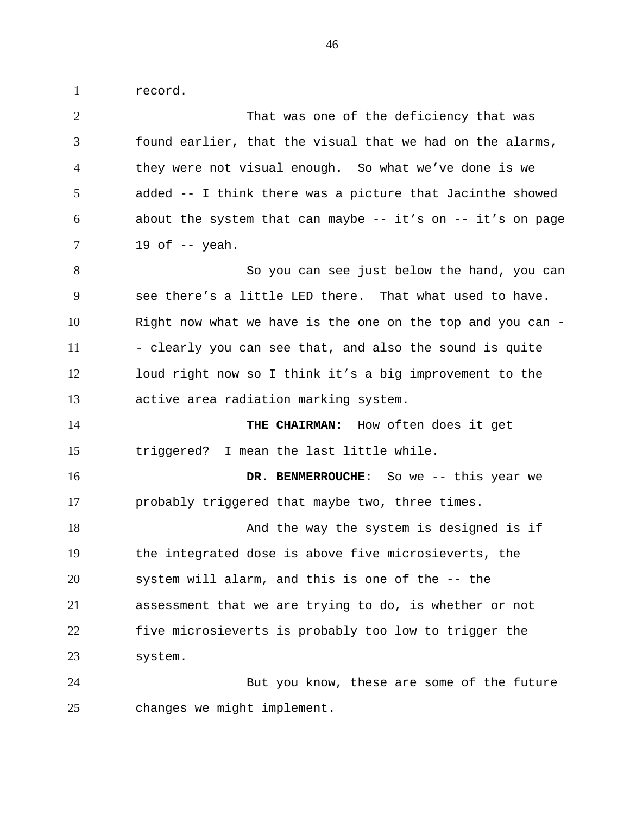record.

1

That was one of the deficiency that was found earlier, that the visual that we had on the alarms, they were not visual enough. So what we've done is we added -- I think there was a picture that Jacinthe showed about the system that can maybe  $- - it's$  on  $- - it's$  on page 19 of  $-$  yeah. So you can see just below the hand, you can see there's a little LED there. That what used to have. Right now what we have is the one on the top and you can - - clearly you can see that, and also the sound is quite loud right now so I think it's a big improvement to the active area radiation marking system. **THE CHAIRMAN:** How often does it get triggered? I mean the last little while. **DR. BENMERROUCHE:** So we -- this year we probably triggered that maybe two, three times. And the way the system is designed is if the integrated dose is above five microsieverts, the system will alarm, and this is one of the -- the assessment that we are trying to do, is whether or not five microsieverts is probably too low to trigger the system. But you know, these are some of the future changes we might implement. 2 3 4 5 6 7 8 9 10 11 12 13 14 15 16 17 18 19 20 21 22 23 24 25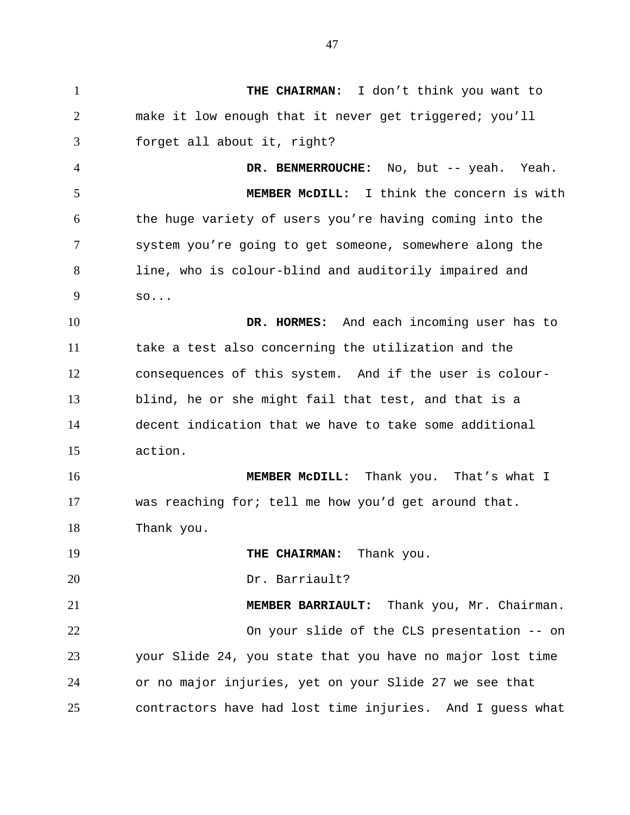**THE CHAIRMAN:** I don't think you want to make it low enough that it never get triggered; you'll forget all about it, right? **DR. BENMERROUCHE:** No, but -- yeah. Yeah. **MEMBER McDILL:** I think the concern is with the huge variety of users you're having coming into the system you're going to get someone, somewhere along the line, who is colour-blind and auditorily impaired and so... **DR. HORMES:** And each incoming user has to take a test also concerning the utilization and the consequences of this system. And if the user is colourblind, he or she might fail that test, and that is a decent indication that we have to take some additional action.  **MEMBER McDILL:** Thank you. That's what I was reaching for; tell me how you'd get around that. Thank you.  **THE CHAIRMAN:** Thank you. Dr. Barriault? **MEMBER BARRIAULT:** Thank you, Mr. Chairman. On your slide of the CLS presentation -- on your Slide 24, you state that you have no major lost time or no major injuries, yet on your Slide 27 we see that contractors have had lost time injuries. And I guess what 1 2 3 4 5 6 7 8 9 10 11 12 13 14 15 16 17 18 19 20 21 22 23 24 25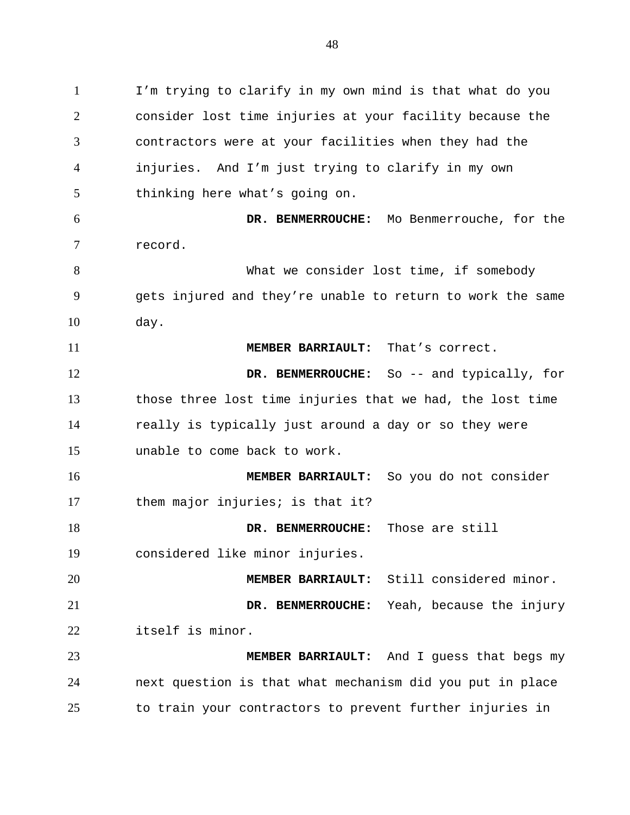I'm trying to clarify in my own mind is that what do you consider lost time injuries at your facility because the contractors were at your facilities when they had the injuries. And I'm just trying to clarify in my own thinking here what's going on. **DR. BENMERROUCHE:** Mo Benmerrouche, for the record. What we consider lost time, if somebody gets injured and they're unable to return to work the same day. **MEMBER BARRIAULT:** That's correct. **DR. BENMERROUCHE:** So -- and typically, for those three lost time injuries that we had, the lost time really is typically just around a day or so they were unable to come back to work.  **MEMBER BARRIAULT:** So you do not consider them major injuries; is that it? **DR. BENMERROUCHE:** Those are still considered like minor injuries.  **MEMBER BARRIAULT:** Still considered minor. **DR. BENMERROUCHE:** Yeah, because the injury itself is minor.  **MEMBER BARRIAULT:** And I guess that begs my next question is that what mechanism did you put in place to train your contractors to prevent further injuries in 1 2 3 4 5 6 7 8 9 10 11 12 13 14 15 16 17 18 19 20 21 22 23 24 25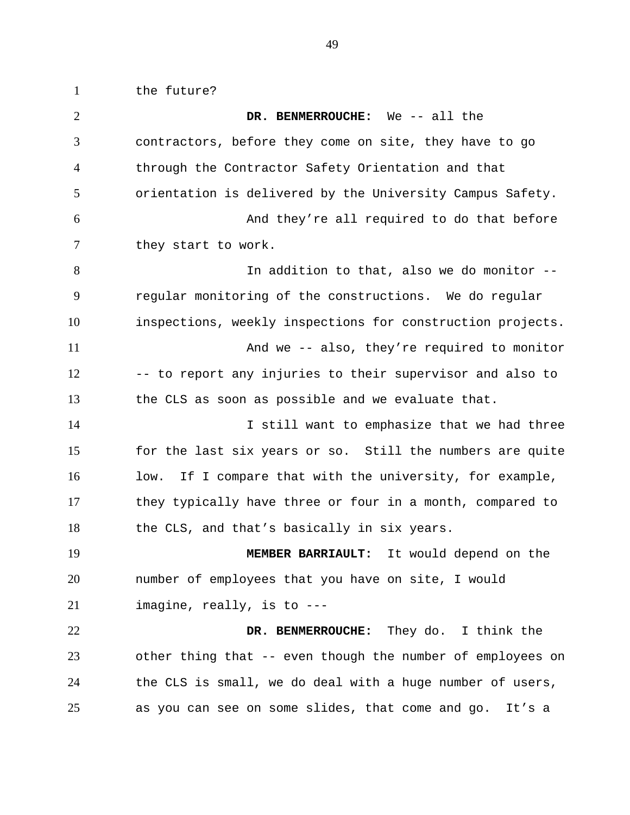the future?

1

**DR. BENMERROUCHE:** We -- all the contractors, before they come on site, they have to go through the Contractor Safety Orientation and that orientation is delivered by the University Campus Safety. And they're all required to do that before they start to work. In addition to that, also we do monitor - regular monitoring of the constructions. We do regular inspections, weekly inspections for construction projects. And we -- also, they're required to monitor -- to report any injuries to their supervisor and also to the CLS as soon as possible and we evaluate that. I still want to emphasize that we had three for the last six years or so. Still the numbers are quite low. If I compare that with the university, for example, they typically have three or four in a month, compared to the CLS, and that's basically in six years. **MEMBER BARRIAULT:** It would depend on the number of employees that you have on site, I would imagine, really, is to --- **DR. BENMERROUCHE:** They do. I think the other thing that -- even though the number of employees on the CLS is small, we do deal with a huge number of users, as you can see on some slides, that come and go. It's a 2 3 4 5 6 7 8 9 10 11 12 13 14 15 16 17 18 19 20 21 22 23 24 25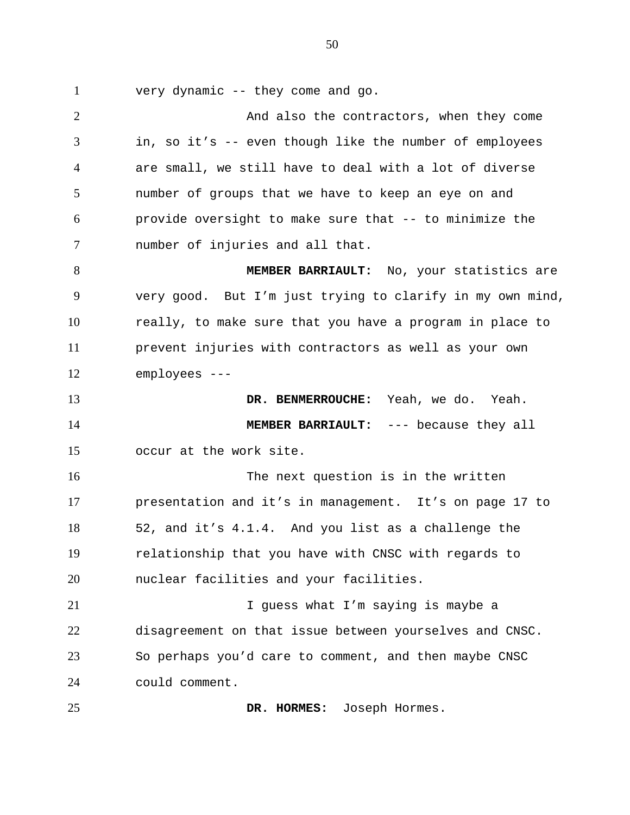very dynamic -- they come and go. 1

And also the contractors, when they come in, so it's -- even though like the number of employees are small, we still have to deal with a lot of diverse number of groups that we have to keep an eye on and provide oversight to make sure that -- to minimize the number of injuries and all that. **MEMBER BARRIAULT:** No, your statistics are very good. But I'm just trying to clarify in my own mind, really, to make sure that you have a program in place to prevent injuries with contractors as well as your own employees --- **DR. BENMERROUCHE:** Yeah, we do. Yeah.  **MEMBER BARRIAULT:** --- because they all occur at the work site. The next question is in the written presentation and it's in management. It's on page 17 to 52, and it's 4.1.4. And you list as a challenge the relationship that you have with CNSC with regards to nuclear facilities and your facilities. I guess what I'm saying is maybe a disagreement on that issue between yourselves and CNSC. So perhaps you'd care to comment, and then maybe CNSC could comment. **DR. HORMES:** Joseph Hormes. 2 3 4 5 6 7 8 9 10 11 12 13 14 15 16 17 18 19 20 21 22 23 24 25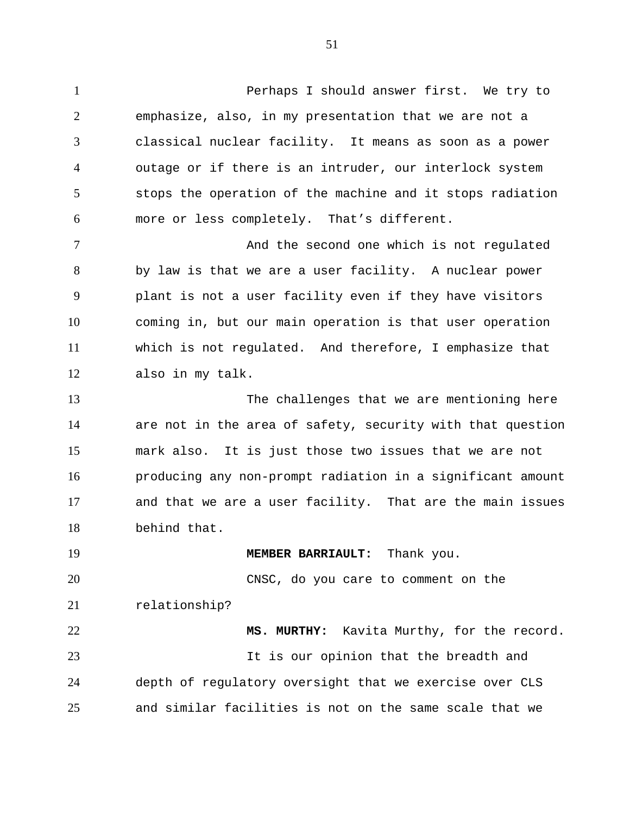Perhaps I should answer first. We try to emphasize, also, in my presentation that we are not a classical nuclear facility. It means as soon as a power outage or if there is an intruder, our interlock system stops the operation of the machine and it stops radiation more or less completely. That's different. 1 2 3 4 5 6

And the second one which is not regulated by law is that we are a user facility. A nuclear power plant is not a user facility even if they have visitors coming in, but our main operation is that user operation which is not regulated. And therefore, I emphasize that also in my talk. 7 8 9 10 11 12

The challenges that we are mentioning here are not in the area of safety, security with that question mark also. It is just those two issues that we are not producing any non-prompt radiation in a significant amount and that we are a user facility. That are the main issues behind that. 13 14 15 16 17 18

**MEMBER BARRIAULT:** Thank you. CNSC, do you care to comment on the relationship? **MS. MURTHY:** Kavita Murthy, for the record. It is our opinion that the breadth and depth of regulatory oversight that we exercise over CLS and similar facilities is not on the same scale that we 19 20 21 22 23 24 25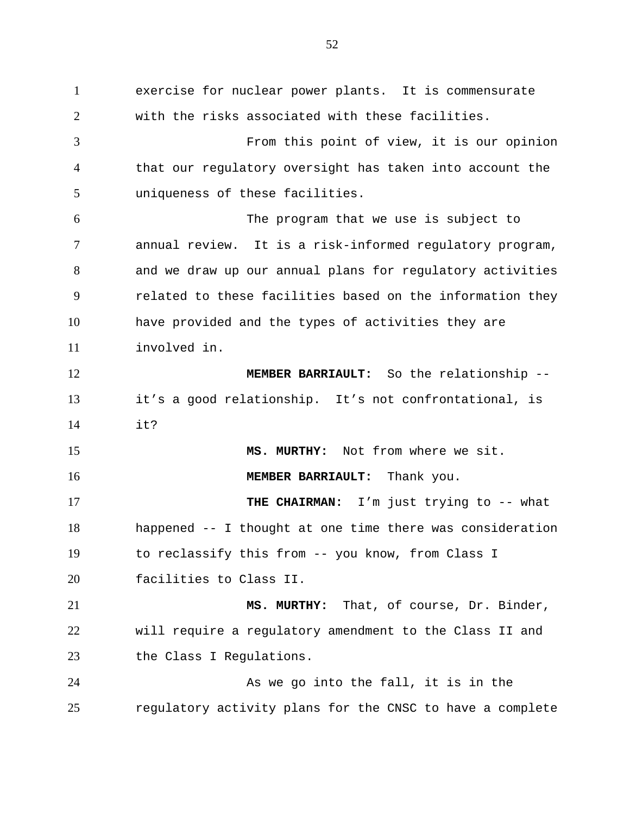exercise for nuclear power plants. It is commensurate with the risks associated with these facilities. From this point of view, it is our opinion that our regulatory oversight has taken into account the uniqueness of these facilities. The program that we use is subject to annual review. It is a risk-informed regulatory program, and we draw up our annual plans for regulatory activities related to these facilities based on the information they have provided and the types of activities they are involved in. **MEMBER BARRIAULT:** So the relationship - it's a good relationship. It's not confrontational, is it?  **MS. MURTHY:** Not from where we sit.  **MEMBER BARRIAULT:** Thank you. THE CHAIRMAN: I'm just trying to -- what happened -- I thought at one time there was consideration to reclassify this from -- you know, from Class I facilities to Class II.  **MS. MURTHY:** That, of course, Dr. Binder, will require a regulatory amendment to the Class II and the Class I Regulations. As we go into the fall, it is in the regulatory activity plans for the CNSC to have a complete 1 2 3 4 5 6 7 8 9 10 11 12 13 14 15 16 17 18 19 20 21 22 23 24 25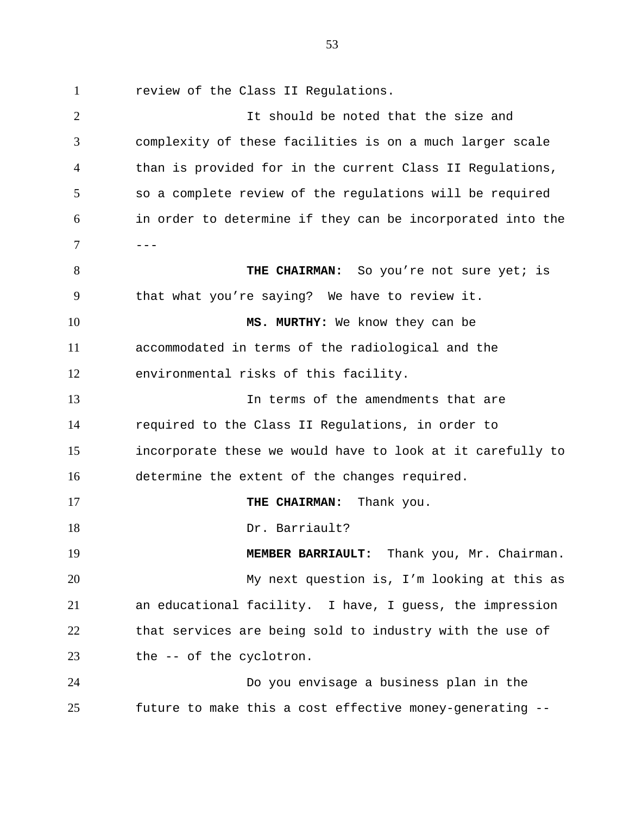review of the Class II Regulations. It should be noted that the size and complexity of these facilities is on a much larger scale than is provided for in the current Class II Regulations, so a complete review of the regulations will be required in order to determine if they can be incorporated into the --- THE CHAIRMAN: So you're not sure yet; is that what you're saying? We have to review it.  **MS. MURTHY:** We know they can be accommodated in terms of the radiological and the environmental risks of this facility. In terms of the amendments that are required to the Class II Regulations, in order to incorporate these we would have to look at it carefully to determine the extent of the changes required. **THE CHAIRMAN:** Thank you. 1 2 3 4 5 6 7 8 9 10 11 12 13 14 15 16 17

**MEMBER BARRIAULT:** Thank you, Mr. Chairman. My next question is, I'm looking at this as an educational facility. I have, I guess, the impression that services are being sold to industry with the use of the -- of the cyclotron. 19 20 21 22 23

Dr. Barriault?

18

Do you envisage a business plan in the future to make this a cost effective money-generating -- 24 25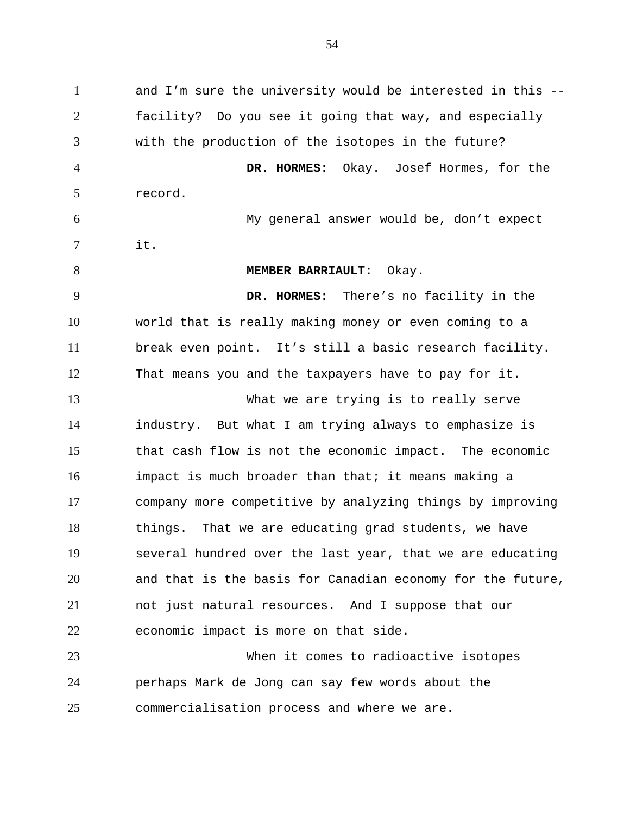and I'm sure the university would be interested in this - facility? Do you see it going that way, and especially with the production of the isotopes in the future? **DR. HORMES:** Okay. Josef Hormes, for the record. My general answer would be, don't expect it. **MEMBER BARRIAULT:** Okay. **DR. HORMES:** There's no facility in the world that is really making money or even coming to a break even point. It's still a basic research facility. That means you and the taxpayers have to pay for it. What we are trying is to really serve industry. But what I am trying always to emphasize is that cash flow is not the economic impact. The economic impact is much broader than that; it means making a company more competitive by analyzing things by improving things. That we are educating grad students, we have several hundred over the last year, that we are educating and that is the basis for Canadian economy for the future, not just natural resources. And I suppose that our economic impact is more on that side. When it comes to radioactive isotopes perhaps Mark de Jong can say few words about the 1 2 3 4 5 6 7 8 9 10 11 12 13 14 15 16 17 18 19 20 21 22 23 24

commercialisation process and where we are.

25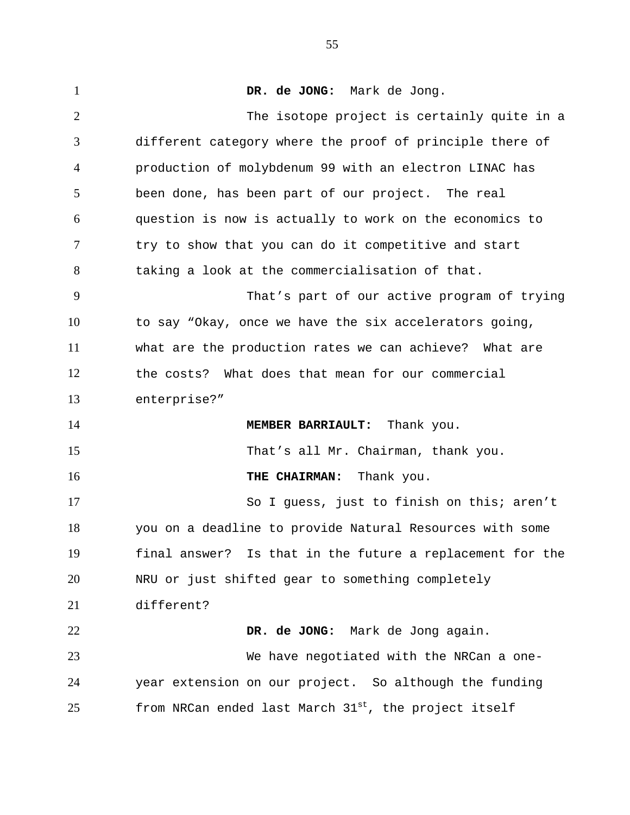**DR. de JONG:** Mark de Jong. The isotope project is certainly quite in a different category where the proof of principle there of production of molybdenum 99 with an electron LINAC has been done, has been part of our project. The real question is now is actually to work on the economics to try to show that you can do it competitive and start taking a look at the commercialisation of that. That's part of our active program of trying to say "Okay, once we have the six accelerators going, what are the production rates we can achieve? What are the costs? What does that mean for our commercial enterprise?" **MEMBER BARRIAULT:** Thank you. That's all Mr. Chairman, thank you.  **THE CHAIRMAN:** Thank you. So I guess, just to finish on this; aren't you on a deadline to provide Natural Resources with some final answer? Is that in the future a replacement for the NRU or just shifted gear to something completely different? **DR. de JONG:** Mark de Jong again. We have negotiated with the NRCan a oneyear extension on our project. So although the funding from NRCan ended last March  $31^{st}$ , the project itself 1 2 3 4 5 6 7 8 9 10 11 12 13 14 15 16 17 18 19 20 21 22 23 24 25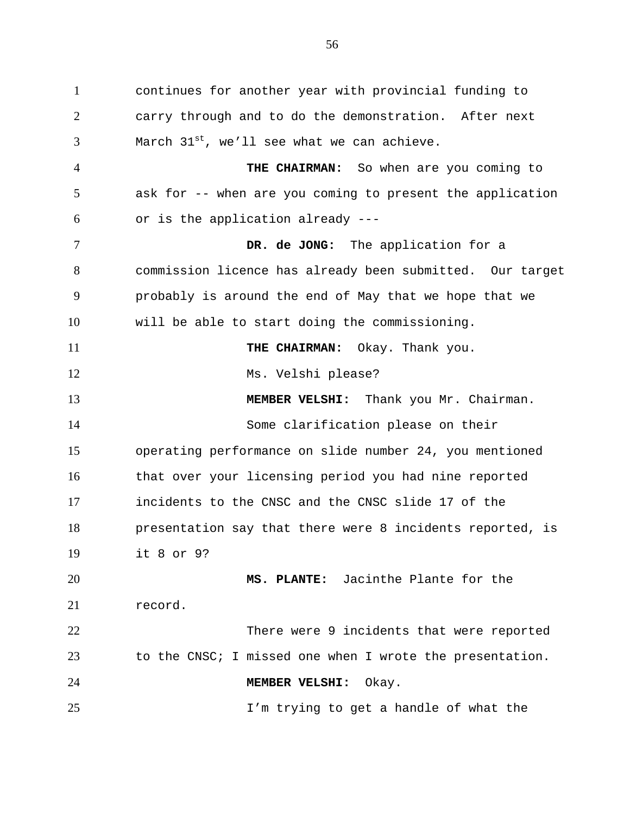continues for another year with provincial funding to carry through and to do the demonstration. After next March  $31^{st}$ , we'll see what we can achieve.  **THE CHAIRMAN:** So when are you coming to ask for -- when are you coming to present the application or is the application already --- **DR. de JONG:** The application for a commission licence has already been submitted. Our target probably is around the end of May that we hope that we will be able to start doing the commissioning.  **THE CHAIRMAN:** Okay. Thank you. Ms. Velshi please?  **MEMBER VELSHI:** Thank you Mr. Chairman. Some clarification please on their operating performance on slide number 24, you mentioned that over your licensing period you had nine reported incidents to the CNSC and the CNSC slide 17 of the presentation say that there were 8 incidents reported, is it 8 or 9?  **MS. PLANTE:** Jacinthe Plante for the record. There were 9 incidents that were reported to the CNSC; I missed one when I wrote the presentation.  **MEMBER VELSHI:** Okay. I'm trying to get a handle of what the 1 2 3 4 5 6 7 8 9 10 11 12 13 14 15 16 17 18 19 20 21 22 23 24 25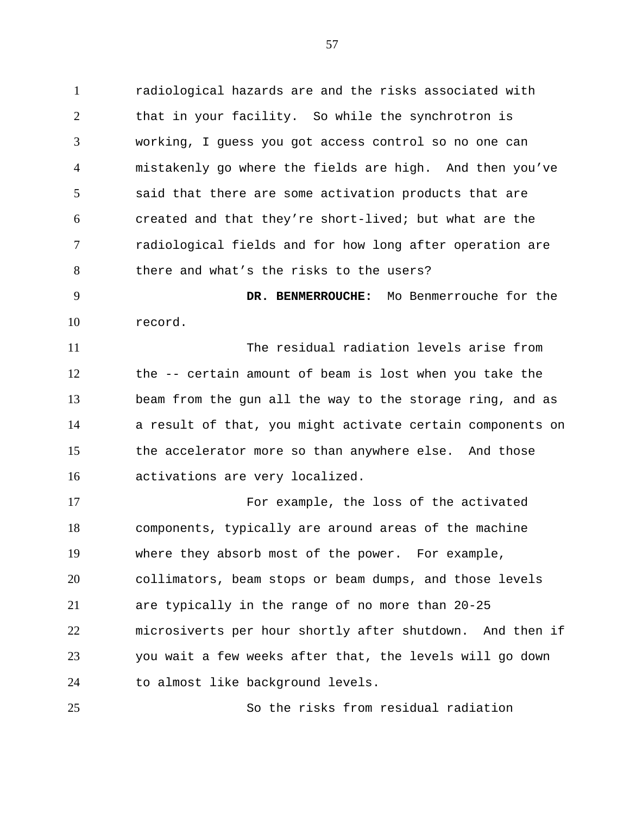radiological hazards are and the risks associated with that in your facility. So while the synchrotron is working, I guess you got access control so no one can mistakenly go where the fields are high. And then you've said that there are some activation products that are created and that they're short-lived; but what are the radiological fields and for how long after operation are there and what's the risks to the users? 1 2 3 4 5 6 7 8

**DR. BENMERROUCHE:** Mo Benmerrouche for the record. 9 10

The residual radiation levels arise from the -- certain amount of beam is lost when you take the beam from the gun all the way to the storage ring, and as a result of that, you might activate certain components on the accelerator more so than anywhere else. And those activations are very localized. 11 12 13 14 15 16

For example, the loss of the activated components, typically are around areas of the machine where they absorb most of the power. For example, collimators, beam stops or beam dumps, and those levels are typically in the range of no more than 20-25 microsiverts per hour shortly after shutdown. And then if you wait a few weeks after that, the levels will go down to almost like background levels. 17 18 19 20 21 22 23 24

So the risks from residual radiation 25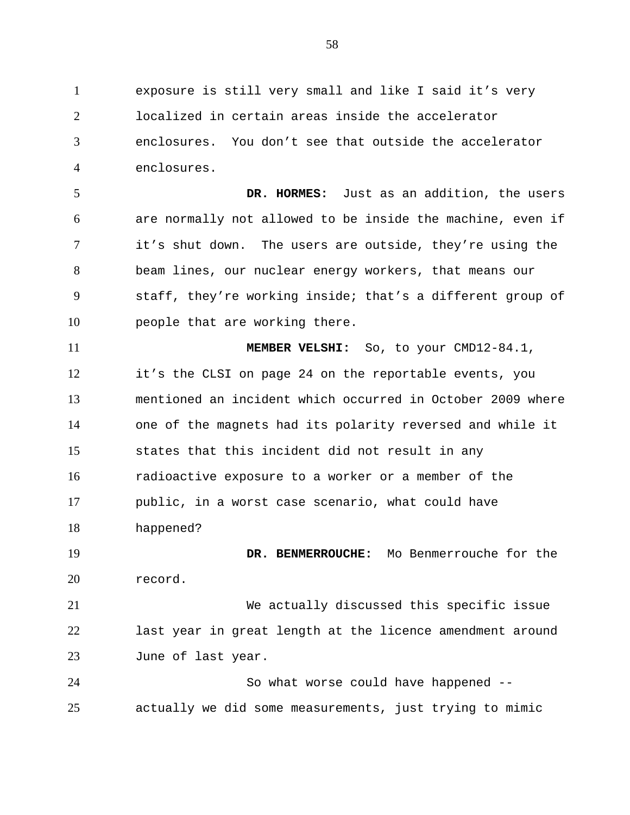exposure is still very small and like I said it's very localized in certain areas inside the accelerator enclosures. You don't see that outside the accelerator enclosures. 1 2 3 4

**DR. HORMES:** Just as an addition, the users are normally not allowed to be inside the machine, even if it's shut down. The users are outside, they're using the beam lines, our nuclear energy workers, that means our staff, they're working inside; that's a different group of people that are working there. 5 6 7 8 9 10

 **MEMBER VELSHI:** So, to your CMD12-84.1, it's the CLSI on page 24 on the reportable events, you mentioned an incident which occurred in October 2009 where one of the magnets had its polarity reversed and while it states that this incident did not result in any radioactive exposure to a worker or a member of the public, in a worst case scenario, what could have happened? 11 12 13 14 15 16 17 18

**DR. BENMERROUCHE:** Mo Benmerrouche for the record. 19 20

We actually discussed this specific issue last year in great length at the licence amendment around June of last year. 21 22 23

So what worse could have happened - actually we did some measurements, just trying to mimic 24 25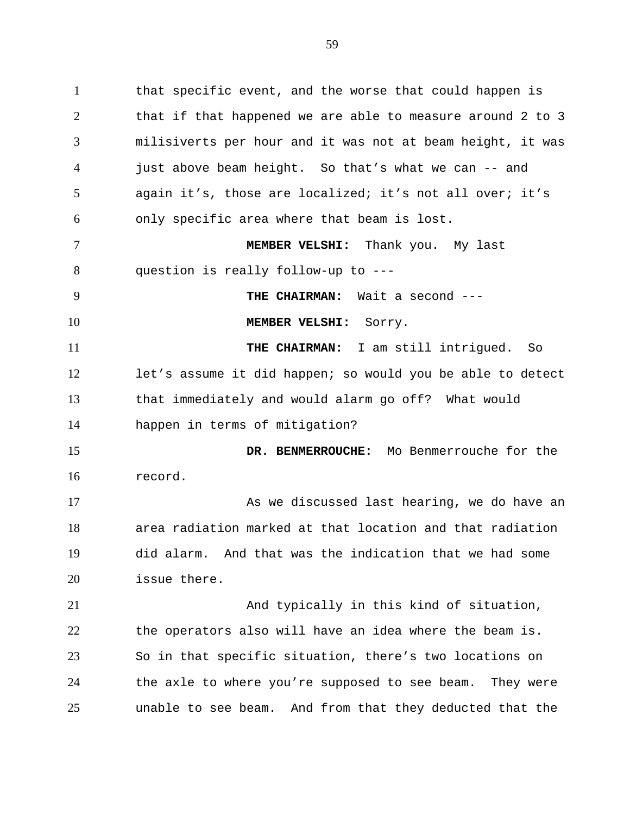that specific event, and the worse that could happen is that if that happened we are able to measure around 2 to 3 milisiverts per hour and it was not at beam height, it was just above beam height. So that's what we can -- and again it's, those are localized; it's not all over; it's only specific area where that beam is lost. 1 2 3 4 5 6

 **MEMBER VELSHI:** Thank you. My last question is really follow-up to --- 7 8

 **THE CHAIRMAN:** Wait a second ---  **MEMBER VELSHI:** Sorry.  **THE CHAIRMAN:** I am still intrigued. So 9 10 11

let's assume it did happen; so would you be able to detect that immediately and would alarm go off? What would happen in terms of mitigation? 12 13 14

**DR. BENMERROUCHE:** Mo Benmerrouche for the record. 15 16

As we discussed last hearing, we do have an area radiation marked at that location and that radiation did alarm. And that was the indication that we had some issue there. 17 18 19 20

And typically in this kind of situation, the operators also will have an idea where the beam is. So in that specific situation, there's two locations on the axle to where you're supposed to see beam. They were unable to see beam. And from that they deducted that the 21 22 23 24 25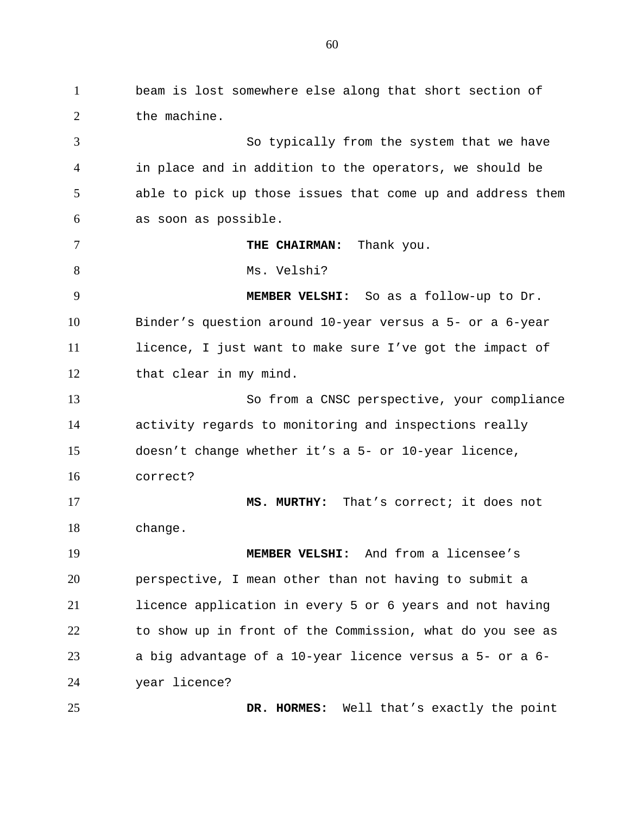beam is lost somewhere else along that short section of the machine. So typically from the system that we have in place and in addition to the operators, we should be able to pick up those issues that come up and address them as soon as possible.  **THE CHAIRMAN:** Thank you. Ms. Velshi?  **MEMBER VELSHI:** So as a follow-up to Dr. Binder's question around 10-year versus a 5- or a 6-year licence, I just want to make sure I've got the impact of that clear in my mind. So from a CNSC perspective, your compliance activity regards to monitoring and inspections really doesn't change whether it's a 5- or 10-year licence, correct? **MS. MURTHY:** That's correct; it does not change.  **MEMBER VELSHI:** And from a licensee's perspective, I mean other than not having to submit a licence application in every 5 or 6 years and not having to show up in front of the Commission, what do you see as a big advantage of a 10-year licence versus a 5- or a 6 year licence? 1 2 3 4 5 6 7 8 9 10 11 12 13 14 15 16 17 18 19 20 21 22 23 24

25

**DR. HORMES:** Well that's exactly the point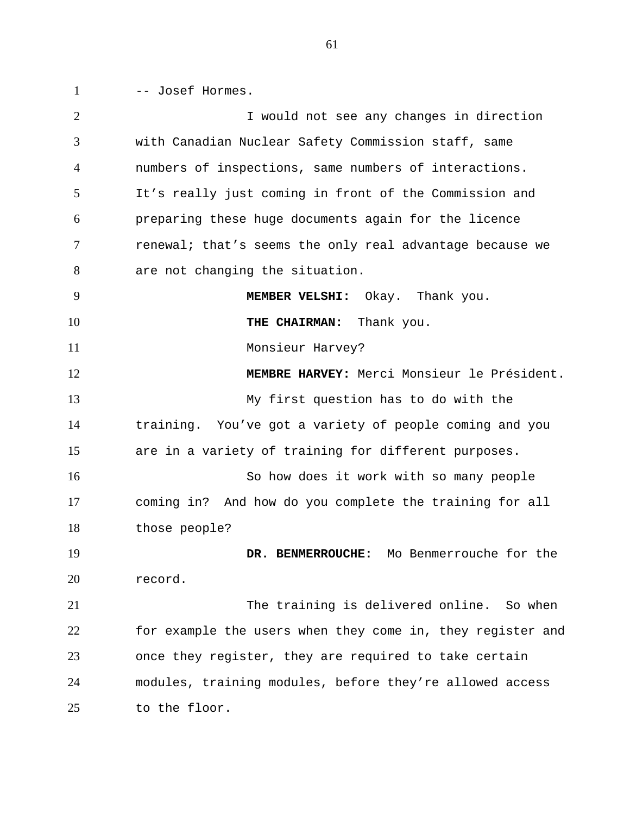-- Josef Hormes.

1

I would not see any changes in direction with Canadian Nuclear Safety Commission staff, same numbers of inspections, same numbers of interactions. It's really just coming in front of the Commission and preparing these huge documents again for the licence renewal; that's seems the only real advantage because we are not changing the situation.  **MEMBER VELSHI:** Okay. Thank you.  **THE CHAIRMAN:** Thank you. Monsieur Harvey?  **MEMBRE HARVEY:** Merci Monsieur le Président. My first question has to do with the training. You've got a variety of people coming and you are in a variety of training for different purposes. So how does it work with so many people coming in? And how do you complete the training for all those people? **DR. BENMERROUCHE:** Mo Benmerrouche for the record. The training is delivered online. So when for example the users when they come in, they register and once they register, they are required to take certain modules, training modules, before they're allowed access to the floor. 2 3 4 5 6 7 8 9 10 11 12 13 14 15 16 17 18 19 20 21 22 23 24 25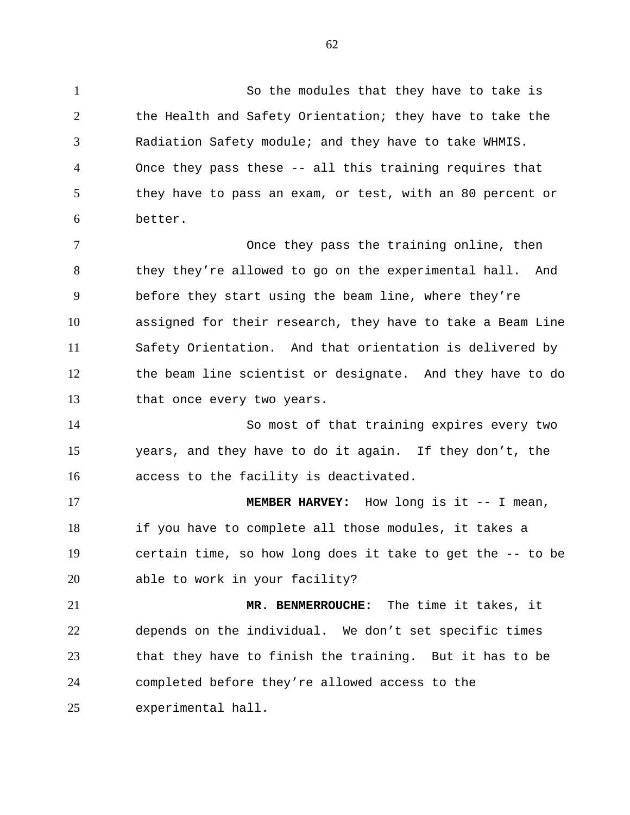So the modules that they have to take is the Health and Safety Orientation; they have to take the Radiation Safety module; and they have to take WHMIS. Once they pass these -- all this training requires that they have to pass an exam, or test, with an 80 percent or better. 1 2 3 4 5 6

Once they pass the training online, then they they're allowed to go on the experimental hall. And before they start using the beam line, where they're assigned for their research, they have to take a Beam Line Safety Orientation. And that orientation is delivered by the beam line scientist or designate. And they have to do that once every two years. 7 8 9 10 11 12 13

So most of that training expires every two years, and they have to do it again. If they don't, the access to the facility is deactivated. 14 15 16

**MEMBER HARVEY:** How long is it -- I mean, if you have to complete all those modules, it takes a certain time, so how long does it take to get the -- to be able to work in your facility? 17 18 19 20

 **MR. BENMERROUCHE:** The time it takes, it depends on the individual. We don't set specific times that they have to finish the training. But it has to be completed before they're allowed access to the experimental hall. 21 22 23 24 25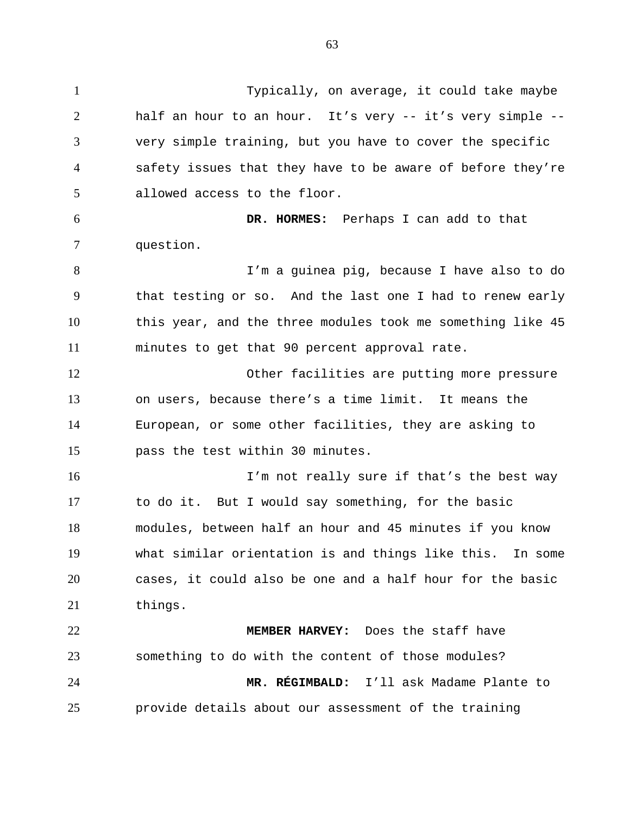Typically, on average, it could take maybe half an hour to an hour. It's very -- it's very simple -very simple training, but you have to cover the specific safety issues that they have to be aware of before they're allowed access to the floor. **DR. HORMES:** Perhaps I can add to that question. I'm a guinea pig, because I have also to do that testing or so. And the last one I had to renew early this year, and the three modules took me something like 45 minutes to get that 90 percent approval rate. Other facilities are putting more pressure on users, because there's a time limit. It means the European, or some other facilities, they are asking to pass the test within 30 minutes. I'm not really sure if that's the best way to do it. But I would say something, for the basic modules, between half an hour and 45 minutes if you know what similar orientation is and things like this. In some cases, it could also be one and a half hour for the basic things. **MEMBER HARVEY:** Does the staff have 1 2 3 4 5 6 7 8 9 10 11 12 13 14 15 16 17 18 19 20 21 22

something to do with the content of those modules?  **MR. RÉGIMBALD:** I'll ask Madame Plante to provide details about our assessment of the training 23 24 25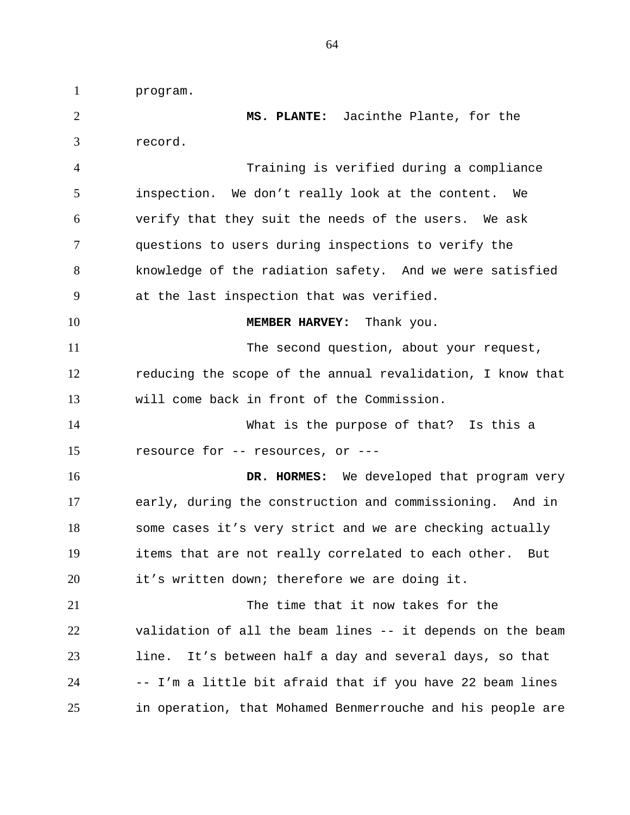program.

1

 **MS. PLANTE:** Jacinthe Plante, for the record. Training is verified during a compliance inspection. We don't really look at the content. We verify that they suit the needs of the users. We ask questions to users during inspections to verify the knowledge of the radiation safety. And we were satisfied at the last inspection that was verified. **MEMBER HARVEY:** Thank you. The second question, about your request, reducing the scope of the annual revalidation, I know that will come back in front of the Commission. What is the purpose of that? Is this a resource for -- resources, or --- 2 3 4 5 6 7 8 9 10 11 12 13 14 15

 **DR. HORMES:** We developed that program very early, during the construction and commissioning. And in some cases it's very strict and we are checking actually items that are not really correlated to each other. But it's written down; therefore we are doing it. 16 17 18 19 20

The time that it now takes for the validation of all the beam lines -- it depends on the beam line. It's between half a day and several days, so that -- I'm a little bit afraid that if you have 22 beam lines in operation, that Mohamed Benmerrouche and his people are 21 22 23 24 25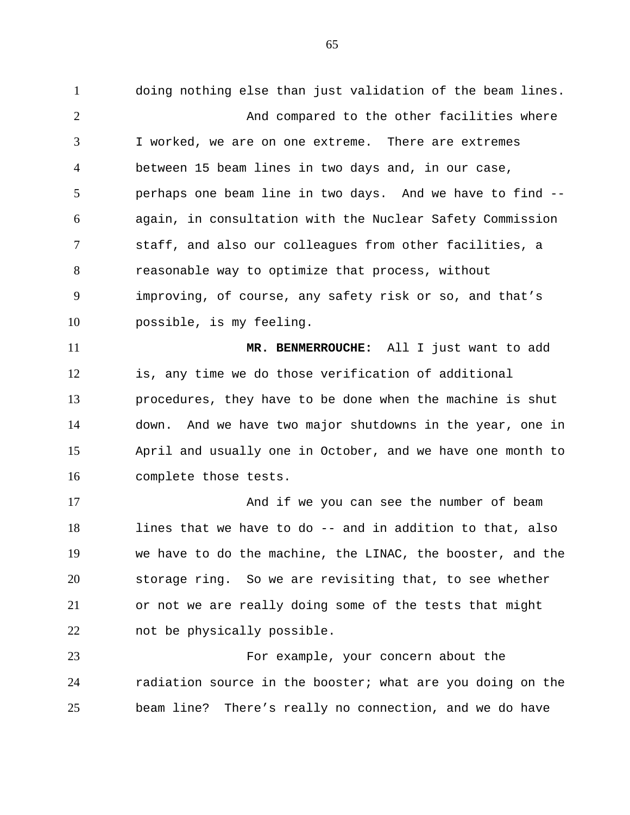doing nothing else than just validation of the beam lines. And compared to the other facilities where I worked, we are on one extreme. There are extremes between 15 beam lines in two days and, in our case, perhaps one beam line in two days. And we have to find - again, in consultation with the Nuclear Safety Commission staff, and also our colleagues from other facilities, a reasonable way to optimize that process, without improving, of course, any safety risk or so, and that's possible, is my feeling. **MR. BENMERROUCHE:** All I just want to add is, any time we do those verification of additional procedures, they have to be done when the machine is shut down. And we have two major shutdowns in the year, one in April and usually one in October, and we have one month to complete those tests. 1 2 3 4 5 6 7 8 9 10 11 12 13 14 15 16

And if we you can see the number of beam lines that we have to do -- and in addition to that, also we have to do the machine, the LINAC, the booster, and the storage ring. So we are revisiting that, to see whether or not we are really doing some of the tests that might not be physically possible. 17 18 19 20 21 22

For example, your concern about the radiation source in the booster; what are you doing on the beam line? There's really no connection, and we do have 23 24 25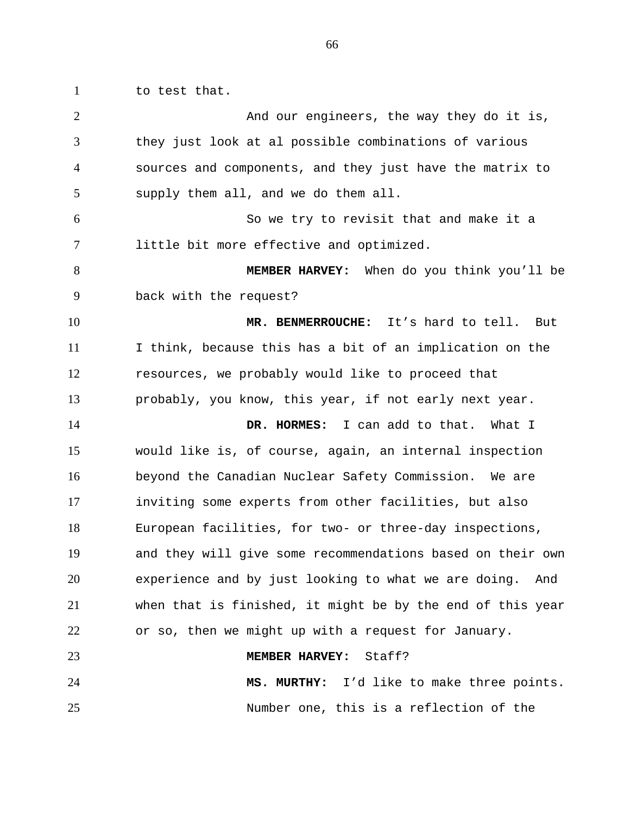to test that.

1

And our engineers, the way they do it is, they just look at al possible combinations of various sources and components, and they just have the matrix to supply them all, and we do them all. So we try to revisit that and make it a little bit more effective and optimized. **MEMBER HARVEY:** When do you think you'll be back with the request?  **MR. BENMERROUCHE:** It's hard to tell. But I think, because this has a bit of an implication on the resources, we probably would like to proceed that probably, you know, this year, if not early next year.  **DR. HORMES:** I can add to that. What I would like is, of course, again, an internal inspection beyond the Canadian Nuclear Safety Commission. We are inviting some experts from other facilities, but also European facilities, for two- or three-day inspections, and they will give some recommendations based on their own experience and by just looking to what we are doing. And when that is finished, it might be by the end of this year or so, then we might up with a request for January.  **MEMBER HARVEY:** Staff?  **MS. MURTHY:** I'd like to make three points. Number one, this is a reflection of the 2 3 4 5 6 7 8 9 10 11 12 13 14 15 16 17 18 19 20 21 22 23 24 25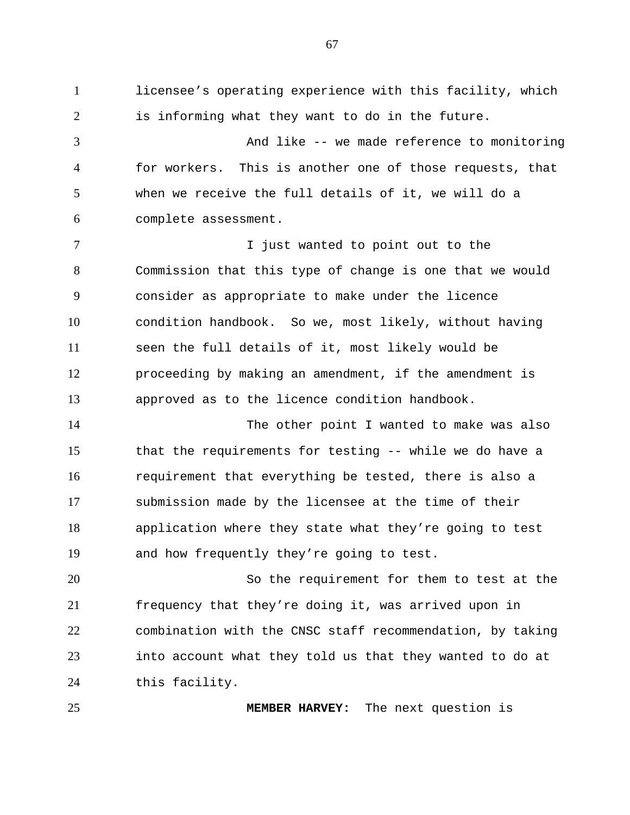licensee's operating experience with this facility, which is informing what they want to do in the future.

1

2

25

And like -- we made reference to monitoring for workers. This is another one of those requests, that when we receive the full details of it, we will do a complete assessment. 3 4 5 6

I just wanted to point out to the Commission that this type of change is one that we would consider as appropriate to make under the licence condition handbook. So we, most likely, without having seen the full details of it, most likely would be proceeding by making an amendment, if the amendment is approved as to the licence condition handbook. 7 8 9 10 11 12 13

The other point I wanted to make was also that the requirements for testing -- while we do have a requirement that everything be tested, there is also a submission made by the licensee at the time of their application where they state what they're going to test and how frequently they're going to test. 14 15 16 17 18 19

So the requirement for them to test at the frequency that they're doing it, was arrived upon in combination with the CNSC staff recommendation, by taking into account what they told us that they wanted to do at this facility. 20 21 22 23 24

**MEMBER HARVEY:** The next question is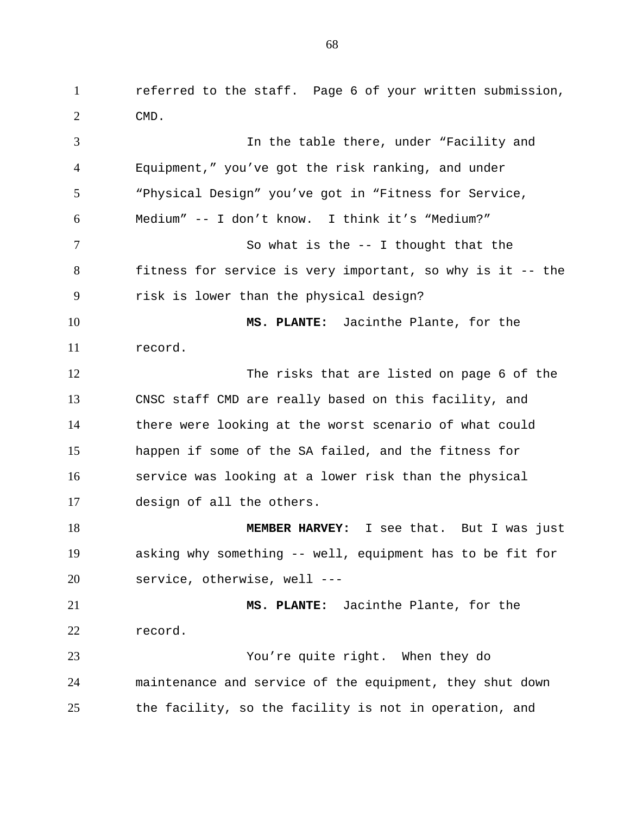referred to the staff. Page 6 of your written submission, CMD. In the table there, under "Facility and Equipment," you've got the risk ranking, and under "Physical Design" you've got in "Fitness for Service, Medium" -- I don't know. I think it's "Medium?" So what is the -- I thought that the fitness for service is very important, so why is it -- the risk is lower than the physical design? **MS. PLANTE:** Jacinthe Plante, for the record. The risks that are listed on page 6 of the CNSC staff CMD are really based on this facility, and there were looking at the worst scenario of what could happen if some of the SA failed, and the fitness for service was looking at a lower risk than the physical design of all the others. **MEMBER HARVEY:** I see that. But I was just asking why something -- well, equipment has to be fit for service, otherwise, well ---**MS. PLANTE:** Jacinthe Plante, for the record. You're quite right. When they do maintenance and service of the equipment, they shut down 1 2 3 4 5 6 7 8 9 10 11 12 13 14 15 16 17 18 19 20 21 22 23 24

the facility, so the facility is not in operation, and

25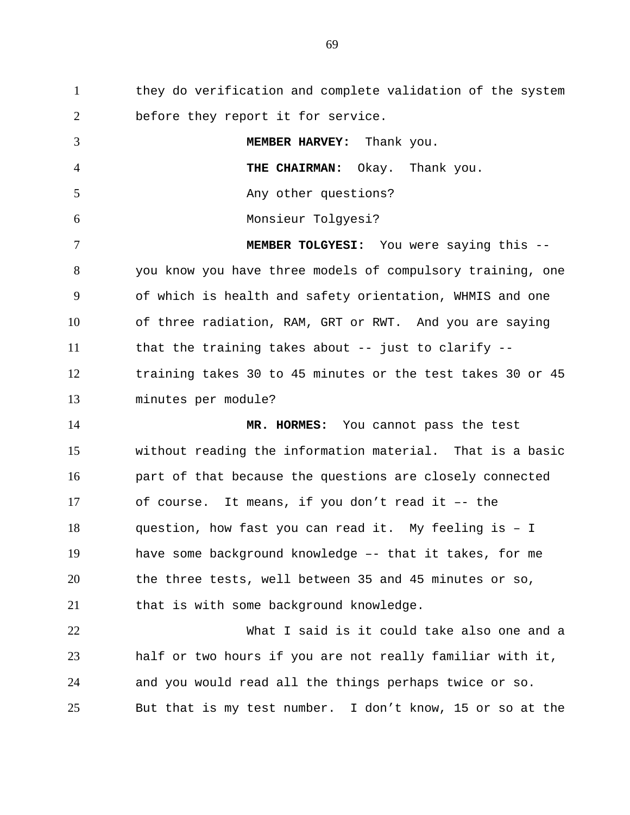they do verification and complete validation of the system before they report it for service. **MEMBER HARVEY:** Thank you. 1 2 3

 **THE CHAIRMAN:** Okay. Thank you.

Any other questions? Monsieur Tolgyesi? **MEMBER TOLGYESI:** You were saying this - you know you have three models of compulsory training, one of which is health and safety orientation, WHMIS and one of three radiation, RAM, GRT or RWT. And you are saying 5 6 7 8 9 10

4

that the training takes about -- just to clarify - training takes 30 to 45 minutes or the test takes 30 or 45 minutes per module? 11 12 13

**MR. HORMES:** You cannot pass the test without reading the information material. That is a basic part of that because the questions are closely connected of course. It means, if you don't read it –- the question, how fast you can read it. My feeling is – I have some background knowledge –- that it takes, for me the three tests, well between 35 and 45 minutes or so, that is with some background knowledge. 14 15 16 17 18 19 20 21

What I said is it could take also one and a half or two hours if you are not really familiar with it, and you would read all the things perhaps twice or so. But that is my test number. I don't know, 15 or so at the 22 23 24 25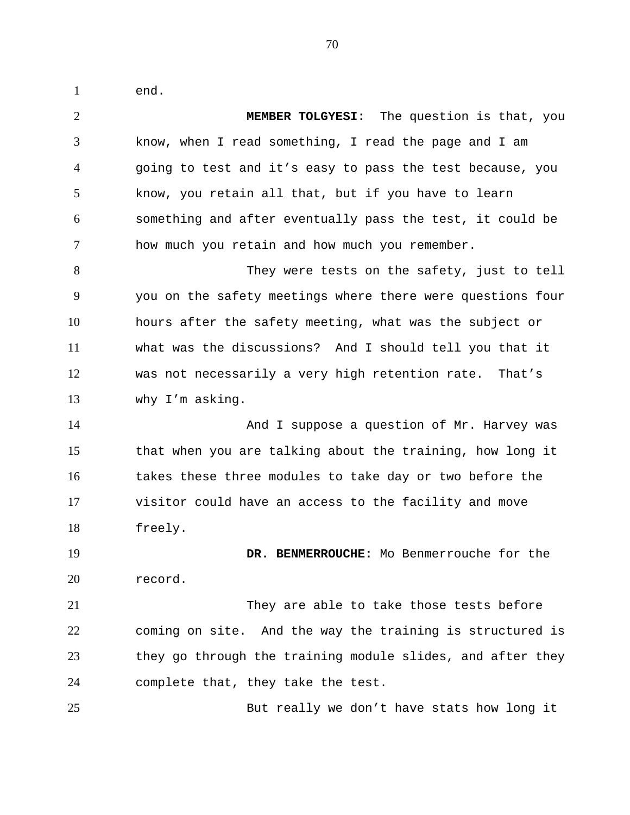end.

1

 **MEMBER TOLGYESI:** The question is that, you know, when I read something, I read the page and I am going to test and it's easy to pass the test because, you know, you retain all that, but if you have to learn something and after eventually pass the test, it could be how much you retain and how much you remember. They were tests on the safety, just to tell you on the safety meetings where there were questions four hours after the safety meeting, what was the subject or what was the discussions? And I should tell you that it was not necessarily a very high retention rate. That's why I'm asking. And I suppose a question of Mr. Harvey was that when you are talking about the training, how long it takes these three modules to take day or two before the visitor could have an access to the facility and move freely.  **DR. BENMERROUCHE:** Mo Benmerrouche for the record. They are able to take those tests before coming on site. And the way the training is structured is they go through the training module slides, and after they complete that, they take the test. 2 3 4 5 6 7 8 9 10 11 12 13 14 15 16 17 18 19 20 21 22 23 24

But really we don't have stats how long it 25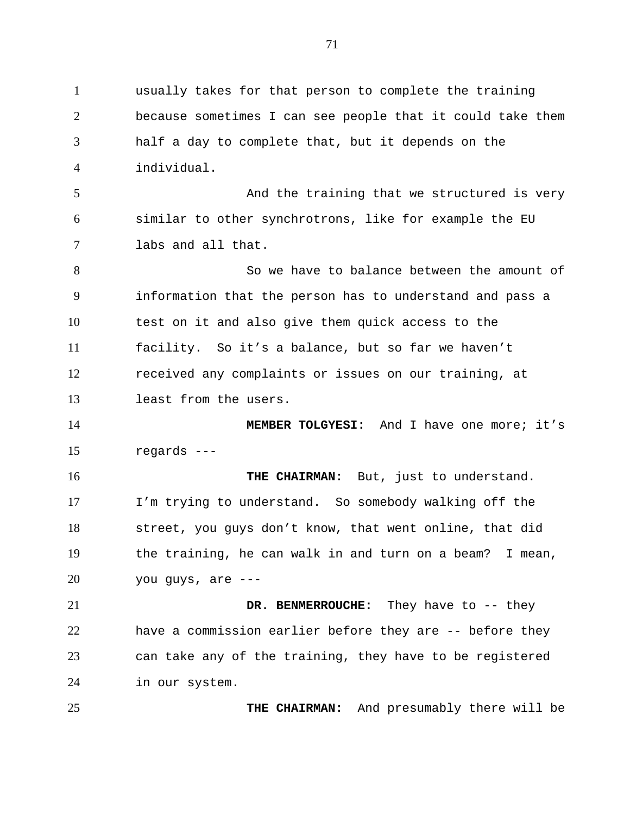usually takes for that person to complete the training because sometimes I can see people that it could take them half a day to complete that, but it depends on the individual. 1 2 3 4

And the training that we structured is very similar to other synchrotrons, like for example the EU labs and all that. 5 6 7

So we have to balance between the amount of information that the person has to understand and pass a test on it and also give them quick access to the facility. So it's a balance, but so far we haven't received any complaints or issues on our training, at least from the users. 8 9 10 11 12 13

**MEMBER TOLGYESI:** And I have one more; it's regards --- 14 15

**THE CHAIRMAN:** But, just to understand. I'm trying to understand. So somebody walking off the street, you guys don't know, that went online, that did the training, he can walk in and turn on a beam? I mean, you guys, are --- 16 17 18 19 20

**DR. BENMERROUCHE:** They have to -- they have a commission earlier before they are -- before they can take any of the training, they have to be registered in our system. 21 22 23 24

25

 **THE CHAIRMAN:** And presumably there will be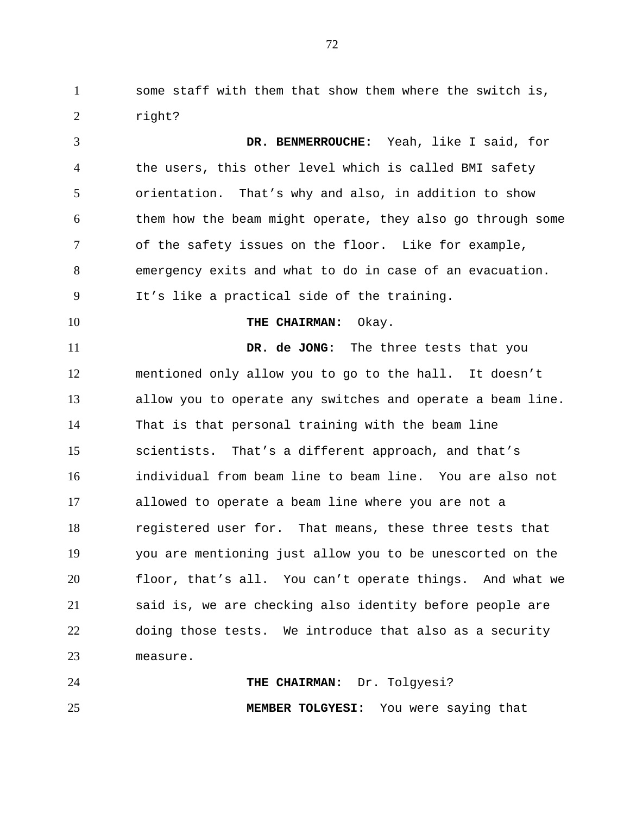some staff with them that show them where the switch is, right? 1 2

**DR. BENMERROUCHE:** Yeah, like I said, for the users, this other level which is called BMI safety orientation. That's why and also, in addition to show them how the beam might operate, they also go through some of the safety issues on the floor. Like for example, emergency exits and what to do in case of an evacuation. It's like a practical side of the training. **THE CHAIRMAN:** Okay. **DR. de JONG:** The three tests that you mentioned only allow you to go to the hall. It doesn't allow you to operate any switches and operate a beam line. That is that personal training with the beam line scientists. That's a different approach, and that's individual from beam line to beam line. You are also not allowed to operate a beam line where you are not a registered user for. That means, these three tests that you are mentioning just allow you to be unescorted on the floor, that's all. You can't operate things. And what we said is, we are checking also identity before people are doing those tests. We introduce that also as a security measure. 3 4 5 6 7 8 9 10 11 12 13 14 15 16 17 18 19 20 21 22 23

**THE CHAIRMAN:** Dr. Tolgyesi? **MEMBER TOLGYESI:** You were saying that 24 25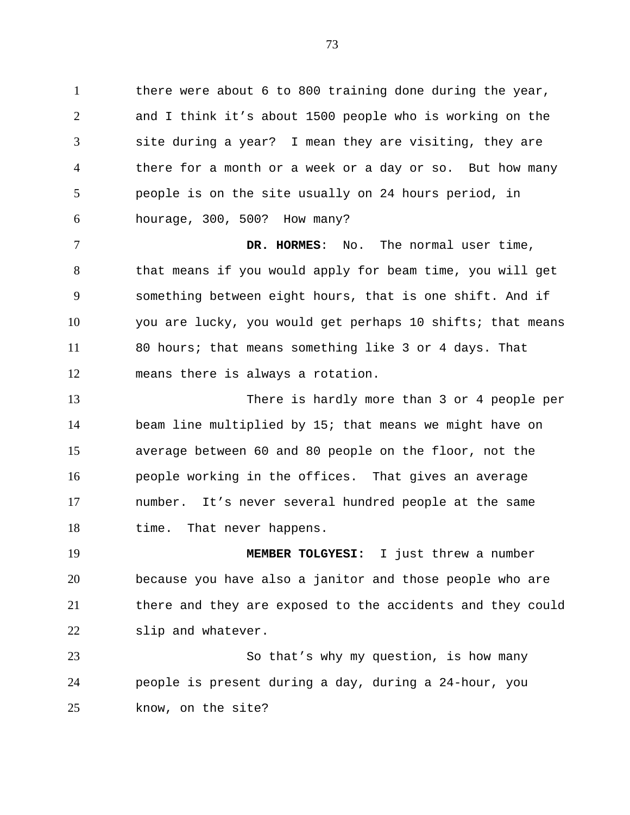there were about 6 to 800 training done during the year, and I think it's about 1500 people who is working on the site during a year? I mean they are visiting, they are there for a month or a week or a day or so. But how many people is on the site usually on 24 hours period, in hourage, 300, 500? How many? 1 2 3 4 5 6

**DR. HORMES**: No. The normal user time, that means if you would apply for beam time, you will get something between eight hours, that is one shift. And if you are lucky, you would get perhaps 10 shifts; that means 80 hours; that means something like 3 or 4 days. That means there is always a rotation. 7 8 9 10 11 12

There is hardly more than 3 or 4 people per beam line multiplied by 15; that means we might have on average between 60 and 80 people on the floor, not the people working in the offices. That gives an average number. It's never several hundred people at the same time. That never happens. 13 14 15 16 17 18

**MEMBER TOLGYESI:** I just threw a number because you have also a janitor and those people who are there and they are exposed to the accidents and they could slip and whatever. 19 20 21 22

So that's why my question, is how many people is present during a day, during a 24-hour, you know, on the site? 23 24 25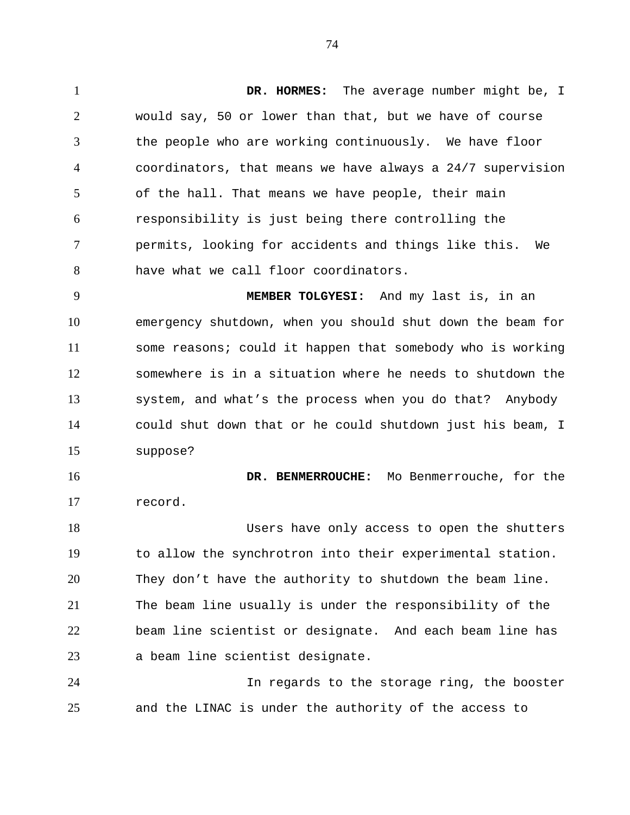**DR. HORMES:** The average number might be, I would say, 50 or lower than that, but we have of course the people who are working continuously. We have floor coordinators, that means we have always a 24/7 supervision of the hall. That means we have people, their main responsibility is just being there controlling the permits, looking for accidents and things like this. We have what we call floor coordinators. 1 2 3 4 5 6 7 8

 **MEMBER TOLGYESI:** And my last is, in an emergency shutdown, when you should shut down the beam for some reasons; could it happen that somebody who is working somewhere is in a situation where he needs to shutdown the system, and what's the process when you do that? Anybody could shut down that or he could shutdown just his beam, I suppose? 9 10 11 12 13 14 15

 **DR. BENMERROUCHE:** Mo Benmerrouche, for the record. 16 17

Users have only access to open the shutters to allow the synchrotron into their experimental station. They don't have the authority to shutdown the beam line. The beam line usually is under the responsibility of the beam line scientist or designate. And each beam line has a beam line scientist designate. 18 19 20 21 22 23

In regards to the storage ring, the booster and the LINAC is under the authority of the access to 24 25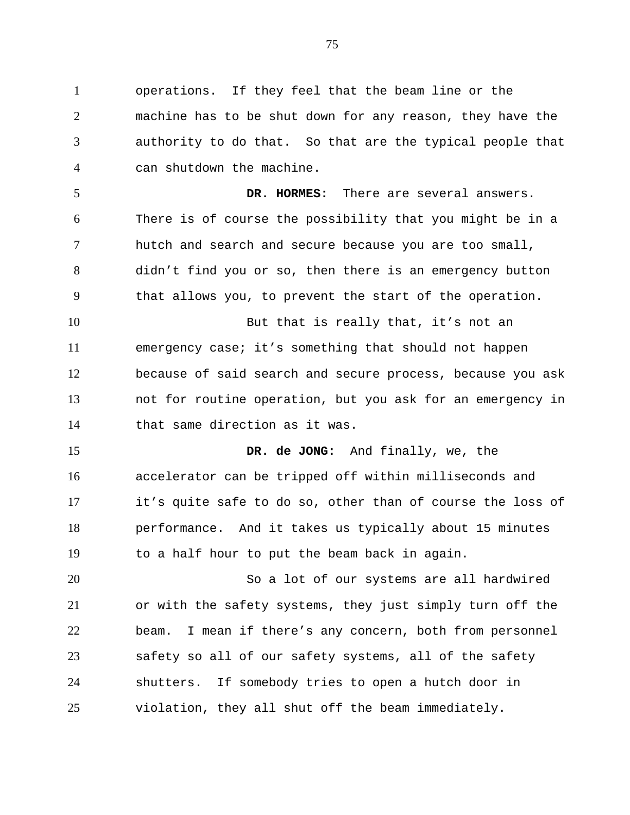operations. If they feel that the beam line or the machine has to be shut down for any reason, they have the authority to do that. So that are the typical people that can shutdown the machine. 1 2 3 4

**DR. HORMES:** There are several answers. There is of course the possibility that you might be in a hutch and search and secure because you are too small, didn't find you or so, then there is an emergency button that allows you, to prevent the start of the operation. 5 6 7 8 9

But that is really that, it's not an emergency case; it's something that should not happen because of said search and secure process, because you ask not for routine operation, but you ask for an emergency in that same direction as it was. 10 11 12 13 14

**DR. de JONG:** And finally, we, the accelerator can be tripped off within milliseconds and it's quite safe to do so, other than of course the loss of performance. And it takes us typically about 15 minutes to a half hour to put the beam back in again. 15 16 17 18 19

So a lot of our systems are all hardwired or with the safety systems, they just simply turn off the beam. I mean if there's any concern, both from personnel safety so all of our safety systems, all of the safety shutters. If somebody tries to open a hutch door in violation, they all shut off the beam immediately. 20 21 22 23 24 25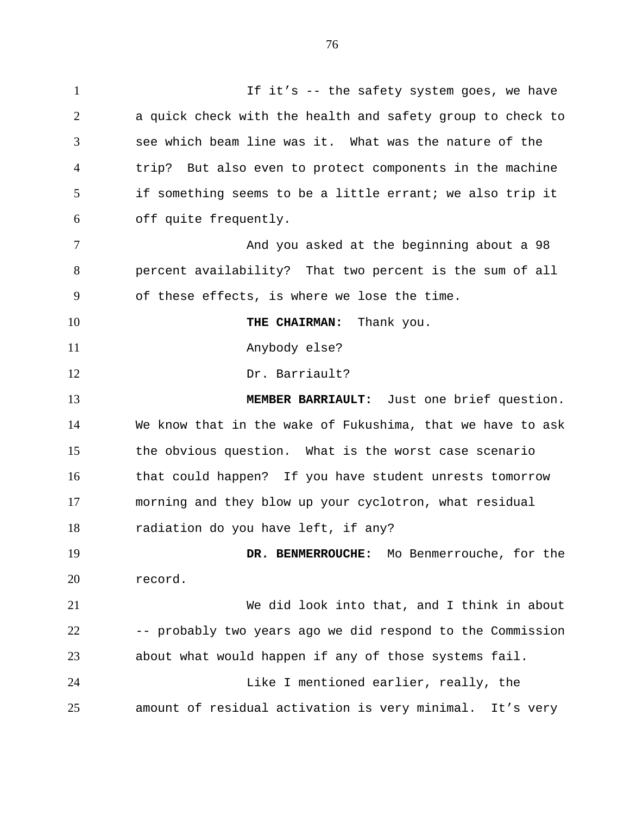| $\mathbf{1}$   | If it's -- the safety system goes, we have                 |
|----------------|------------------------------------------------------------|
| $\overline{2}$ | a quick check with the health and safety group to check to |
| 3              | see which beam line was it. What was the nature of the     |
| 4              | trip? But also even to protect components in the machine   |
| 5              | if something seems to be a little errant; we also trip it  |
| 6              | off quite frequently.                                      |
| $\tau$         | And you asked at the beginning about a 98                  |
| 8              | percent availability? That two percent is the sum of all   |
| 9              | of these effects, is where we lose the time.               |
| 10             | THE CHAIRMAN: Thank you.                                   |
| 11             | Anybody else?                                              |
| 12             | Dr. Barriault?                                             |
| 13             | MEMBER BARRIAULT: Just one brief question.                 |
| 14             | We know that in the wake of Fukushima, that we have to ask |
| 15             | the obvious question. What is the worst case scenario      |
| 16             | that could happen? If you have student unrests tomorrow    |
| 17             | morning and they blow up your cyclotron, what residual     |
| 18             | radiation do you have left, if any?                        |
| 19             | DR. BENMERROUCHE: Mo Benmerrouche, for the                 |
| 20             | record.                                                    |
| 21             | We did look into that, and I think in about                |
| 22             | -- probably two years ago we did respond to the Commission |
| 23             | about what would happen if any of those systems fail.      |
| 24             | Like I mentioned earlier, really, the                      |
| 25             | amount of residual activation is very minimal. It's very   |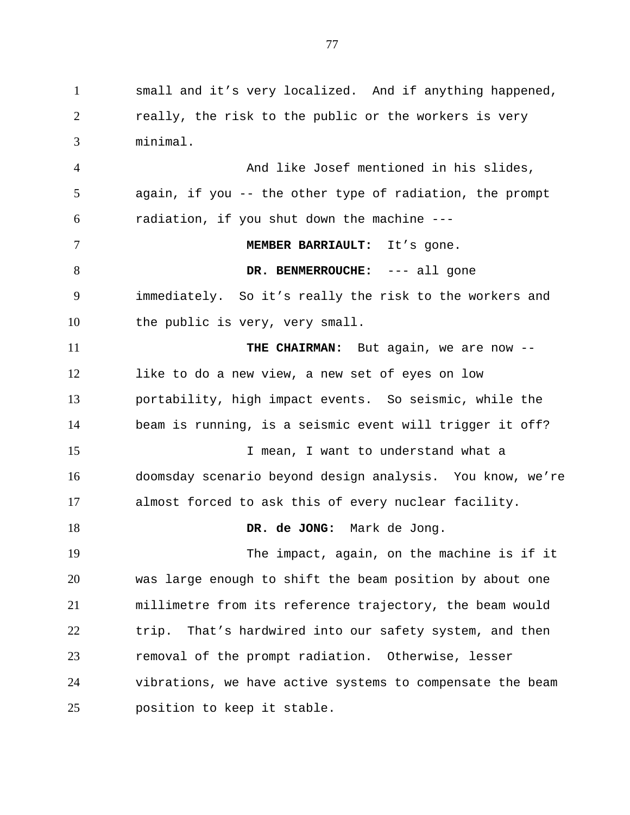small and it's very localized. And if anything happened, really, the risk to the public or the workers is very minimal. And like Josef mentioned in his slides, again, if you -- the other type of radiation, the prompt radiation, if you shut down the machine --- **MEMBER BARRIAULT:** It's gone. **DR. BENMERROUCHE:** --- all gone immediately. So it's really the risk to the workers and the public is very, very small. **THE CHAIRMAN:** But again, we are now - like to do a new view, a new set of eyes on low portability, high impact events. So seismic, while the beam is running, is a seismic event will trigger it off? I mean, I want to understand what a doomsday scenario beyond design analysis. You know, we're almost forced to ask this of every nuclear facility. **DR. de JONG:** Mark de Jong. The impact, again, on the machine is if it was large enough to shift the beam position by about one millimetre from its reference trajectory, the beam would trip. That's hardwired into our safety system, and then removal of the prompt radiation. Otherwise, lesser vibrations, we have active systems to compensate the beam position to keep it stable. 1 2 3 4 5 6 7 8 9 10 11 12 13 14 15 16 17 18 19 20 21 22 23 24 25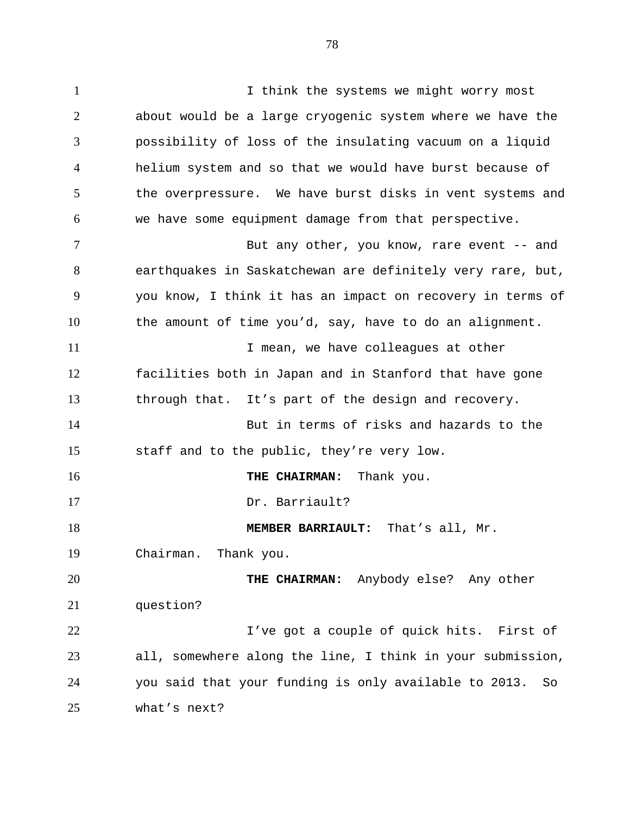I think the systems we might worry most about would be a large cryogenic system where we have the possibility of loss of the insulating vacuum on a liquid helium system and so that we would have burst because of the overpressure. We have burst disks in vent systems and we have some equipment damage from that perspective. But any other, you know, rare event -- and earthquakes in Saskatchewan are definitely very rare, but, you know, I think it has an impact on recovery in terms of the amount of time you'd, say, have to do an alignment. I mean, we have colleagues at other facilities both in Japan and in Stanford that have gone through that. It's part of the design and recovery. But in terms of risks and hazards to the staff and to the public, they're very low. **THE CHAIRMAN:** Thank you. 1 2 3 4 5 6 7 8 9 10 11 12 13 14 15 16

Dr. Barriault?

**MEMBER BARRIAULT:** That's all, Mr. 18

Chairman. Thank you. 19

17

**THE CHAIRMAN:** Anybody else? Any other question? 20 21

I've got a couple of quick hits. First of all, somewhere along the line, I think in your submission, you said that your funding is only available to 2013. So what's next? 22 23 24 25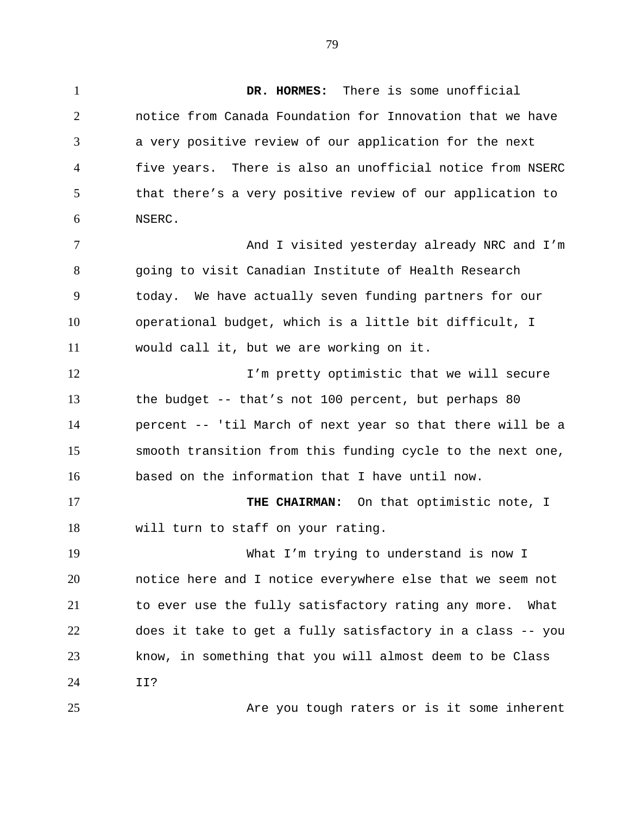79

**DR. HORMES:** There is some unofficial notice from Canada Foundation for Innovation that we have a very positive review of our application for the next five years. There is also an unofficial notice from NSERC that there's a very positive review of our application to NSERC. And I visited yesterday already NRC and I'm going to visit Canadian Institute of Health Research today. We have actually seven funding partners for our operational budget, which is a little bit difficult, I would call it, but we are working on it. I'm pretty optimistic that we will secure the budget -- that's not 100 percent, but perhaps 80 percent -- 'til March of next year so that there will be a smooth transition from this funding cycle to the next one, based on the information that I have until now. **THE CHAIRMAN:** On that optimistic note, I will turn to staff on your rating. What I'm trying to understand is now I notice here and I notice everywhere else that we seem not to ever use the fully satisfactory rating any more. What does it take to get a fully satisfactory in a class -- you know, in something that you will almost deem to be Class II? Are you tough raters or is it some inherent 1 2 3 4 5 6 7 8 9 10 11 12 13 14 15 16 17 18 19 20 21 22 23 24 25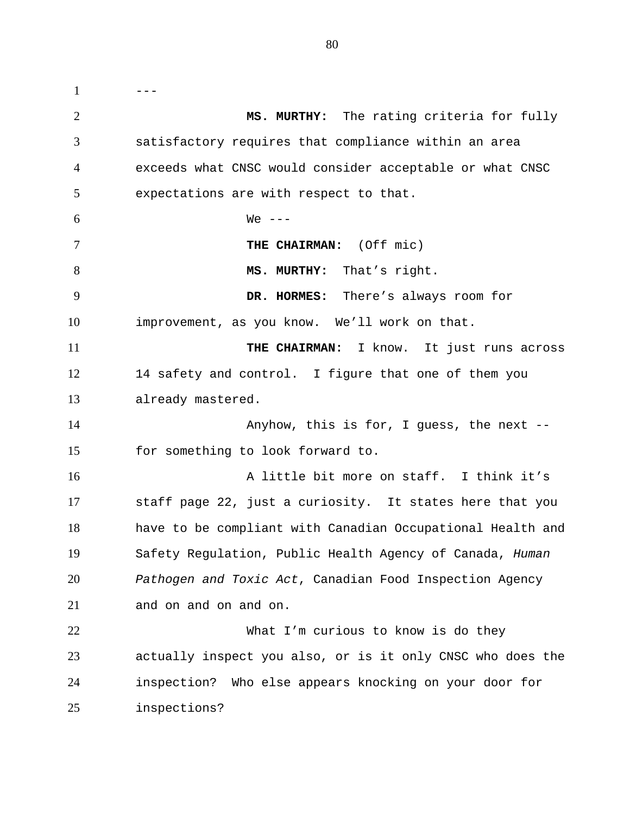--- **MS. MURTHY:** The rating criteria for fully satisfactory requires that compliance within an area exceeds what CNSC would consider acceptable or what CNSC expectations are with respect to that.  $We$   $---$ **THE CHAIRMAN:** (Off mic) **MS. MURTHY:** That's right. **DR. HORMES:** There's always room for improvement, as you know. We'll work on that. **THE CHAIRMAN:** I know. It just runs across 14 safety and control. I figure that one of them you already mastered. Anyhow, this is for, I guess, the next - for something to look forward to. A little bit more on staff. I think it's staff page 22, just a curiosity. It states here that you have to be compliant with Canadian Occupational Health and Safety Regulation, Public Health Agency of Canada, *Human Pathogen and Toxic Act*, Canadian Food Inspection Agency and on and on and on. What I'm curious to know is do they actually inspect you also, or is it only CNSC who does the inspection? Who else appears knocking on your door for inspections? 1 2 3 4 5 6 7 8 9 10 11 12 13 14 15 16 17 18 19 20 21 22 23 24 25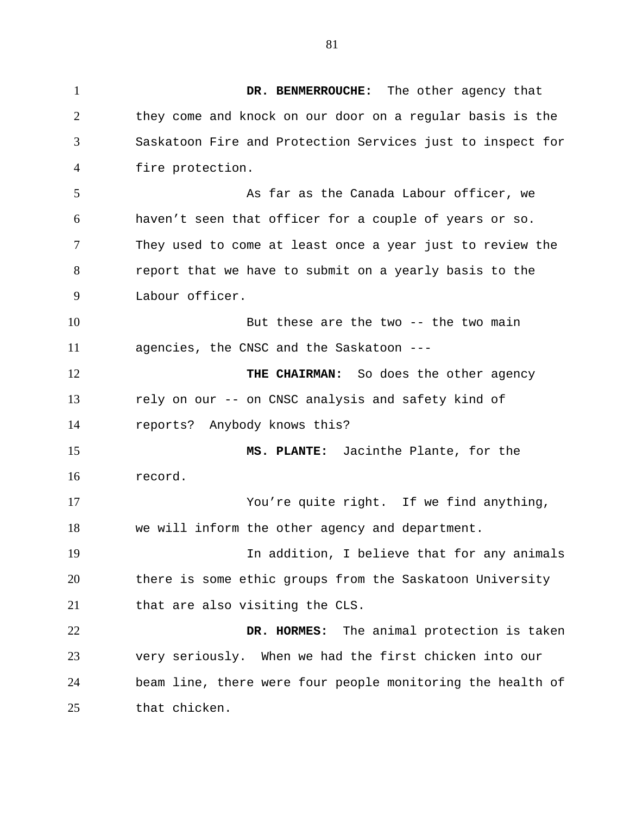**DR. BENMERROUCHE:** The other agency that they come and knock on our door on a regular basis is the Saskatoon Fire and Protection Services just to inspect for fire protection. As far as the Canada Labour officer, we haven't seen that officer for a couple of years or so. They used to come at least once a year just to review the report that we have to submit on a yearly basis to the Labour officer. But these are the two -- the two main agencies, the CNSC and the Saskatoon --- **THE CHAIRMAN:** So does the other agency rely on our -- on CNSC analysis and safety kind of reports? Anybody knows this? **MS. PLANTE:** Jacinthe Plante, for the record. You're quite right. If we find anything, we will inform the other agency and department. In addition, I believe that for any animals there is some ethic groups from the Saskatoon University that are also visiting the CLS. **DR. HORMES:** The animal protection is taken very seriously. When we had the first chicken into our beam line, there were four people monitoring the health of that chicken. 1 2 3 4 5 6 7 8 9 10 11 12 13 14 15 16 17 18 19 20 21 22 23 24 25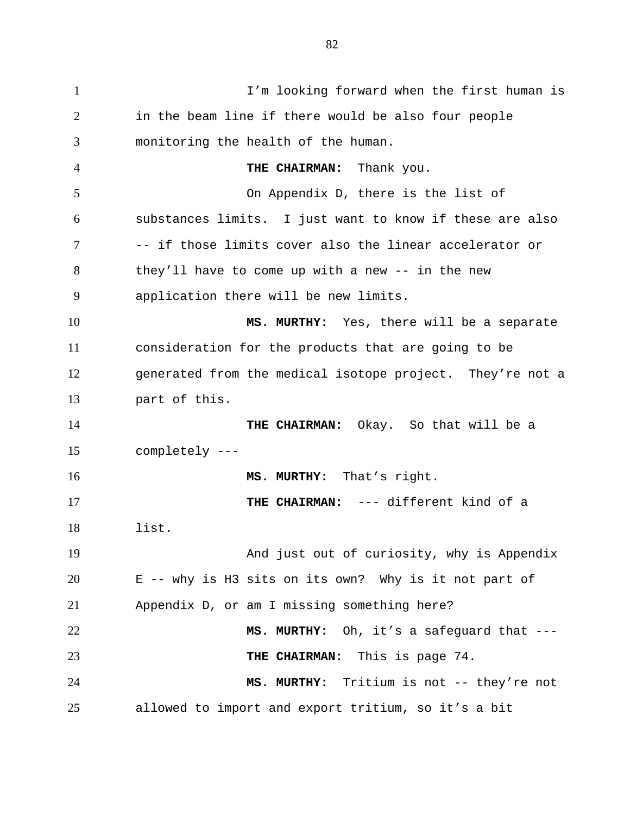I'm looking forward when the first human is in the beam line if there would be also four people monitoring the health of the human. **THE CHAIRMAN:** Thank you. On Appendix D, there is the list of substances limits. I just want to know if these are also -- if those limits cover also the linear accelerator or they'll have to come up with a new -- in the new application there will be new limits. **MS. MURTHY:** Yes, there will be a separate consideration for the products that are going to be generated from the medical isotope project. They're not a part of this. **THE CHAIRMAN:** Okay. So that will be a completely --- **MS. MURTHY:** That's right. **THE CHAIRMAN:** --- different kind of a list. And just out of curiosity, why is Appendix E -- why is H3 sits on its own? Why is it not part of Appendix D, or am I missing something here? **MS. MURTHY:** Oh, it's a safeguard that --- **THE CHAIRMAN:** This is page 74. **MS. MURTHY:** Tritium is not -- they're not allowed to import and export tritium, so it's a bit 1 2 3 4 5 6 7 8 9 10 11 12 13 14 15 16 17 18 19 20 21 22 23 24 25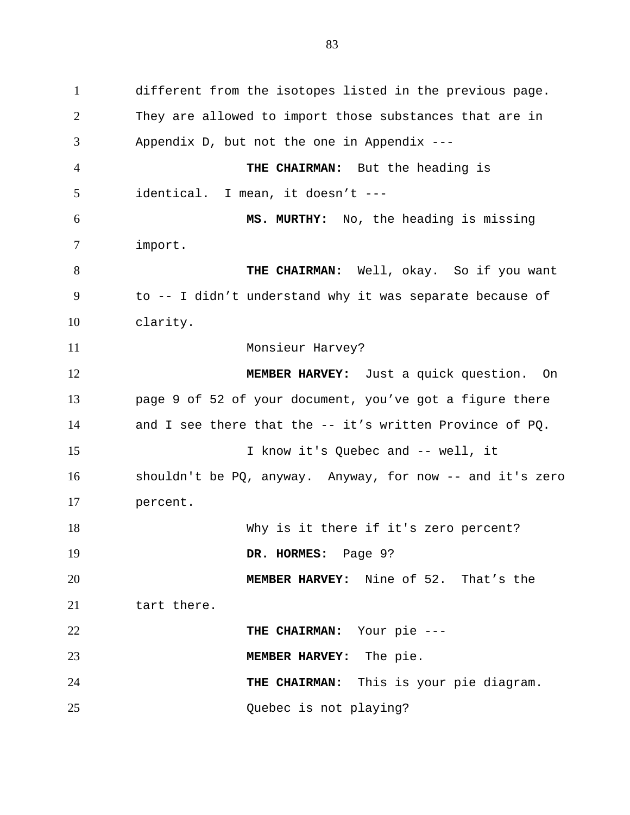different from the isotopes listed in the previous page. They are allowed to import those substances that are in Appendix D, but not the one in Appendix --- **THE CHAIRMAN:** But the heading is identical. I mean, it doesn't --- **MS. MURTHY:** No, the heading is missing import. **THE CHAIRMAN:** Well, okay. So if you want to -- I didn't understand why it was separate because of clarity. Monsieur Harvey? **MEMBER HARVEY:** Just a quick question. On page 9 of 52 of your document, you've got a figure there and I see there that the -- it's written Province of PQ. I know it's Quebec and -- well, it shouldn't be PQ, anyway. Anyway, for now -- and it's zero percent. Why is it there if it's zero percent? **DR. HORMES:** Page 9? **MEMBER HARVEY:** Nine of 52. That's the tart there. **THE CHAIRMAN:** Your pie --- **MEMBER HARVEY:** The pie. **THE CHAIRMAN:** This is your pie diagram. Quebec is not playing? 1 2 3 4 5 6 7 8 9 10 11 12 13 14 15 16 17 18 19 20 21 22 23 24 25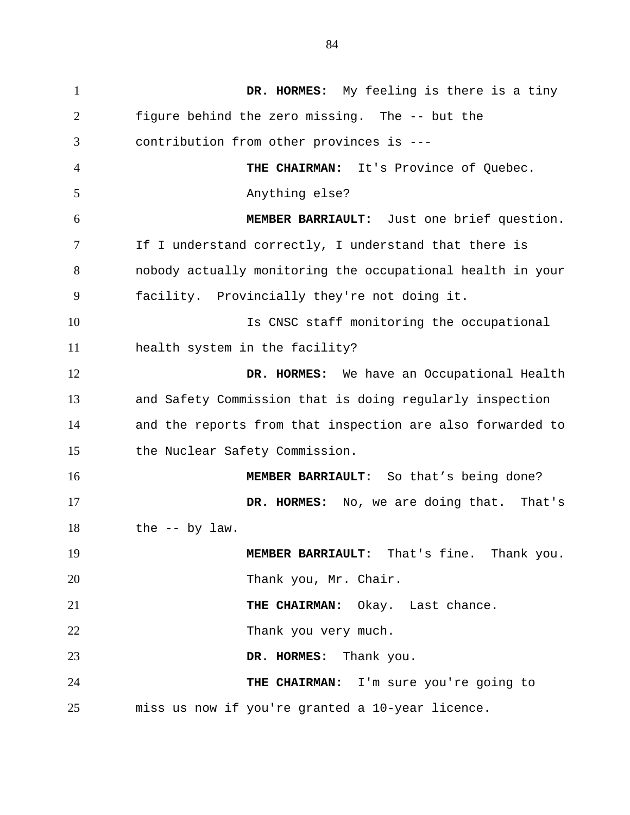**DR. HORMES:** My feeling is there is a tiny figure behind the zero missing. The -- but the contribution from other provinces is --- **THE CHAIRMAN:** It's Province of Quebec. Anything else? **MEMBER BARRIAULT:** Just one brief question. If I understand correctly, I understand that there is nobody actually monitoring the occupational health in your facility. Provincially they're not doing it. Is CNSC staff monitoring the occupational health system in the facility? **DR. HORMES:** We have an Occupational Health and Safety Commission that is doing regularly inspection and the reports from that inspection are also forwarded to the Nuclear Safety Commission. **MEMBER BARRIAULT:** So that's being done? **DR. HORMES:** No, we are doing that. That's the -- by law. **MEMBER BARRIAULT:** That's fine. Thank you. Thank you, Mr. Chair. **THE CHAIRMAN:** Okay. Last chance. Thank you very much. **DR. HORMES:** Thank you. **THE CHAIRMAN:** I'm sure you're going to miss us now if you're granted a 10-year licence. 1 2 3 4 5 6 7 8 9 10 11 12 13 14 15 16 17 18 19 20 21 22 23 24 25